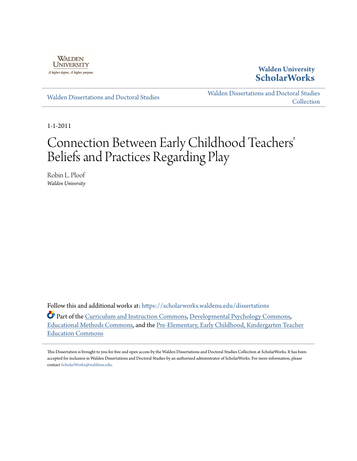

**Walden University [ScholarWorks](https://scholarworks.waldenu.edu?utm_source=scholarworks.waldenu.edu%2Fdissertations%2F1139&utm_medium=PDF&utm_campaign=PDFCoverPages)**

[Walden Dissertations and Doctoral Studies](https://scholarworks.waldenu.edu/dissertations?utm_source=scholarworks.waldenu.edu%2Fdissertations%2F1139&utm_medium=PDF&utm_campaign=PDFCoverPages)

[Walden Dissertations and Doctoral Studies](https://scholarworks.waldenu.edu/dissanddoc?utm_source=scholarworks.waldenu.edu%2Fdissertations%2F1139&utm_medium=PDF&utm_campaign=PDFCoverPages) **[Collection](https://scholarworks.waldenu.edu/dissanddoc?utm_source=scholarworks.waldenu.edu%2Fdissertations%2F1139&utm_medium=PDF&utm_campaign=PDFCoverPages)** 

1-1-2011

# Connection Between Early Childhood Teachers 'Beliefs and Practices Regarding Play

Robin L. Ploof *Walden University*

Follow this and additional works at: [https://scholarworks.waldenu.edu/dissertations](https://scholarworks.waldenu.edu/dissertations?utm_source=scholarworks.waldenu.edu%2Fdissertations%2F1139&utm_medium=PDF&utm_campaign=PDFCoverPages)

Part of the [Curriculum and Instruction Commons](http://network.bepress.com/hgg/discipline/786?utm_source=scholarworks.waldenu.edu%2Fdissertations%2F1139&utm_medium=PDF&utm_campaign=PDFCoverPages), [Developmental Psychology Commons](http://network.bepress.com/hgg/discipline/410?utm_source=scholarworks.waldenu.edu%2Fdissertations%2F1139&utm_medium=PDF&utm_campaign=PDFCoverPages), [Educational Methods Commons,](http://network.bepress.com/hgg/discipline/1227?utm_source=scholarworks.waldenu.edu%2Fdissertations%2F1139&utm_medium=PDF&utm_campaign=PDFCoverPages) and the [Pre-Elementary, Early Childhood, Kindergarten Teacher](http://network.bepress.com/hgg/discipline/808?utm_source=scholarworks.waldenu.edu%2Fdissertations%2F1139&utm_medium=PDF&utm_campaign=PDFCoverPages) [Education Commons](http://network.bepress.com/hgg/discipline/808?utm_source=scholarworks.waldenu.edu%2Fdissertations%2F1139&utm_medium=PDF&utm_campaign=PDFCoverPages)

This Dissertation is brought to you for free and open access by the Walden Dissertations and Doctoral Studies Collection at ScholarWorks. It has been accepted for inclusion in Walden Dissertations and Doctoral Studies by an authorized administrator of ScholarWorks. For more information, please contact [ScholarWorks@waldenu.edu](mailto:ScholarWorks@waldenu.edu).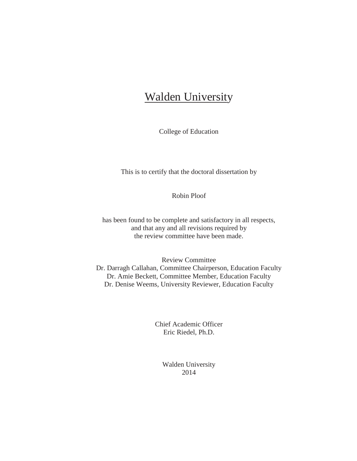# Walden University

College of Education

This is to certify that the doctoral dissertation by

Robin Ploof

has been found to be complete and satisfactory in all respects, and that any and all revisions required by the review committee have been made.

Review Committee Dr. Darragh Callahan, Committee Chairperson, Education Faculty Dr. Amie Beckett, Committee Member, Education Faculty Dr. Denise Weems, University Reviewer, Education Faculty

> Chief Academic Officer Eric Riedel, Ph.D.

> > Walden University 2014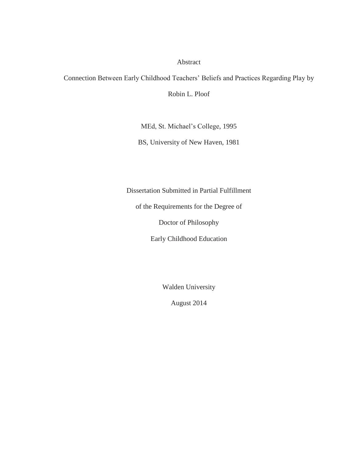### Abstract

Connection Between Early Childhood Teachers' Beliefs and Practices Regarding Play by

Robin L. Ploof

MEd, St. Michael's College, 1995

BS, University of New Haven, 1981

Dissertation Submitted in Partial Fulfillment

of the Requirements for the Degree of

Doctor of Philosophy

Early Childhood Education

Walden University

August 2014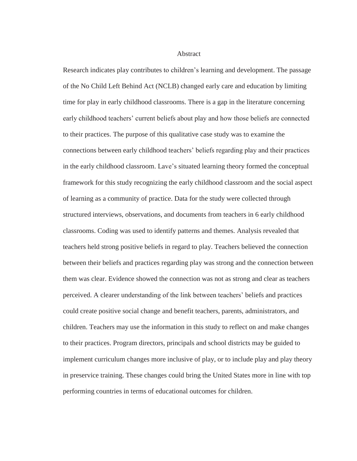**Abstract** 

Research indicates play contributes to children's learning and development. The passage of the No Child Left Behind Act (NCLB) changed early care and education by limiting time for play in early childhood classrooms. There is a gap in the literature concerning early childhood teachers' current beliefs about play and how those beliefs are connected to their practices. The purpose of this qualitative case study was to examine the connections between early childhood teachers' beliefs regarding play and their practices in the early childhood classroom. Lave's situated learning theory formed the conceptual framework for this study recognizing the early childhood classroom and the social aspect of learning as a community of practice. Data for the study were collected through structured interviews, observations, and documents from teachers in 6 early childhood classrooms. Coding was used to identify patterns and themes. Analysis revealed that teachers held strong positive beliefs in regard to play. Teachers believed the connection between their beliefs and practices regarding play was strong and the connection between them was clear. Evidence showed the connection was not as strong and clear as teachers perceived. A clearer understanding of the link between teachers' beliefs and practices could create positive social change and benefit teachers, parents, administrators, and children. Teachers may use the information in this study to reflect on and make changes to their practices. Program directors, principals and school districts may be guided to implement curriculum changes more inclusive of play, or to include play and play theory in preservice training. These changes could bring the United States more in line with top performing countries in terms of educational outcomes for children.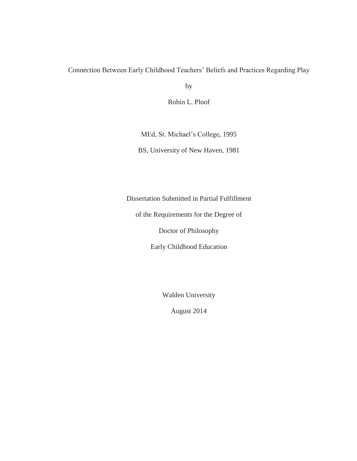# Connection Between Early Childhood Teachers' Beliefs and Practices Regarding Play

by

Robin L. Ploof

MEd, St. Michael's College, 1995

BS, University of New Haven, 1981

Dissertation Submitted in Partial Fulfillment

of the Requirements for the Degree of

Doctor of Philosophy

Early Childhood Education

Walden University

August 2014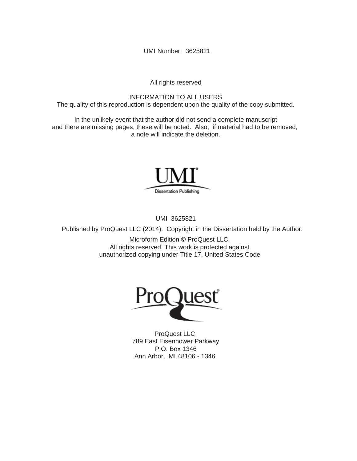UMI Number: 3625821

All rights reserved

INFORMATION TO ALL USERS The quality of this reproduction is dependent upon the quality of the copy submitted.

In the unlikely event that the author did not send a complete manuscript and there are missing pages, these will be noted. Also, if material had to be removed, a note will indicate the deletion.



UMI 3625821

Published by ProQuest LLC (2014). Copyright in the Dissertation held by the Author.

Microform Edition © ProQuest LLC. All rights reserved. This work is protected against unauthorized copying under Title 17, United States Code



ProQuest LLC. 789 East Eisenhower Parkway P.O. Box 1346 Ann Arbor, MI 48106 - 1346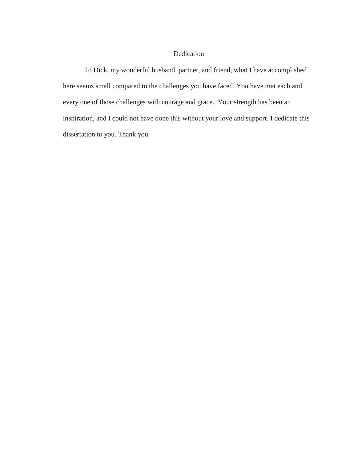## Dedication

To Dick, my wonderful husband, partner, and friend, what I have accomplished here seems small compared to the challenges you have faced. You have met each and every one of those challenges with courage and grace. Your strength has been an inspiration, and I could not have done this without your love and support. I dedicate this dissertation to you. Thank you.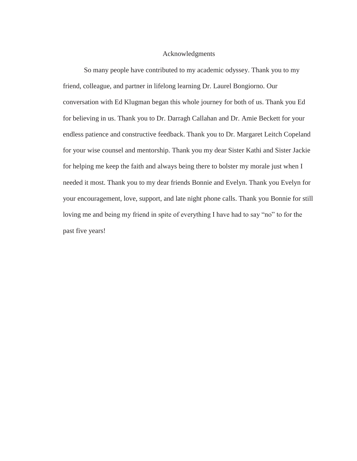#### Acknowledgments

So many people have contributed to my academic odyssey. Thank you to my friend, colleague, and partner in lifelong learning Dr. Laurel Bongiorno. Our conversation with Ed Klugman began this whole journey for both of us. Thank you Ed for believing in us. Thank you to Dr. Darragh Callahan and Dr. Amie Beckett for your endless patience and constructive feedback. Thank you to Dr. Margaret Leitch Copeland for your wise counsel and mentorship. Thank you my dear Sister Kathi and Sister Jackie for helping me keep the faith and always being there to bolster my morale just when I needed it most. Thank you to my dear friends Bonnie and Evelyn. Thank you Evelyn for your encouragement, love, support, and late night phone calls. Thank you Bonnie for still loving me and being my friend in spite of everything I have had to say "no" to for the past five years!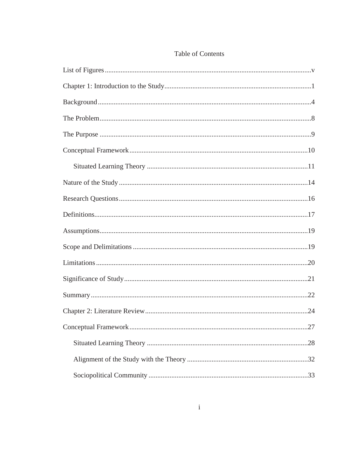# Table of Contents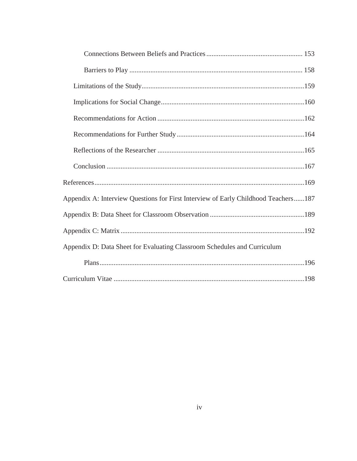| Appendix A: Interview Questions for First Interview of Early Childhood Teachers187 |
|------------------------------------------------------------------------------------|
|                                                                                    |
|                                                                                    |
| Appendix D: Data Sheet for Evaluating Classroom Schedules and Curriculum           |
|                                                                                    |
|                                                                                    |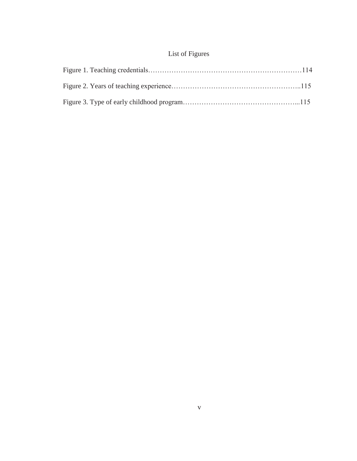# List of Figures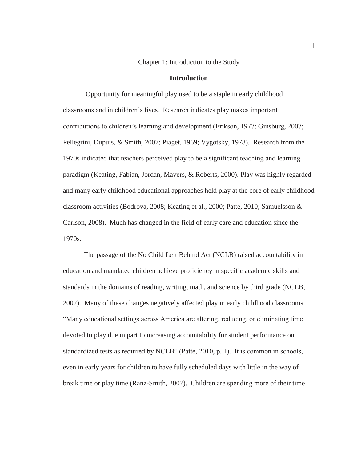#### Chapter 1: Introduction to the Study

### **Introduction**

 Opportunity for meaningful play used to be a staple in early childhood classrooms and in children's lives. Research indicates play makes important contributions to children's learning and development (Erikson, 1977; Ginsburg, 2007; Pellegrini, Dupuis, & Smith, 2007; Piaget, 1969; Vygotsky, 1978). Research from the 1970s indicated that teachers perceived play to be a significant teaching and learning paradigm (Keating, Fabian, Jordan, Mavers, & Roberts, 2000). Play was highly regarded and many early childhood educational approaches held play at the core of early childhood classroom activities (Bodrova, 2008; Keating et al., 2000; Patte, 2010; Samuelsson & Carlson, 2008). Much has changed in the field of early care and education since the 1970s.

 The passage of the No Child Left Behind Act (NCLB) raised accountability in education and mandated children achieve proficiency in specific academic skills and standards in the domains of reading, writing, math, and science by third grade (NCLB, 2002). Many of these changes negatively affected play in early childhood classrooms. "Many educational settings across America are altering, reducing, or eliminating time devoted to play due in part to increasing accountability for student performance on standardized tests as required by NCLB" (Patte, 2010, p. 1). It is common in schools, even in early years for children to have fully scheduled days with little in the way of break time or play time (Ranz-Smith, 2007). Children are spending more of their time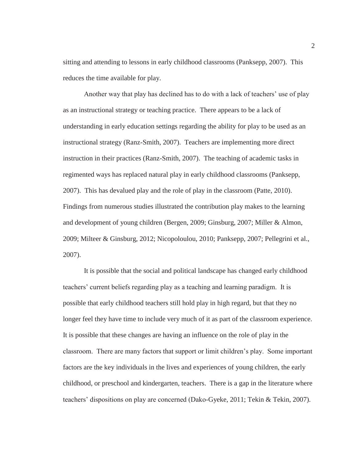sitting and attending to lessons in early childhood classrooms (Panksepp, 2007). This reduces the time available for play.

Another way that play has declined has to do with a lack of teachers' use of play as an instructional strategy or teaching practice. There appears to be a lack of understanding in early education settings regarding the ability for play to be used as an instructional strategy (Ranz-Smith, 2007). Teachers are implementing more direct instruction in their practices (Ranz-Smith, 2007). The teaching of academic tasks in regimented ways has replaced natural play in early childhood classrooms (Panksepp, 2007). This has devalued play and the role of play in the classroom (Patte, 2010). Findings from numerous studies illustrated the contribution play makes to the learning and development of young children (Bergen, 2009; Ginsburg, 2007; Miller & Almon, 2009; Milteer & Ginsburg, 2012; Nicopoloulou, 2010; Panksepp, 2007; Pellegrini et al., 2007).

 It is possible that the social and political landscape has changed early childhood teachers' current beliefs regarding play as a teaching and learning paradigm. It is possible that early childhood teachers still hold play in high regard, but that they no longer feel they have time to include very much of it as part of the classroom experience. It is possible that these changes are having an influence on the role of play in the classroom. There are many factors that support or limit children's play. Some important factors are the key individuals in the lives and experiences of young children, the early childhood, or preschool and kindergarten, teachers. There is a gap in the literature where teachers' dispositions on play are concerned (Dako-Gyeke, 2011; Tekin & Tekin, 2007).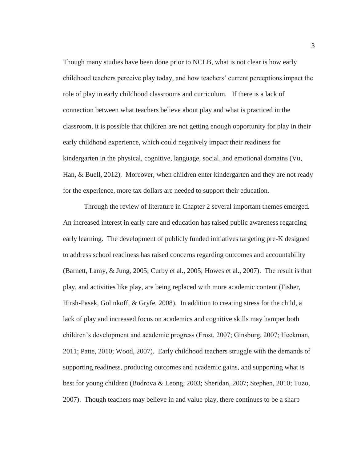Though many studies have been done prior to NCLB, what is not clear is how early childhood teachers perceive play today, and how teachers' current perceptions impact the role of play in early childhood classrooms and curriculum. If there is a lack of connection between what teachers believe about play and what is practiced in the classroom, it is possible that children are not getting enough opportunity for play in their early childhood experience, which could negatively impact their readiness for kindergarten in the physical, cognitive, language, social, and emotional domains (Vu, Han, & Buell, 2012). Moreover, when children enter kindergarten and they are not ready for the experience, more tax dollars are needed to support their education.

 Through the review of literature in Chapter 2 several important themes emerged. An increased interest in early care and education has raised public awareness regarding early learning. The development of publicly funded initiatives targeting pre-K designed to address school readiness has raised concerns regarding outcomes and accountability (Barnett, Lamy, & Jung, 2005; Curby et al., 2005; Howes et al., 2007). The result is that play, and activities like play, are being replaced with more academic content (Fisher, Hirsh-Pasek, Golinkoff, & Gryfe, 2008). In addition to creating stress for the child, a lack of play and increased focus on academics and cognitive skills may hamper both children's development and academic progress (Frost, 2007; Ginsburg, 2007; Heckman, 2011; Patte, 2010; Wood, 2007). Early childhood teachers struggle with the demands of supporting readiness, producing outcomes and academic gains, and supporting what is best for young children (Bodrova & Leong, 2003; Sheridan, 2007; Stephen, 2010; Tuzo, 2007). Though teachers may believe in and value play, there continues to be a sharp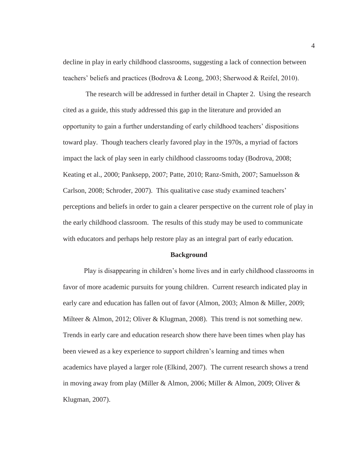decline in play in early childhood classrooms, suggesting a lack of connection between teachers' beliefs and practices (Bodrova & Leong, 2003; Sherwood & Reifel, 2010).

 The research will be addressed in further detail in Chapter 2. Using the research cited as a guide, this study addressed this gap in the literature and provided an opportunity to gain a further understanding of early childhood teachers' dispositions toward play. Though teachers clearly favored play in the 1970s, a myriad of factors impact the lack of play seen in early childhood classrooms today (Bodrova, 2008; Keating et al., 2000; Panksepp, 2007; Patte, 2010; Ranz-Smith, 2007; Samuelsson & Carlson, 2008; Schroder, 2007). This qualitative case study examined teachers' perceptions and beliefs in order to gain a clearer perspective on the current role of play in the early childhood classroom. The results of this study may be used to communicate with educators and perhaps help restore play as an integral part of early education.

#### **Background**

Play is disappearing in children's home lives and in early childhood classrooms in favor of more academic pursuits for young children. Current research indicated play in early care and education has fallen out of favor (Almon, 2003; Almon & Miller, 2009; Milteer & Almon, 2012; Oliver & Klugman, 2008). This trend is not something new. Trends in early care and education research show there have been times when play has been viewed as a key experience to support children's learning and times when academics have played a larger role (Elkind, 2007). The current research shows a trend in moving away from play (Miller & Almon, 2006; Miller & Almon, 2009; Oliver & Klugman, 2007).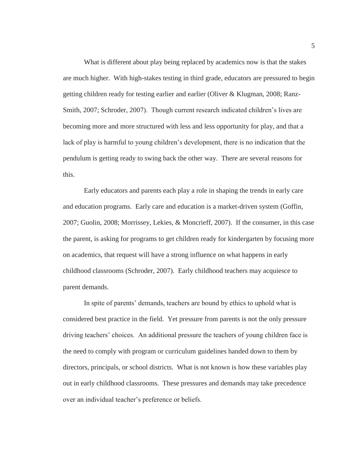What is different about play being replaced by academics now is that the stakes are much higher. With high-stakes testing in third grade, educators are pressured to begin getting children ready for testing earlier and earlier (Oliver & Klugman, 2008; Ranz-Smith, 2007; Schroder, 2007). Though current research indicated children's lives are becoming more and more structured with less and less opportunity for play, and that a lack of play is harmful to young children's development, there is no indication that the pendulum is getting ready to swing back the other way. There are several reasons for this.

 Early educators and parents each play a role in shaping the trends in early care and education programs. Early care and education is a market-driven system (Goffin, 2007; Guolin, 2008; Morrissey, Lekies, & Moncrieff, 2007). If the consumer, in this case the parent, is asking for programs to get children ready for kindergarten by focusing more on academics, that request will have a strong influence on what happens in early childhood classrooms (Schroder, 2007). Early childhood teachers may acquiesce to parent demands.

In spite of parents' demands, teachers are bound by ethics to uphold what is considered best practice in the field. Yet pressure from parents is not the only pressure driving teachers' choices. An additional pressure the teachers of young children face is the need to comply with program or curriculum guidelines handed down to them by directors, principals, or school districts. What is not known is how these variables play out in early childhood classrooms. These pressures and demands may take precedence over an individual teacher's preference or beliefs.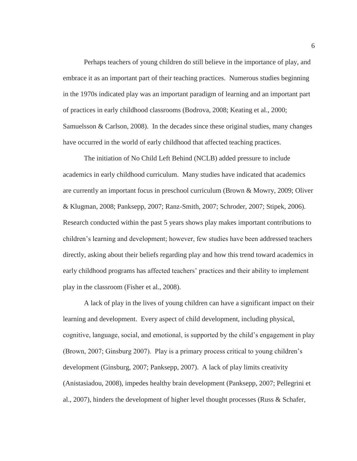Perhaps teachers of young children do still believe in the importance of play, and embrace it as an important part of their teaching practices. Numerous studies beginning in the 1970s indicated play was an important paradigm of learning and an important part of practices in early childhood classrooms (Bodrova, 2008; Keating et al., 2000; Samuelsson & Carlson, 2008). In the decades since these original studies, many changes have occurred in the world of early childhood that affected teaching practices.

 The initiation of No Child Left Behind (NCLB) added pressure to include academics in early childhood curriculum. Many studies have indicated that academics are currently an important focus in preschool curriculum (Brown & Mowry, 2009; Oliver & Klugman, 2008; Panksepp, 2007; Ranz-Smith, 2007; Schroder, 2007; Stipek, 2006). Research conducted within the past 5 years shows play makes important contributions to children's learning and development; however, few studies have been addressed teachers directly, asking about their beliefs regarding play and how this trend toward academics in early childhood programs has affected teachers' practices and their ability to implement play in the classroom (Fisher et al., 2008).

A lack of play in the lives of young children can have a significant impact on their learning and development. Every aspect of child development, including physical, cognitive, language, social, and emotional, is supported by the child's engagement in play (Brown, 2007; Ginsburg 2007). Play is a primary process critical to young children's development (Ginsburg, 2007; Panksepp, 2007). A lack of play limits creativity (Anistasiadou, 2008), impedes healthy brain development (Panksepp, 2007; Pellegrini et al., 2007), hinders the development of higher level thought processes (Russ & Schafer,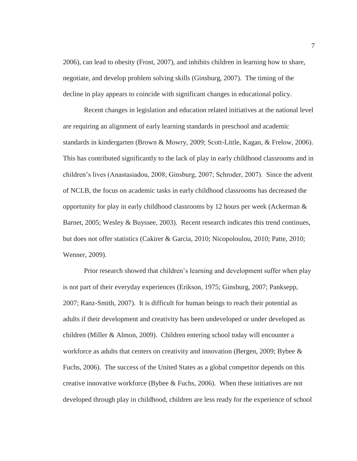2006), can lead to obesity (Frost, 2007), and inhibits children in learning how to share, negotiate, and develop problem solving skills (Ginsburg, 2007). The timing of the decline in play appears to coincide with significant changes in educational policy.

 Recent changes in legislation and education related initiatives at the national level are requiring an alignment of early learning standards in preschool and academic standards in kindergarten (Brown & Mowry, 2009; Scott-Little, Kagan, & Frelow, 2006). This has contributed significantly to the lack of play in early childhood classrooms and in children's lives (Anastasiadou, 2008; Ginsburg, 2007; Schroder, 2007). Since the advent of NCLB, the focus on academic tasks in early childhood classrooms has decreased the opportunity for play in early childhood classrooms by 12 hours per week (Ackerman  $\&$ Barnet, 2005; Wesley & Buyssee, 2003). Recent research indicates this trend continues, but does not offer statistics (Cakirer & Garcia, 2010; Nicopoloulou, 2010; Patte, 2010; Wenner, 2009).

 Prior research showed that children's learning and development suffer when play is not part of their everyday experiences (Erikson, 1975; Ginsburg, 2007; Panksepp, 2007; Ranz-Smith, 2007). It is difficult for human beings to reach their potential as adults if their development and creativity has been undeveloped or under developed as children (Miller & Almon, 2009). Children entering school today will encounter a workforce as adults that centers on creativity and innovation (Bergen, 2009; Bybee & Fuchs, 2006). The success of the United States as a global competitor depends on this creative innovative workforce (Bybee & Fuchs, 2006). When these initiatives are not developed through play in childhood, children are less ready for the experience of school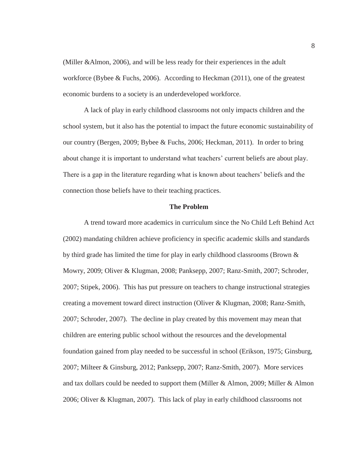(Miller &Almon, 2006), and will be less ready for their experiences in the adult workforce (Bybee & Fuchs, 2006). According to Heckman (2011), one of the greatest economic burdens to a society is an underdeveloped workforce.

 A lack of play in early childhood classrooms not only impacts children and the school system, but it also has the potential to impact the future economic sustainability of our country (Bergen, 2009; Bybee & Fuchs, 2006; Heckman, 2011). In order to bring about change it is important to understand what teachers' current beliefs are about play. There is a gap in the literature regarding what is known about teachers' beliefs and the connection those beliefs have to their teaching practices.

#### **The Problem**

A trend toward more academics in curriculum since the No Child Left Behind Act (2002) mandating children achieve proficiency in specific academic skills and standards by third grade has limited the time for play in early childhood classrooms (Brown & Mowry, 2009; Oliver & Klugman, 2008; Panksepp, 2007; Ranz-Smith, 2007; Schroder, 2007; Stipek, 2006). This has put pressure on teachers to change instructional strategies creating a movement toward direct instruction (Oliver & Klugman, 2008; Ranz-Smith, 2007; Schroder, 2007). The decline in play created by this movement may mean that children are entering public school without the resources and the developmental foundation gained from play needed to be successful in school (Erikson, 1975; Ginsburg, 2007; Milteer & Ginsburg, 2012; Panksepp, 2007; Ranz-Smith, 2007). More services and tax dollars could be needed to support them (Miller & Almon, 2009; Miller & Almon 2006; Oliver & Klugman, 2007). This lack of play in early childhood classrooms not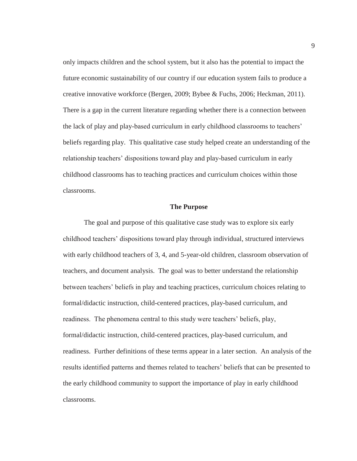only impacts children and the school system, but it also has the potential to impact the future economic sustainability of our country if our education system fails to produce a creative innovative workforce (Bergen, 2009; Bybee & Fuchs, 2006; Heckman, 2011). There is a gap in the current literature regarding whether there is a connection between the lack of play and play-based curriculum in early childhood classrooms to teachers' beliefs regarding play. This qualitative case study helped create an understanding of the relationship teachers' dispositions toward play and play-based curriculum in early childhood classrooms has to teaching practices and curriculum choices within those classrooms.

#### **The Purpose**

The goal and purpose of this qualitative case study was to explore six early childhood teachers' dispositions toward play through individual, structured interviews with early childhood teachers of 3, 4, and 5-year-old children, classroom observation of teachers, and document analysis. The goal was to better understand the relationship between teachers' beliefs in play and teaching practices, curriculum choices relating to formal/didactic instruction, child-centered practices, play-based curriculum, and readiness. The phenomena central to this study were teachers' beliefs, play, formal/didactic instruction, child-centered practices, play-based curriculum, and readiness. Further definitions of these terms appear in a later section. An analysis of the results identified patterns and themes related to teachers' beliefs that can be presented to the early childhood community to support the importance of play in early childhood classrooms.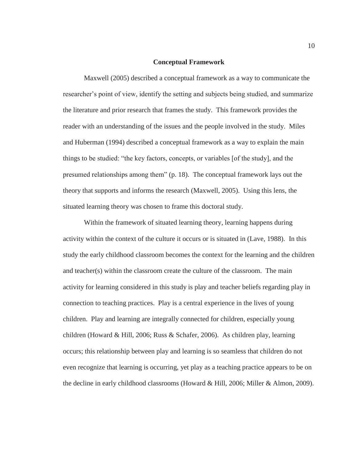#### **Conceptual Framework**

 Maxwell (2005) described a conceptual framework as a way to communicate the researcher's point of view, identify the setting and subjects being studied, and summarize the literature and prior research that frames the study. This framework provides the reader with an understanding of the issues and the people involved in the study. Miles and Huberman (1994) described a conceptual framework as a way to explain the main things to be studied: "the key factors, concepts, or variables [of the study], and the presumed relationships among them" (p. 18). The conceptual framework lays out the theory that supports and informs the research (Maxwell, 2005). Using this lens, the situated learning theory was chosen to frame this doctoral study.

Within the framework of situated learning theory, learning happens during activity within the context of the culture it occurs or is situated in (Lave, 1988). In this study the early childhood classroom becomes the context for the learning and the children and teacher(s) within the classroom create the culture of the classroom. The main activity for learning considered in this study is play and teacher beliefs regarding play in connection to teaching practices. Play is a central experience in the lives of young children. Play and learning are integrally connected for children, especially young children (Howard & Hill, 2006; Russ & Schafer, 2006). As children play, learning occurs; this relationship between play and learning is so seamless that children do not even recognize that learning is occurring, yet play as a teaching practice appears to be on the decline in early childhood classrooms (Howard & Hill, 2006; Miller & Almon, 2009).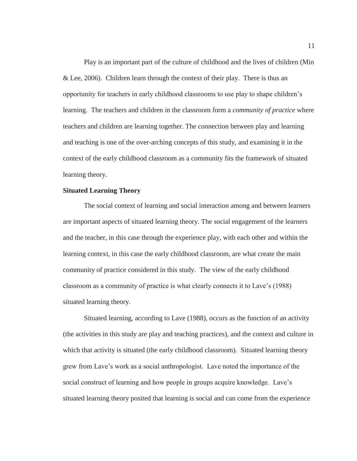Play is an important part of the culture of childhood and the lives of children (Min & Lee, 2006). Children learn through the context of their play. There is thus an opportunity for teachers in early childhood classrooms to use play to shape children's learning. The teachers and children in the classroom form a *community of practice* where teachers and children are learning together. The connection between play and learning and teaching is one of the over-arching concepts of this study, and examining it in the context of the early childhood classroom as a community fits the framework of situated learning theory.

#### **Situated Learning Theory**

 The social context of learning and social interaction among and between learners are important aspects of situated learning theory. The social engagement of the learners and the teacher, in this case through the experience play, with each other and within the learning context, in this case the early childhood classroom, are what create the main community of practice considered in this study. The view of the early childhood classroom as a community of practice is what clearly connects it to Lave's (1988) situated learning theory.

Situated learning, according to Lave (1988), occurs as the function of an activity (the activities in this study are play and teaching practices), and the context and culture in which that activity is situated (the early childhood classroom). Situated learning theory grew from Lave's work as a social anthropologist. Lave noted the importance of the social construct of learning and how people in groups acquire knowledge. Lave's situated learning theory posited that learning is social and can come from the experience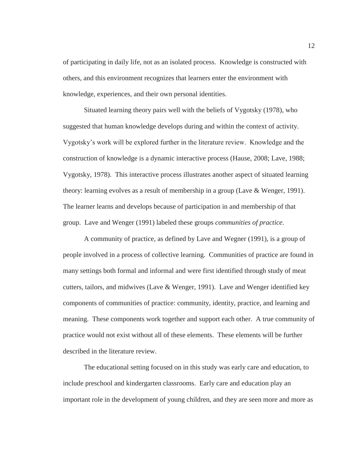of participating in daily life, not as an isolated process. Knowledge is constructed with others, and this environment recognizes that learners enter the environment with knowledge, experiences, and their own personal identities.

 Situated learning theory pairs well with the beliefs of Vygotsky (1978), who suggested that human knowledge develops during and within the context of activity. Vygotsky's work will be explored further in the literature review. Knowledge and the construction of knowledge is a dynamic interactive process (Hause, 2008; Lave, 1988; Vygotsky, 1978). This interactive process illustrates another aspect of situated learning theory: learning evolves as a result of membership in a group (Lave & Wenger, 1991). The learner learns and develops because of participation in and membership of that group. Lave and Wenger (1991) labeled these groups *communities of practice*.

A community of practice, as defined by Lave and Wegner (1991), is a group of people involved in a process of collective learning. Communities of practice are found in many settings both formal and informal and were first identified through study of meat cutters, tailors, and midwives (Lave & Wenger, 1991). Lave and Wenger identified key components of communities of practice: community, identity, practice, and learning and meaning. These components work together and support each other. A true community of practice would not exist without all of these elements. These elements will be further described in the literature review.

The educational setting focused on in this study was early care and education, to include preschool and kindergarten classrooms. Early care and education play an important role in the development of young children, and they are seen more and more as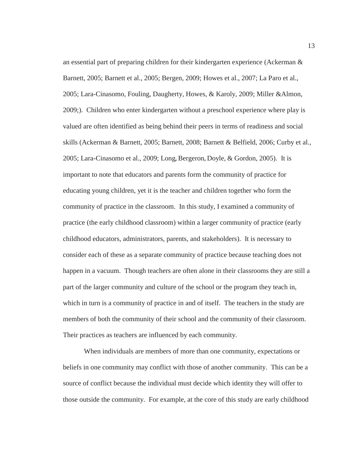an essential part of preparing children for their kindergarten experience (Ackerman & Barnett, 2005; Barnett et al., 2005; Bergen, 2009; Howes et al., 2007; La Paro et al., 2005; Lara-Cinasomo, Fouling, Daugherty, Howes, & Karoly, 2009; Miller &Almon, 2009;). Children who enter kindergarten without a preschool experience where play is valued are often identified as being behind their peers in terms of readiness and social skills (Ackerman & Barnett, 2005; Barnett, 2008; Barnett & Belfield, 2006; Curby et al., 2005; Lara-Cinasomo et al., 2009; Long**,** Bergeron**,** Doyle, & Gordon, 2005). It is important to note that educators and parents form the community of practice for educating young children, yet it is the teacher and children together who form the community of practice in the classroom. In this study, I examined a community of practice (the early childhood classroom) within a larger community of practice (early childhood educators, administrators, parents, and stakeholders). It is necessary to consider each of these as a separate community of practice because teaching does not happen in a vacuum. Though teachers are often alone in their classrooms they are still a part of the larger community and culture of the school or the program they teach in, which in turn is a community of practice in and of itself. The teachers in the study are members of both the community of their school and the community of their classroom. Their practices as teachers are influenced by each community.

 When individuals are members of more than one community, expectations or beliefs in one community may conflict with those of another community. This can be a source of conflict because the individual must decide which identity they will offer to those outside the community. For example, at the core of this study are early childhood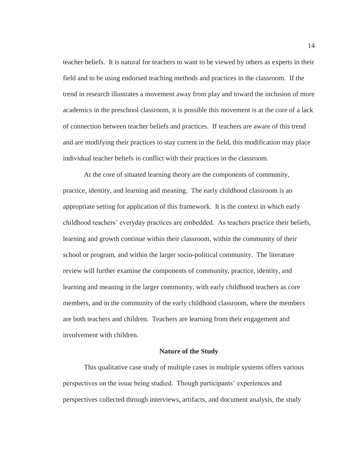teacher beliefs. It is natural for teachers to want to be viewed by others as experts in their field and to be using endorsed teaching methods and practices in the classroom. If the trend in research illustrates a movement away from play and toward the inclusion of more academics in the preschool classroom, it is possible this movement is at the core of a lack of connection between teacher beliefs and practices. If teachers are aware of this trend and are modifying their practices to stay current in the field, this modification may place individual teacher beliefs in conflict with their practices in the classroom.

 At the core of situated learning theory are the components of community, practice, identity, and learning and meaning. The early childhood classroom is an appropriate setting for application of this framework. It is the context in which early childhood teachers' everyday practices are embedded. As teachers practice their beliefs, learning and growth continue within their classroom, within the community of their school or program, and within the larger socio-political community. The literature review will further examine the components of community, practice, identity, and learning and meaning in the larger community, with early childhood teachers as core members, and in the community of the early childhood classroom, where the members are both teachers and children. Teachers are learning from their engagement and involvement with children.

#### **Nature of the Study**

 This qualitative case study of multiple cases in multiple systems offers various perspectives on the issue being studied. Though participants' experiences and perspectives collected through interviews, artifacts, and document analysis, the study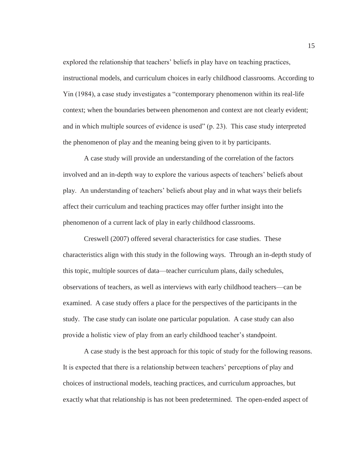explored the relationship that teachers' beliefs in play have on teaching practices, instructional models, and curriculum choices in early childhood classrooms. According to Yin (1984), a case study investigates a "contemporary phenomenon within its real-life context; when the boundaries between phenomenon and context are not clearly evident; and in which multiple sources of evidence is used" (p. 23). This case study interpreted the phenomenon of play and the meaning being given to it by participants.

 A case study will provide an understanding of the correlation of the factors involved and an in-depth way to explore the various aspects of teachers' beliefs about play. An understanding of teachers' beliefs about play and in what ways their beliefs affect their curriculum and teaching practices may offer further insight into the phenomenon of a current lack of play in early childhood classrooms.

 Creswell (2007) offered several characteristics for case studies. These characteristics align with this study in the following ways. Through an in-depth study of this topic, multiple sources of data—teacher curriculum plans, daily schedules, observations of teachers, as well as interviews with early childhood teachers—can be examined. A case study offers a place for the perspectives of the participants in the study. The case study can isolate one particular population. A case study can also provide a holistic view of play from an early childhood teacher's standpoint.

 A case study is the best approach for this topic of study for the following reasons. It is expected that there is a relationship between teachers' perceptions of play and choices of instructional models, teaching practices, and curriculum approaches, but exactly what that relationship is has not been predetermined. The open-ended aspect of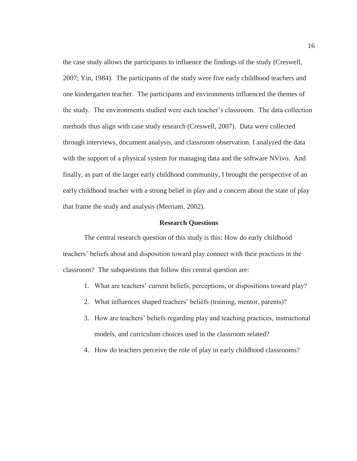the case study allows the participants to influence the findings of the study (Creswell, 2007; Yin, 1984). The participants of the study were five early childhood teachers and one kindergarten teacher. The participants and environments influenced the themes of the study. The environments studied were each teacher's classroom. The data collection methods thus align with case study research (Creswell, 2007). Data were collected through interviews, document analysis, and classroom observation. I analyzed the data with the support of a physical system for managing data and the software NVivo. And finally, as part of the larger early childhood community, I brought the perspective of an early childhood teacher with a strong belief in play and a concern about the state of play that frame the study and analysis (Merriam, 2002).

#### **Research Questions**

 The central research question of this study is this: How do early childhood teachers' beliefs about and disposition toward play connect with their practices in the classroom? The subquestions that follow this central question are:

- 1. What are teachers' current beliefs, perceptions, or dispositions toward play?
- 2. What influences shaped teachers' beliefs (training, mentor, parents)?
- 3. How are teachers' beliefs regarding play and teaching practices, instructional models, and curriculum choices used in the classroom related?
- 4. How do teachers perceive the role of play in early childhood classrooms?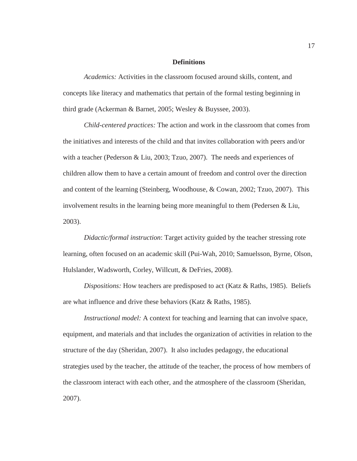#### **Definitions**

*Academics:* Activities in the classroom focused around skills, content, and concepts like literacy and mathematics that pertain of the formal testing beginning in third grade (Ackerman & Barnet, 2005; Wesley & Buyssee, 2003).

*Child-centered practices:* The action and work in the classroom that comes from the initiatives and interests of the child and that invites collaboration with peers and/or with a teacher (Pederson & Liu, 2003; Tzuo, 2007). The needs and experiences of children allow them to have a certain amount of freedom and control over the direction and content of the learning (Steinberg, Woodhouse, & Cowan, 2002; Tzuo, 2007). This involvement results in the learning being more meaningful to them (Pedersen & Liu, 2003).

*Didactic/formal instruction*: Target activity guided by the teacher stressing rote learning, often focused on an academic skill (Pui-Wah, 2010; Samuelsson, Byrne, Olson, Hulslander, Wadsworth, Corley, Willcutt, & DeFries, 2008).

*Dispositions:* How teachers are predisposed to act (Katz & Raths, 1985). Beliefs are what influence and drive these behaviors (Katz & Raths, 1985).

*Instructional model:* A context for teaching and learning that can involve space, equipment, and materials and that includes the organization of activities in relation to the structure of the day (Sheridan, 2007). It also includes pedagogy, the educational strategies used by the teacher, the attitude of the teacher, the process of how members of the classroom interact with each other, and the atmosphere of the classroom (Sheridan, 2007).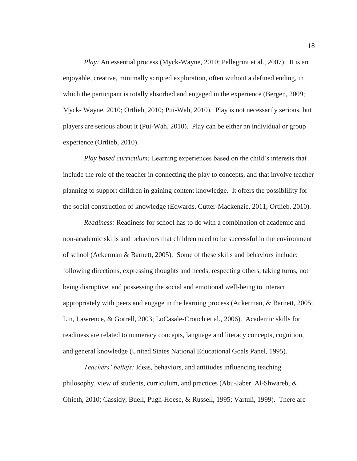*Play:* An essential process (Myck-Wayne, 2010; Pellegrini et al., 2007). It is an enjoyable, creative, minimally scripted exploration, often without a defined ending, in which the participant is totally absorbed and engaged in the experience (Bergen, 2009; Myck- Wayne, 2010; Ortlieb, 2010; Pui-Wah, 2010). Play is not necessarily serious, but players are serious about it (Pui-Wah, 2010). Play can be either an individual or group experience (Ortlieb, 2010).

*Play based curriculum:* Learning experiences based on the child's interests that include the role of the teacher in connecting the play to concepts, and that involve teacher planning to support children in gaining content knowledge. It offers the possiblility for the social construction of knowledge (Edwards, Cutter-Mackenzie, 2011; Ortlieb, 2010).

*Readiness:* Readiness for school has to do with a combination of academic and non-academic skills and behaviors that children need to be successful in the environment of school (Ackerman & Barnett, 2005). Some of these skills and behaviors include: following directions, expressing thoughts and needs, respecting others, taking turns, not being disruptive, and possessing the social and emotional well-being to interact appropriately with peers and engage in the learning process (Ackerman, & Barnett, 2005; Lin, Lawrence, & Gorrell, 2003; LoCasale-Crouch et al., 2006). Academic skills for readiness are related to numeracy concepts, language and literacy concepts, cognition, and general knowledge (United States National Educational Goals Panel, 1995).

*Teachers' beliefs:* Ideas, behaviors, and attitiudes influencing teaching philosophy, view of students, curriculum, and practices (Abu-Jaber, Al-Shwareb, & Ghieth, 2010; Cassidy, Buell, Pugh-Hoese, & Russell, 1995; Vartuli, 1999). There are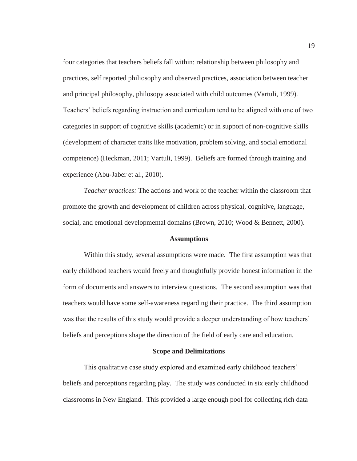four categories that teachers beliefs fall within: relationship between philosophy and practices, self reported philiosophy and observed practices, association between teacher and principal philosophy, philosopy associated with child outcomes (Vartuli, 1999). Teachers' beliefs regarding instruction and curriculum tend to be aligned with one of two categories in support of cognitive skills (academic) or in support of non-cognitive skills (development of character traits like motivation, problem solving, and social emotional competence) (Heckman, 2011; Vartuli, 1999). Beliefs are formed through training and experience (Abu-Jaber et al., 2010).

*Teacher practices:* The actions and work of the teacher within the classroom that promote the growth and development of children across physical, cognitive, language, social, and emotional developmental domains (Brown, 2010; Wood & Bennett, 2000).

#### **Assumptions**

 Within this study, several assumptions were made. The first assumption was that early childhood teachers would freely and thoughtfully provide honest information in the form of documents and answers to interview questions. The second assumption was that teachers would have some self-awareness regarding their practice. The third assumption was that the results of this study would provide a deeper understanding of how teachers' beliefs and perceptions shape the direction of the field of early care and education.

#### **Scope and Delimitations**

This qualitative case study explored and examined early childhood teachers' beliefs and perceptions regarding play. The study was conducted in six early childhood classrooms in New England. This provided a large enough pool for collecting rich data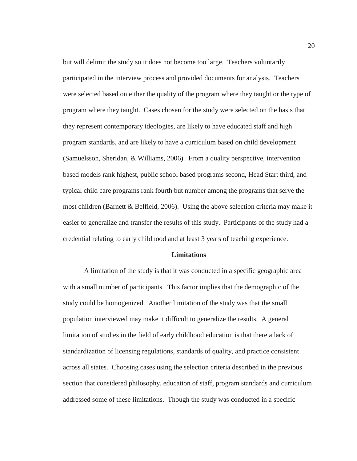but will delimit the study so it does not become too large. Teachers voluntarily participated in the interview process and provided documents for analysis. Teachers were selected based on either the quality of the program where they taught or the type of program where they taught. Cases chosen for the study were selected on the basis that they represent contemporary ideologies, are likely to have educated staff and high program standards, and are likely to have a curriculum based on child development (Samuelsson, Sheridan, & Williams, 2006). From a quality perspective, intervention based models rank highest, public school based programs second, Head Start third, and typical child care programs rank fourth but number among the programs that serve the most children (Barnett & Belfield, 2006). Using the above selection criteria may make it easier to generalize and transfer the results of this study. Participants of the study had a credential relating to early childhood and at least 3 years of teaching experience.

#### **Limitations**

A limitation of the study is that it was conducted in a specific geographic area with a small number of participants. This factor implies that the demographic of the study could be homogenized. Another limitation of the study was that the small population interviewed may make it difficult to generalize the results. A general limitation of studies in the field of early childhood education is that there a lack of standardization of licensing regulations, standards of quality, and practice consistent across all states. Choosing cases using the selection criteria described in the previous section that considered philosophy, education of staff, program standards and curriculum addressed some of these limitations. Though the study was conducted in a specific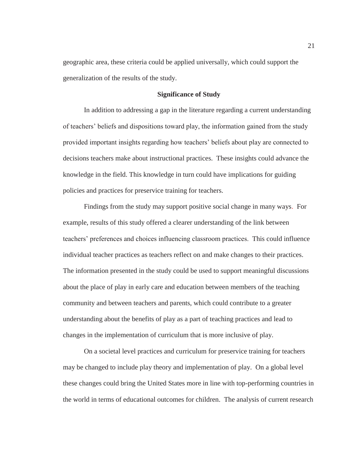geographic area, these criteria could be applied universally, which could support the generalization of the results of the study.

#### **Significance of Study**

 In addition to addressing a gap in the literature regarding a current understanding of teachers' beliefs and dispositions toward play, the information gained from the study provided important insights regarding how teachers' beliefs about play are connected to decisions teachers make about instructional practices. These insights could advance the knowledge in the field. This knowledge in turn could have implications for guiding policies and practices for preservice training for teachers.

 Findings from the study may support positive social change in many ways. For example, results of this study offered a clearer understanding of the link between teachers' preferences and choices influencing classroom practices. This could influence individual teacher practices as teachers reflect on and make changes to their practices. The information presented in the study could be used to support meaningful discussions about the place of play in early care and education between members of the teaching community and between teachers and parents, which could contribute to a greater understanding about the benefits of play as a part of teaching practices and lead to changes in the implementation of curriculum that is more inclusive of play.

On a societal level practices and curriculum for preservice training for teachers may be changed to include play theory and implementation of play. On a global level these changes could bring the United States more in line with top-performing countries in the world in terms of educational outcomes for children. The analysis of current research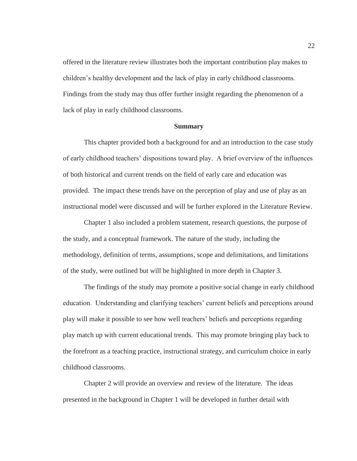offered in the literature review illustrates both the important contribution play makes to children's healthy development and the lack of play in early childhood classrooms. Findings from the study may thus offer further insight regarding the phenomenon of a lack of play in early childhood classrooms.

#### **Summary**

 This chapter provided both a background for and an introduction to the case study of early childhood teachers' dispositions toward play. A brief overview of the influences of both historical and current trends on the field of early care and education was provided. The impact these trends have on the perception of play and use of play as an instructional model were discussed and will be further explored in the Literature Review.

 Chapter 1 also included a problem statement, research questions, the purpose of the study, and a conceptual framework. The nature of the study, including the methodology, definition of terms, assumptions, scope and delimitations, and limitations of the study, were outlined but will be highlighted in more depth in Chapter 3.

 The findings of the study may promote a positive social change in early childhood education. Understanding and clarifying teachers' current beliefs and perceptions around play will make it possible to see how well teachers' beliefs and perceptions regarding play match up with current educational trends. This may promote bringing play back to the forefront as a teaching practice, instructional strategy, and curriculum choice in early childhood classrooms.

 Chapter 2 will provide an overview and review of the literature. The ideas presented in the background in Chapter 1 will be developed in further detail with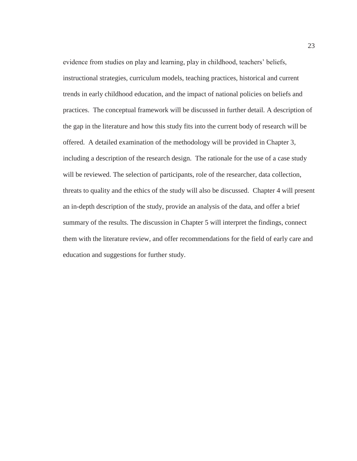evidence from studies on play and learning, play in childhood, teachers' beliefs, instructional strategies, curriculum models, teaching practices, historical and current trends in early childhood education, and the impact of national policies on beliefs and practices. The conceptual framework will be discussed in further detail. A description of the gap in the literature and how this study fits into the current body of research will be offered. A detailed examination of the methodology will be provided in Chapter 3, including a description of the research design. The rationale for the use of a case study will be reviewed. The selection of participants, role of the researcher, data collection, threats to quality and the ethics of the study will also be discussed. Chapter 4 will present an in-depth description of the study, provide an analysis of the data, and offer a brief summary of the results. The discussion in Chapter 5 will interpret the findings, connect them with the literature review, and offer recommendations for the field of early care and education and suggestions for further study.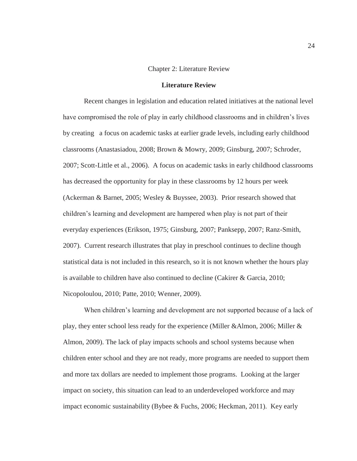### Chapter 2: Literature Review

#### **Literature Review**

 Recent changes in legislation and education related initiatives at the national level have compromised the role of play in early childhood classrooms and in children's lives by creating a focus on academic tasks at earlier grade levels, including early childhood classrooms (Anastasiadou, 2008; Brown & Mowry, 2009; Ginsburg, 2007; Schroder, 2007; Scott-Little et al., 2006). A focus on academic tasks in early childhood classrooms has decreased the opportunity for play in these classrooms by 12 hours per week (Ackerman & Barnet, 2005; Wesley & Buyssee, 2003). Prior research showed that children's learning and development are hampered when play is not part of their everyday experiences (Erikson, 1975; Ginsburg, 2007; Panksepp, 2007; Ranz-Smith, 2007). Current research illustrates that play in preschool continues to decline though statistical data is not included in this research, so it is not known whether the hours play is available to children have also continued to decline (Cakirer & Garcia, 2010; Nicopoloulou, 2010; Patte, 2010; Wenner, 2009).

When children's learning and development are not supported because of a lack of play, they enter school less ready for the experience (Miller &Almon, 2006; Miller & Almon, 2009). The lack of play impacts schools and school systems because when children enter school and they are not ready, more programs are needed to support them and more tax dollars are needed to implement those programs. Looking at the larger impact on society, this situation can lead to an underdeveloped workforce and may impact economic sustainability (Bybee & Fuchs, 2006; Heckman, 2011). Key early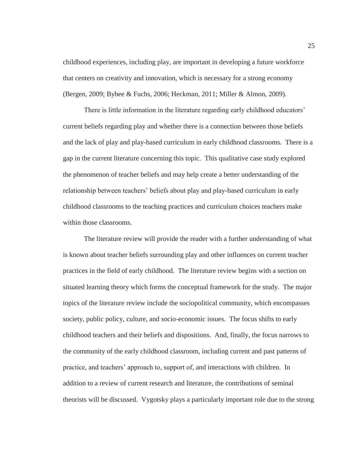childhood experiences, including play, are important in developing a future workforce that centers on creativity and innovation, which is necessary for a strong economy (Bergen, 2009; Bybee & Fuchs, 2006; Heckman, 2011; Miller & Almon, 2009).

There is little information in the literature regarding early childhood educators' current beliefs regarding play and whether there is a connection between those beliefs and the lack of play and play-based curriculum in early childhood classrooms. There is a gap in the current literature concerning this topic. This qualitative case study explored the phenomenon of teacher beliefs and may help create a better understanding of the relationship between teachers' beliefs about play and play-based curriculum in early childhood classrooms to the teaching practices and curriculum choices teachers make within those classrooms.

The literature review will provide the reader with a further understanding of what is known about teacher beliefs surrounding play and other influences on current teacher practices in the field of early childhood. The literature review begins with a section on situated learning theory which forms the conceptual framework for the study. The major topics of the literature review include the sociopolitical community, which encompasses society, public policy, culture, and socio-economic issues. The focus shifts to early childhood teachers and their beliefs and dispositions. And, finally, the focus narrows to the community of the early childhood classroom, including current and past patterns of practice, and teachers' approach to, support of, and interactions with children. In addition to a review of current research and literature, the contributions of seminal theorists will be discussed. Vygotsky plays a particularly important role due to the strong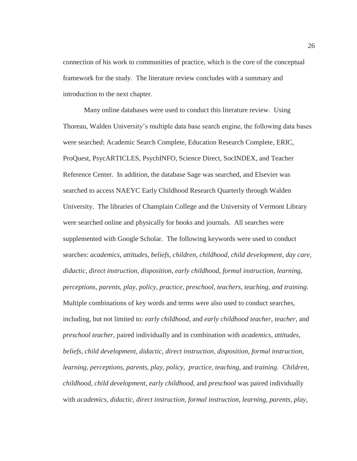connection of his work to communities of practice, which is the core of the conceptual framework for the study. The literature review concludes with a summary and introduction to the next chapter.

Many online databases were used to conduct this literature review. Using Thoreau, Walden University's multiple data base search engine, the following data bases were searched: Academic Search Complete, Education Research Complete, ERIC, ProQuest, PsycARTICLES, PsychINFO, Science Direct, SocINDEX, and Teacher Reference Center. In addition, the database Sage was searched, and Elsevier was searched to access NAEYC Early Childhood Research Quarterly through Walden University. The libraries of Champlain College and the University of Vermont Library were searched online and physically for books and journals. All searches were supplemented with Google Scholar. The following keywords were used to conduct searches: *academics*, *attitudes, beliefs, children, childhood, child development, day care, didactic, direct instruction, disposition, early childhood, formal instruction, learning, perceptions, parents, play, policy, practice, preschool, teachers, teaching, and training.*  Multiple combinations of key words and terms were also used to conduct searches, including, but not limited to: *early childhood*, and *early childhood teacher, teacher*, and *preschool teacher*, paired individually and in combination with *academics, attitudes, beliefs, child development, didactic, direct instruction, disposition, formal instruction, learning, perceptions, parents, play, policy, practice, teaching,* and *training. Children, childhood, child development, early childhood,* and *preschool* was paired individually with *academics, didactic, direct instruction, formal instruction, learning, parents, play,*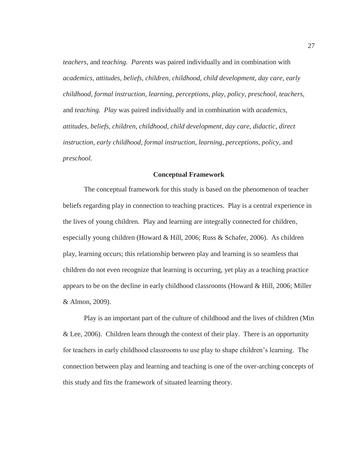*teachers,* and *teaching. Parents* was paired individually and in combination with *academics, attitudes, beliefs, children, childhood, child development, day care, early childhood, formal instruction, learning, perceptions, play, policy, preschool, teachers,*  and *teaching. Play* was paired individually and in combination with *academics, attitudes, beliefs, children, childhood, child development, day care, didactic, direct instruction, early childhood, formal instruction, learning, perceptions, policy, and preschool.* 

#### **Conceptual Framework**

The conceptual framework for this study is based on the phenomenon of teacher beliefs regarding play in connection to teaching practices. Play is a central experience in the lives of young children. Play and learning are integrally connected for children, especially young children (Howard & Hill, 2006; Russ & Schafer, 2006). As children play, learning occurs; this relationship between play and learning is so seamless that children do not even recognize that learning is occurring, yet play as a teaching practice appears to be on the decline in early childhood classrooms (Howard & Hill, 2006; Miller & Almon, 2009).

Play is an important part of the culture of childhood and the lives of children (Min  $&$  Lee, 2006). Children learn through the context of their play. There is an opportunity for teachers in early childhood classrooms to use play to shape children's learning. The connection between play and learning and teaching is one of the over-arching concepts of this study and fits the framework of situated learning theory.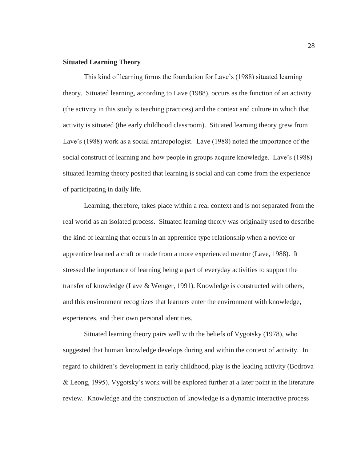## **Situated Learning Theory**

 This kind of learning forms the foundation for Lave's (1988) situated learning theory. Situated learning, according to Lave (1988), occurs as the function of an activity (the activity in this study is teaching practices) and the context and culture in which that activity is situated (the early childhood classroom). Situated learning theory grew from Lave's (1988) work as a social anthropologist. Lave (1988) noted the importance of the social construct of learning and how people in groups acquire knowledge. Lave's (1988) situated learning theory posited that learning is social and can come from the experience of participating in daily life.

 Learning, therefore, takes place within a real context and is not separated from the real world as an isolated process. Situated learning theory was originally used to describe the kind of learning that occurs in an apprentice type relationship when a novice or apprentice learned a craft or trade from a more experienced mentor (Lave, 1988). It stressed the importance of learning being a part of everyday activities to support the transfer of knowledge (Lave & Wenger, 1991). Knowledge is constructed with others, and this environment recognizes that learners enter the environment with knowledge, experiences, and their own personal identities.

 Situated learning theory pairs well with the beliefs of Vygotsky (1978), who suggested that human knowledge develops during and within the context of activity. In regard to children's development in early childhood, play is the leading activity (Bodrova & Leong, 1995). Vygotsky's work will be explored further at a later point in the literature review. Knowledge and the construction of knowledge is a dynamic interactive process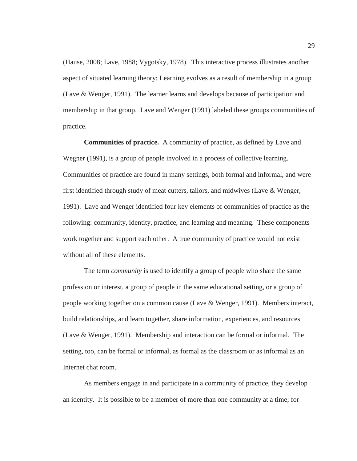(Hause, 2008; Lave, 1988; Vygotsky, 1978). This interactive process illustrates another aspect of situated learning theory: Learning evolves as a result of membership in a group (Lave & Wenger, 1991). The learner learns and develops because of participation and membership in that group. Lave and Wenger (1991) labeled these groups communities of practice.

**Communities of practice.** A community of practice, as defined by Lave and Wegner (1991), is a group of people involved in a process of collective learning. Communities of practice are found in many settings, both formal and informal, and were first identified through study of meat cutters, tailors, and midwives (Lave & Wenger, 1991). Lave and Wenger identified four key elements of communities of practice as the following: community, identity, practice, and learning and meaning. These components work together and support each other. A true community of practice would not exist without all of these elements.

 The term *community* is used to identify a group of people who share the same profession or interest, a group of people in the same educational setting, or a group of people working together on a common cause (Lave & Wenger, 1991). Members interact, build relationships, and learn together, share information, experiences, and resources (Lave & Wenger, 1991). Membership and interaction can be formal or informal. The setting, too, can be formal or informal, as formal as the classroom or as informal as an Internet chat room.

 As members engage in and participate in a community of practice, they develop an identity. It is possible to be a member of more than one community at a time; for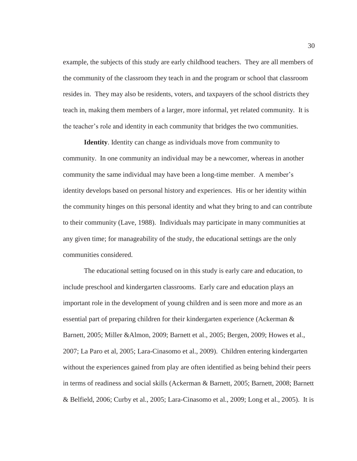example, the subjects of this study are early childhood teachers. They are all members of the community of the classroom they teach in and the program or school that classroom resides in. They may also be residents, voters, and taxpayers of the school districts they teach in, making them members of a larger, more informal, yet related community. It is the teacher's role and identity in each community that bridges the two communities.

**Identity**. Identity can change as individuals move from community to community. In one community an individual may be a newcomer, whereas in another community the same individual may have been a long-time member. A member's identity develops based on personal history and experiences. His or her identity within the community hinges on this personal identity and what they bring to and can contribute to their community (Lave, 1988). Individuals may participate in many communities at any given time; for manageability of the study, the educational settings are the only communities considered.

The educational setting focused on in this study is early care and education, to include preschool and kindergarten classrooms. Early care and education plays an important role in the development of young children and is seen more and more as an essential part of preparing children for their kindergarten experience (Ackerman & Barnett, 2005; Miller &Almon, 2009; Barnett et al., 2005; Bergen, 2009; Howes et al., 2007; La Paro et al, 2005; Lara-Cinasomo et al., 2009). Children entering kindergarten without the experiences gained from play are often identified as being behind their peers in terms of readiness and social skills (Ackerman & Barnett, 2005; Barnett, 2008; Barnett & Belfield, 2006; Curby et al., 2005; Lara-Cinasomo et al., 2009; Long et al., 2005). It is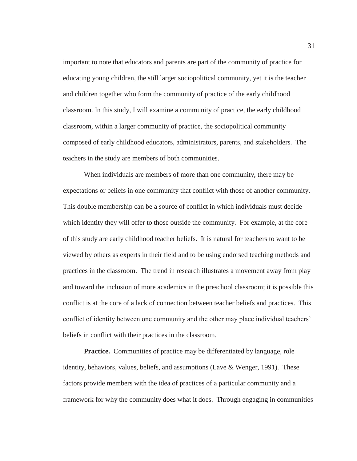important to note that educators and parents are part of the community of practice for educating young children, the still larger sociopolitical community, yet it is the teacher and children together who form the community of practice of the early childhood classroom. In this study, I will examine a community of practice, the early childhood classroom, within a larger community of practice, the sociopolitical community composed of early childhood educators, administrators, parents, and stakeholders. The teachers in the study are members of both communities.

When individuals are members of more than one community, there may be expectations or beliefs in one community that conflict with those of another community. This double membership can be a source of conflict in which individuals must decide which identity they will offer to those outside the community. For example, at the core of this study are early childhood teacher beliefs. It is natural for teachers to want to be viewed by others as experts in their field and to be using endorsed teaching methods and practices in the classroom. The trend in research illustrates a movement away from play and toward the inclusion of more academics in the preschool classroom; it is possible this conflict is at the core of a lack of connection between teacher beliefs and practices. This conflict of identity between one community and the other may place individual teachers' beliefs in conflict with their practices in the classroom.

**Practice.** Communities of practice may be differentiated by language, role identity, behaviors, values, beliefs, and assumptions (Lave & Wenger, 1991). These factors provide members with the idea of practices of a particular community and a framework for why the community does what it does. Through engaging in communities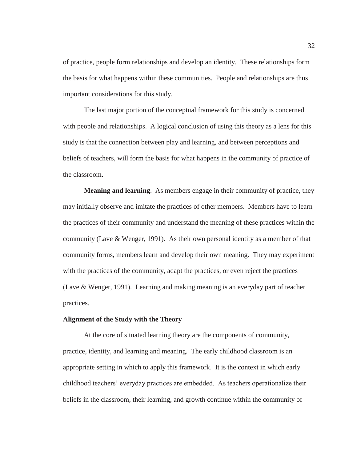of practice, people form relationships and develop an identity. These relationships form the basis for what happens within these communities. People and relationships are thus important considerations for this study.

The last major portion of the conceptual framework for this study is concerned with people and relationships. A logical conclusion of using this theory as a lens for this study is that the connection between play and learning, and between perceptions and beliefs of teachers, will form the basis for what happens in the community of practice of the classroom.

 **Meaning and learning**. As members engage in their community of practice, they may initially observe and imitate the practices of other members. Members have to learn the practices of their community and understand the meaning of these practices within the community (Lave & Wenger, 1991). As their own personal identity as a member of that community forms, members learn and develop their own meaning. They may experiment with the practices of the community, adapt the practices, or even reject the practices (Lave & Wenger, 1991). Learning and making meaning is an everyday part of teacher practices.

#### **Alignment of the Study with the Theory**

At the core of situated learning theory are the components of community, practice, identity, and learning and meaning. The early childhood classroom is an appropriate setting in which to apply this framework. It is the context in which early childhood teachers' everyday practices are embedded. As teachers operationalize their beliefs in the classroom, their learning, and growth continue within the community of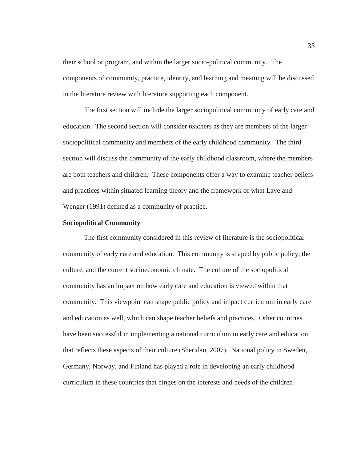their school or program, and within the larger socio-political community. The components of community, practice, identity, and learning and meaning will be discussed in the literature review with literature supporting each component.

The first section will include the larger sociopolitical community of early care and education. The second section will consider teachers as they are members of the larger sociopolitical community and members of the early childhood community. The third section will discuss the community of the early childhood classroom, where the members are both teachers and children. These components offer a way to examine teacher beliefs and practices within situated learning theory and the framework of what Lave and Wenger (1991) defined as a community of practice.

## **Sociopolitical Community**

 The first community considered in this review of literature is the sociopolitical community of early care and education. This community is shaped by public policy, the culture, and the current socioeconomic climate. The culture of the sociopolitical community has an impact on how early care and education is viewed within that community. This viewpoint can shape public policy and impact curriculum in early care and education as well, which can shape teacher beliefs and practices. Other countries have been successful in implementing a national curriculum in early care and education that reflects these aspects of their culture (Sheridan, 2007). National policy in Sweden, Germany, Norway, and Finland has played a role in developing an early childhood curriculum in these countries that hinges on the interests and needs of the children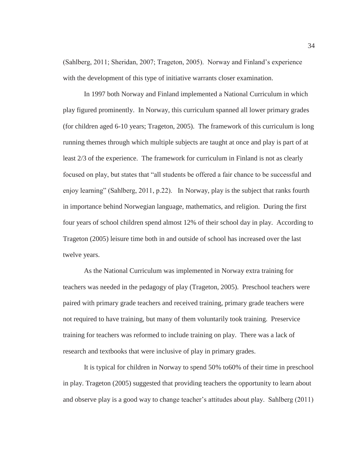(Sahlberg, 2011; Sheridan, 2007; Trageton, 2005). Norway and Finland's experience with the development of this type of initiative warrants closer examination.

 In 1997 both Norway and Finland implemented a National Curriculum in which play figured prominently. In Norway, this curriculum spanned all lower primary grades (for children aged 6-10 years; Trageton, 2005). The framework of this curriculum is long running themes through which multiple subjects are taught at once and play is part of at least 2/3 of the experience. The framework for curriculum in Finland is not as clearly focused on play, but states that "all students be offered a fair chance to be successful and enjoy learning" (Sahlberg, 2011, p.22). In Norway, play is the subject that ranks fourth in importance behind Norwegian language, mathematics, and religion. During the first four years of school children spend almost 12% of their school day in play. According to Trageton (2005) leisure time both in and outside of school has increased over the last twelve years.

 As the National Curriculum was implemented in Norway extra training for teachers was needed in the pedagogy of play (Trageton, 2005). Preschool teachers were paired with primary grade teachers and received training, primary grade teachers were not required to have training, but many of them voluntarily took training. Preservice training for teachers was reformed to include training on play. There was a lack of research and textbooks that were inclusive of play in primary grades.

 It is typical for children in Norway to spend 50% to60% of their time in preschool in play. Trageton (2005) suggested that providing teachers the opportunity to learn about and observe play is a good way to change teacher's attitudes about play. Sahlberg (2011)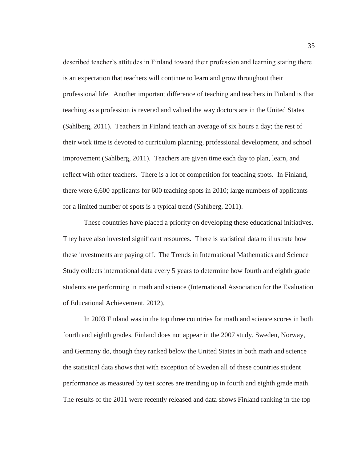described teacher's attitudes in Finland toward their profession and learning stating there is an expectation that teachers will continue to learn and grow throughout their professional life. Another important difference of teaching and teachers in Finland is that teaching as a profession is revered and valued the way doctors are in the United States (Sahlberg, 2011). Teachers in Finland teach an average of six hours a day; the rest of their work time is devoted to curriculum planning, professional development, and school improvement (Sahlberg, 2011). Teachers are given time each day to plan, learn, and reflect with other teachers. There is a lot of competition for teaching spots. In Finland, there were 6,600 applicants for 600 teaching spots in 2010; large numbers of applicants for a limited number of spots is a typical trend (Sahlberg, 2011).

 These countries have placed a priority on developing these educational initiatives. They have also invested significant resources. There is statistical data to illustrate how these investments are paying off. The Trends in International Mathematics and Science Study collects international data every 5 years to determine how fourth and eighth grade students are performing in math and science (International Association for the Evaluation of Educational Achievement, 2012).

 In 2003 Finland was in the top three countries for math and science scores in both fourth and eighth grades. Finland does not appear in the 2007 study. Sweden, Norway, and Germany do, though they ranked below the United States in both math and science the statistical data shows that with exception of Sweden all of these countries student performance as measured by test scores are trending up in fourth and eighth grade math. The results of the 2011 were recently released and data shows Finland ranking in the top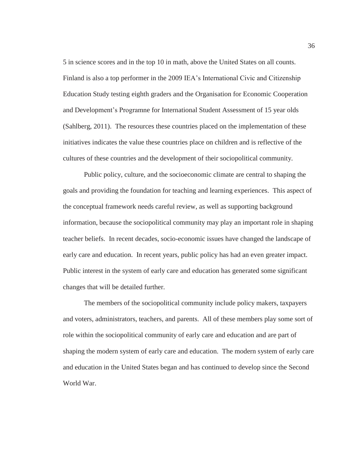5 in science scores and in the top 10 in math, above the United States on all counts. Finland is also a top performer in the 2009 IEA's International Civic and Citizenship Education Study testing eighth graders and the Organisation for Economic Cooperation and Development's Programne for International Student Assessment of 15 year olds (Sahlberg, 2011). The resources these countries placed on the implementation of these initiatives indicates the value these countries place on children and is reflective of the cultures of these countries and the development of their sociopolitical community.

 Public policy, culture, and the socioeconomic climate are central to shaping the goals and providing the foundation for teaching and learning experiences. This aspect of the conceptual framework needs careful review, as well as supporting background information, because the sociopolitical community may play an important role in shaping teacher beliefs. In recent decades, socio-economic issues have changed the landscape of early care and education. In recent years, public policy has had an even greater impact. Public interest in the system of early care and education has generated some significant changes that will be detailed further.

 The members of the sociopolitical community include policy makers, taxpayers and voters, administrators, teachers, and parents. All of these members play some sort of role within the sociopolitical community of early care and education and are part of shaping the modern system of early care and education. The modern system of early care and education in the United States began and has continued to develop since the Second World War.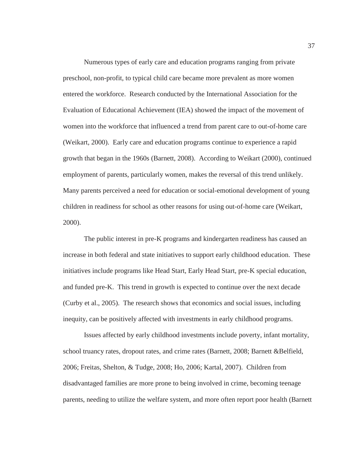Numerous types of early care and education programs ranging from private preschool, non-profit, to typical child care became more prevalent as more women entered the workforce. Research conducted by the International Association for the Evaluation of Educational Achievement (IEA) showed the impact of the movement of women into the workforce that influenced a trend from parent care to out-of-home care (Weikart, 2000). Early care and education programs continue to experience a rapid growth that began in the 1960s (Barnett, 2008). According to Weikart (2000), continued employment of parents, particularly women, makes the reversal of this trend unlikely. Many parents perceived a need for education or social-emotional development of young children in readiness for school as other reasons for using out-of-home care (Weikart, 2000).

The public interest in pre-K programs and kindergarten readiness has caused an increase in both federal and state initiatives to support early childhood education. These initiatives include programs like Head Start, Early Head Start, pre-K special education, and funded pre-K. This trend in growth is expected to continue over the next decade (Curby et al., 2005). The research shows that economics and social issues, including inequity, can be positively affected with investments in early childhood programs.

 Issues affected by early childhood investments include poverty, infant mortality, school truancy rates, dropout rates, and crime rates (Barnett, 2008; Barnett &Belfield, 2006; Freitas, Shelton, & Tudge, 2008; Ho, 2006; Kartal, 2007). Children from disadvantaged families are more prone to being involved in crime, becoming teenage parents, needing to utilize the welfare system, and more often report poor health (Barnett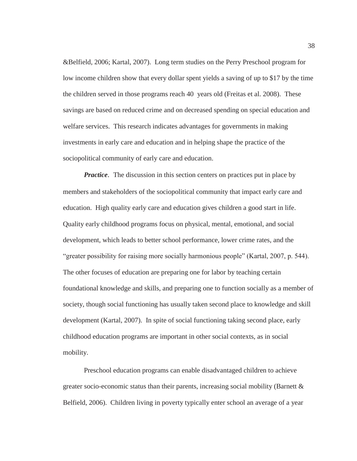&Belfield, 2006; Kartal, 2007). Long term studies on the Perry Preschool program for low income children show that every dollar spent yields a saving of up to \$17 by the time the children served in those programs reach 40 years old (Freitas et al. 2008). These savings are based on reduced crime and on decreased spending on special education and welfare services. This research indicates advantages for governments in making investments in early care and education and in helping shape the practice of the sociopolitical community of early care and education.

*Practice*. The discussion in this section centers on practices put in place by members and stakeholders of the sociopolitical community that impact early care and education. High quality early care and education gives children a good start in life. Quality early childhood programs focus on physical, mental, emotional, and social development, which leads to better school performance, lower crime rates, and the "greater possibility for raising more socially harmonious people" (Kartal, 2007, p. 544). The other focuses of education are preparing one for labor by teaching certain foundational knowledge and skills, and preparing one to function socially as a member of society, though social functioning has usually taken second place to knowledge and skill development (Kartal, 2007). In spite of social functioning taking second place, early childhood education programs are important in other social contexts, as in social mobility.

 Preschool education programs can enable disadvantaged children to achieve greater socio-economic status than their parents, increasing social mobility (Barnett & Belfield, 2006). Children living in poverty typically enter school an average of a year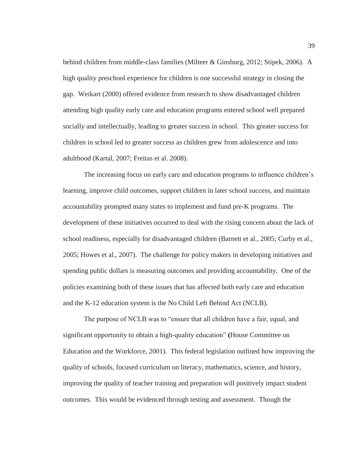behind children from middle-class families (Milteer & Ginsburg, 2012; Stipek, 2006). A high quality preschool experience for children is one successful strategy in closing the gap. Weikart (2000) offered evidence from research to show disadvantaged children attending high quality early care and education programs entered school well prepared socially and intellectually, leading to greater success in school. This greater success for children in school led to greater success as children grew from adolescence and into adulthood (Kartal, 2007; Freitas et al. 2008).

 The increasing focus on early care and education programs to influence children's learning, improve child outcomes, support children in later school success, and maintain accountability prompted many states to implement and fund pre-K programs. The development of these initiatives occurred to deal with the rising concern about the lack of school readiness, especially for disadvantaged children (Barnett et al., 2005; Curby et al., 2005; Howes et al., 2007). The challenge for policy makers in developing initiatives and spending public dollars is measuring outcomes and providing accountability. One of the policies examining both of these issues that has affected both early care and education and the K-12 education system is the No Child Left Behind Act (NCLB).

The purpose of NCLB was to "ensure that all children have a fair, equal, and significant opportunity to obtain a high-quality education" **(**House Committee on Education and the Workforce, 2001). This federal legislation outlined how improving the quality of schools, focused curriculum on literacy, mathematics, science, and history, improving the quality of teacher training and preparation will positively impact student outcomes. This would be evidenced through testing and assessment. Though the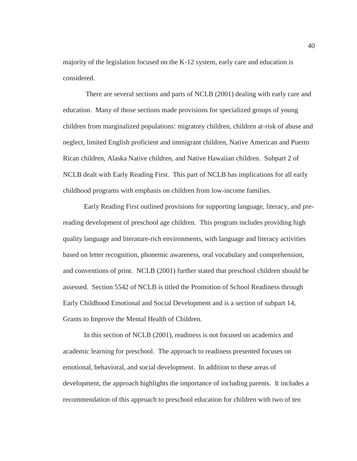majority of the legislation focused on the K-12 system, early care and education is considered.

 There are several sections and parts of NCLB (2001) dealing with early care and education. Many of those sections made provisions for specialized groups of young children from marginalized populations: migratory children, children at-risk of abuse and neglect, limited English proficient and immigrant children, Native American and Puerto Rican children, Alaska Native children, and Native Hawaiian children. Subpart 2 of NCLB dealt with Early Reading First. This part of NCLB has implications for all early childhood programs with emphasis on children from low-income families.

 Early Reading First outlined provisions for supporting language, literacy, and prereading development of preschool age children. This program includes providing high quality language and literature-rich environments, with language and literacy activities based on letter recognition, phonemic awareness, oral vocabulary and comprehension, and conventions of print. NCLB (2001) further stated that preschool children should be assessed.Section 5542 of NCLB is titled the Promotion of School Readiness through Early Childhood Emotional and Social Development and is a section of subpart 14, Grants to Improve the Mental Health of Children.

 In this section of NCLB (2001), readiness is not focused on academics and academic learning for preschool. The approach to readiness presented focuses on emotional, behavioral, and social development. In addition to these areas of development, the approach highlights the importance of including parents. It includes a recommendation of this approach to preschool education for children with two of ten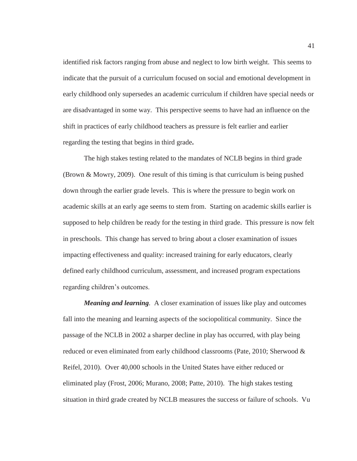identified risk factors ranging from abuse and neglect to low birth weight. This seems to indicate that the pursuit of a curriculum focused on social and emotional development in early childhood only supersedes an academic curriculum if children have special needs or are disadvantaged in some way.This perspective seems to have had an influence on the shift in practices of early childhood teachers as pressure is felt earlier and earlier regarding the testing that begins in third grade**.** 

 The high stakes testing related to the mandates of NCLB begins in third grade (Brown & Mowry, 2009). One result of this timing is that curriculum is being pushed down through the earlier grade levels. This is where the pressure to begin work on academic skills at an early age seems to stem from. Starting on academic skills earlier is supposed to help children be ready for the testing in third grade. This pressure is now felt in preschools. This change has served to bring about a closer examination of issues impacting effectiveness and quality: increased training for early educators, clearly defined early childhood curriculum, assessment, and increased program expectations regarding children's outcomes.

*Meaning and learning.* A closer examination of issues like play and outcomes fall into the meaning and learning aspects of the sociopolitical community. Since the passage of the NCLB in 2002 a sharper decline in play has occurred, with play being reduced or even eliminated from early childhood classrooms (Pate, 2010; Sherwood & Reifel, 2010). Over 40,000 schools in the United States have either reduced or eliminated play (Frost, 2006; Murano, 2008; Patte, 2010). The high stakes testing situation in third grade created by NCLB measures the success or failure of schools. Vu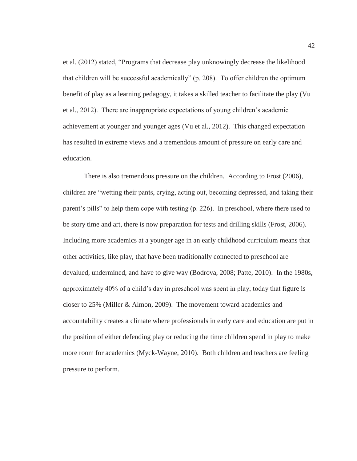et al. (2012) stated, "Programs that decrease play unknowingly decrease the likelihood that children will be successful academically" (p. 208). To offer children the optimum benefit of play as a learning pedagogy, it takes a skilled teacher to facilitate the play (Vu et al., 2012). There are inappropriate expectations of young children's academic achievement at younger and younger ages (Vu et al., 2012). This changed expectation has resulted in extreme views and a tremendous amount of pressure on early care and education.

 There is also tremendous pressure on the children. According to Frost (2006), children are "wetting their pants, crying, acting out, becoming depressed, and taking their parent's pills" to help them cope with testing (p. 226). In preschool, where there used to be story time and art, there is now preparation for tests and drilling skills (Frost, 2006). Including more academics at a younger age in an early childhood curriculum means that other activities, like play, that have been traditionally connected to preschool are devalued, undermined, and have to give way (Bodrova, 2008; Patte, 2010). In the 1980s, approximately 40% of a child's day in preschool was spent in play; today that figure is closer to 25% (Miller & Almon, 2009). The movement toward academics and accountability creates a climate where professionals in early care and education are put in the position of either defending play or reducing the time children spend in play to make more room for academics (Myck-Wayne, 2010). Both children and teachers are feeling pressure to perform.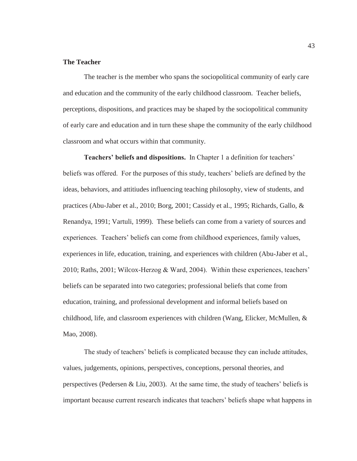# **The Teacher**

 The teacher is the member who spans the sociopolitical community of early care and education and the community of the early childhood classroom. Teacher beliefs, perceptions, dispositions, and practices may be shaped by the sociopolitical community of early care and education and in turn these shape the community of the early childhood classroom and what occurs within that community.

**Teachers' beliefs and dispositions.** In Chapter 1 a definition for teachers' beliefs was offered. For the purposes of this study, teachers' beliefs are defined by the ideas, behaviors, and attitiudes influencing teaching philosophy, view of students, and practices (Abu-Jaber et al., 2010; Borg, 2001; Cassidy et al., 1995; Richards, Gallo, & Renandya, 1991; Vartuli, 1999). These beliefs can come from a variety of sources and experiences. Teachers' beliefs can come from childhood experiences, family values, experiences in life, education, training, and experiences with children (Abu-Jaber et al., 2010; Raths, 2001; Wilcox-Herzog & Ward, 2004). Within these experiences, teachers' beliefs can be separated into two categories; professional beliefs that come from education, training, and professional development and informal beliefs based on childhood, life, and classroom experiences with children (Wang, Elicker, McMullen, & Mao, 2008).

The study of teachers' beliefs is complicated because they can include attitudes, values, judgements, opinions, perspectives, conceptions, personal theories, and perspectives (Pedersen & Liu, 2003). At the same time, the study of teachers' beliefs is important because current research indicates that teachers' beliefs shape what happens in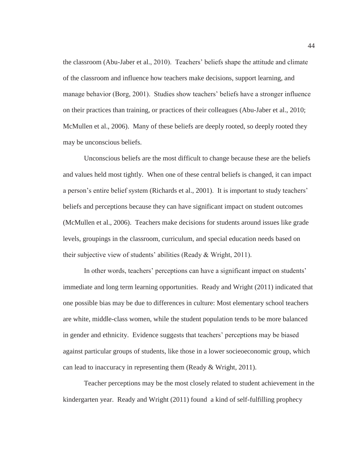the classroom (Abu-Jaber et al., 2010). Teachers' beliefs shape the attitude and climate of the classroom and influence how teachers make decisions, support learning, and manage behavior (Borg, 2001). Studies show teachers' beliefs have a stronger influence on their practices than training, or practices of their colleagues (Abu-Jaber et al., 2010; McMullen et al., 2006). Many of these beliefs are deeply rooted, so deeply rooted they may be unconscious beliefs.

 Unconscious beliefs are the most difficult to change because these are the beliefs and values held most tightly. When one of these central beliefs is changed, it can impact a person's entire belief system (Richards et al., 2001). It is important to study teachers' beliefs and perceptions because they can have significant impact on student outcomes (McMullen et al., 2006). Teachers make decisions for students around issues like grade levels, groupings in the classroom, curriculum, and special education needs based on their subjective view of students' abilities (Ready & Wright, 2011).

In other words, teachers' perceptions can have a significant impact on students' immediate and long term learning opportunities. Ready and Wright (2011) indicated that one possible bias may be due to differences in culture: Most elementary school teachers are white, middle-class women, while the student population tends to be more balanced in gender and ethnicity. Evidence suggests that teachers' perceptions may be biased against particular groups of students, like those in a lower socieoeconomic group, which can lead to inaccuracy in representing them (Ready & Wright, 2011).

 Teacher perceptions may be the most closely related to student achievement in the kindergarten year. Ready and Wright (2011) found a kind of self-fulfilling prophecy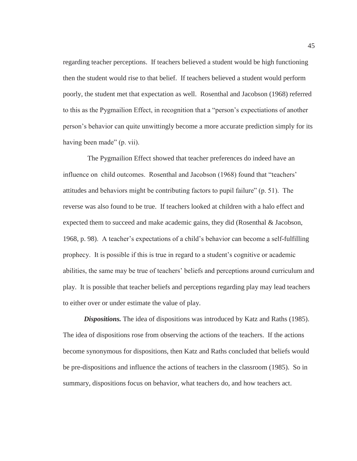regarding teacher perceptions. If teachers believed a student would be high functioning then the student would rise to that belief. If teachers believed a student would perform poorly, the student met that expectation as well. Rosenthal and Jacobson (1968) referred to this as the Pygmailion Effect, in recognition that a "person's expectiations of another person's behavior can quite unwittingly become a more accurate prediction simply for its having been made" (p. vii).

 The Pygmailion Effect showed that teacher preferences do indeed have an influence on child outcomes. Rosenthal and Jacobson (1968) found that "teachers' attitudes and behaviors might be contributing factors to pupil failure" (p. 51). The reverse was also found to be true. If teachers looked at children with a halo effect and expected them to succeed and make academic gains, they did (Rosenthal & Jacobson, 1968, p. 98). A teacher's expectations of a child's behavior can become a self-fulfilling prophecy. It is possible if this is true in regard to a student's cognitive or academic abilities, the same may be true of teachers' beliefs and perceptions around curriculum and play. It is possible that teacher beliefs and perceptions regarding play may lead teachers to either over or under estimate the value of play.

*Dispositions.* The idea of dispositions was introduced by Katz and Raths (1985). The idea of dispositions rose from observing the actions of the teachers. If the actions become synonymous for dispositions, then Katz and Raths concluded that beliefs would be pre-dispositions and influence the actions of teachers in the classroom (1985). So in summary, dispositions focus on behavior, what teachers do, and how teachers act.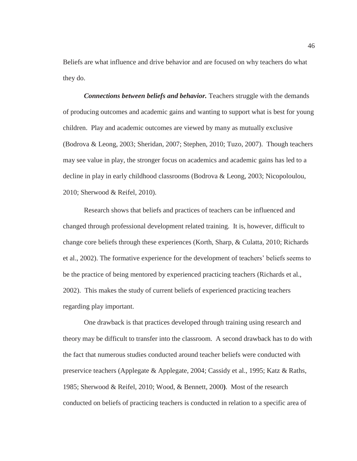Beliefs are what influence and drive behavior and are focused on why teachers do what they do.

*Connections between beliefs and behavior.* Teachers struggle with the demands of producing outcomes and academic gains and wanting to support what is best for young children. Play and academic outcomes are viewed by many as mutually exclusive (Bodrova & Leong, 2003; Sheridan, 2007; Stephen, 2010; Tuzo, 2007). Though teachers may see value in play, the stronger focus on academics and academic gains has led to a decline in play in early childhood classrooms (Bodrova & Leong, 2003; Nicopoloulou, 2010; Sherwood & Reifel, 2010).

 Research shows that beliefs and practices of teachers can be influenced and changed through professional development related training. It is, however, difficult to change core beliefs through these experiences (Korth, Sharp, & Culatta, 2010; Richards et al., 2002). The formative experience for the development of teachers' beliefs seems to be the practice of being mentored by experienced practicing teachers (Richards et al., 2002). This makes the study of current beliefs of experienced practicing teachers regarding play important.

 One drawback is that practices developed through training using research and theory may be difficult to transfer into the classroom. A second drawback has to do with the fact that numerous studies conducted around teacher beliefs were conducted with preservice teachers (Applegate & Applegate, 2004; Cassidy et al., 1995; Katz & Raths, 1985; Sherwood & Reifel, 2010; Wood, & Bennett, 2000**)**. Most of the research conducted on beliefs of practicing teachers is conducted in relation to a specific area of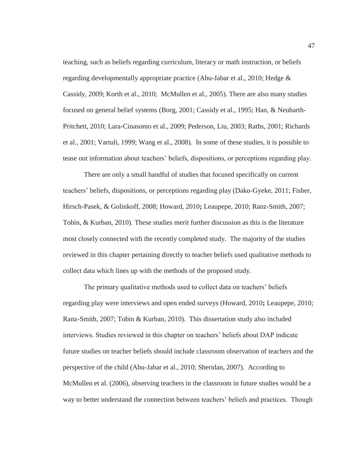teaching, such as beliefs regarding curriculum, literacy or math instruction, or beliefs regarding developmentally appropriate practice (Abu-Jabar et al., 2010; Hedge & Cassidy, 2009; Korth et al., 2010; McMullen et al., 2005). There are also many studies focused on general belief systems (Borg, 2001; Cassidy et al., 1995; Han, & Neuharth-Pritchett, 2010; Lara-Cinasomo et al., 2009; Pederson, Liu, 2003; Raths, 2001; Richards et al., 2001; Vartuli, 1999; Wang et al., 2008). In some of these studies, it is possible to tease out information about teachers' beliefs, dispositions, or perceptions regarding play.

 There are only a small handful of studies that focused specifically on current teachers' beliefs, dispositions, or perceptions regarding play (Dako-Gyeke, 2011; Fisher, Hirsch-Pasek, & Golinkoff, 2008; Howard, 2010**;** Leaupepe, 2010; Ranz-Smith, 2007; Tobin, & Kurban, 2010). These studies merit further discussion as this is the literature most closely connected with the recently completed study. The majority of the studies reviewed in this chapter pertaining directly to teacher beliefs used qualitative methods to collect data which lines up with the methods of the proposed study.

The primary qualitative methods used to collect data on teachers' beliefs regarding play were interviews and open ended surveys (Howard, 2010**;** Leaupepe, 2010; Ranz-Smith, 2007; Tobin & Kurban, 2010). This dissertation study also included interviews. Studies reviewed in this chapter on teachers' beliefs about DAP indicate future studies on teacher beliefs should include classroom observation of teachers and the perspective of the child (Abu-Jabar et al., 2010; Sheridan, 2007). According to McMullen et al. (2006), observing teachers in the classroom in future studies would be a way to better understand the connection between teachers' beliefs and practices. Though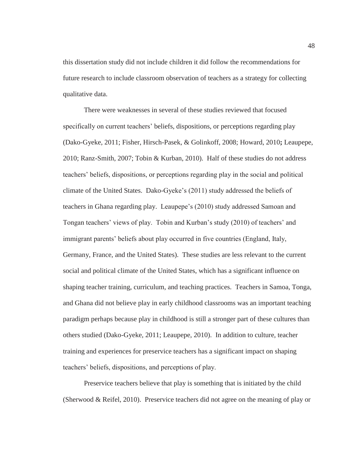this dissertation study did not include children it did follow the recommendations for future research to include classroom observation of teachers as a strategy for collecting qualitative data.

 There were weaknesses in several of these studies reviewed that focused specifically on current teachers' beliefs, dispositions, or perceptions regarding play (Dako-Gyeke, 2011; Fisher, Hirsch-Pasek, & Golinkoff, 2008; Howard, 2010**;** Leaupepe, 2010; Ranz-Smith, 2007; Tobin & Kurban, 2010). Half of these studies do not address teachers' beliefs, dispositions, or perceptions regarding play in the social and political climate of the United States. Dako-Gyeke's (2011) study addressed the beliefs of teachers in Ghana regarding play. Leaupepe's (2010) study addressed Samoan and Tongan teachers' views of play. Tobin and Kurban's study (2010) of teachers' and immigrant parents' beliefs about play occurred in five countries (England, Italy, Germany, France, and the United States). These studies are less relevant to the current social and political climate of the United States, which has a significant influence on shaping teacher training, curriculum, and teaching practices. Teachers in Samoa, Tonga, and Ghana did not believe play in early childhood classrooms was an important teaching paradigm perhaps because play in childhood is still a stronger part of these cultures than others studied (Dako-Gyeke, 2011; Leaupepe, 2010). In addition to culture, teacher training and experiences for preservice teachers has a significant impact on shaping teachers' beliefs, dispositions, and perceptions of play.

 Preservice teachers believe that play is something that is initiated by the child (Sherwood & Reifel, 2010). Preservice teachers did not agree on the meaning of play or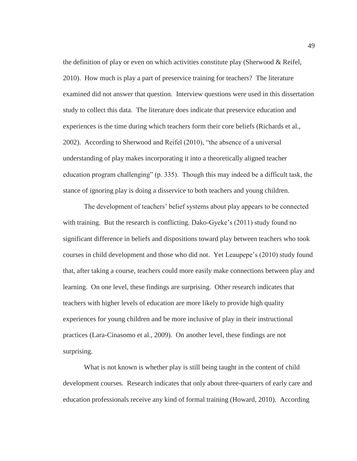the definition of play or even on which activities constitute play (Sherwood  $&$  Reifel, 2010). How much is play a part of preservice training for teachers? The literature examined did not answer that question. Interview questions were used in this dissertation study to collect this data. The literature does indicate that preservice education and experiences is the time during which teachers form their core beliefs (Richards et al., 2002). According to Sherwood and Reifel (2010), "the absence of a universal understanding of play makes incorporating it into a theoretically aligned teacher education program challenging" (p. 335). Though this may indeed be a difficult task, the stance of ignoring play is doing a disservice to both teachers and young children.

The development of teachers' belief systems about play appears to be connected with training. But the research is conflicting. Dako-Gyeke's (2011) study found no significant difference in beliefs and dispositions toward play between teachers who took courses in child development and those who did not. Yet Leaupepe's (2010) study found that, after taking a course, teachers could more easily make connections between play and learning. On one level, these findings are surprising. Other research indicates that teachers with higher levels of education are more likely to provide high quality experiences for young children and be more inclusive of play in their instructional practices (Lara-Cinasomo et al., 2009). On another level, these findings are not surprising.

 What is not known is whether play is still being taught in the content of child development courses. Research indicates that only about three-quarters of early care and education professionals receive any kind of formal training (Howard, 2010). According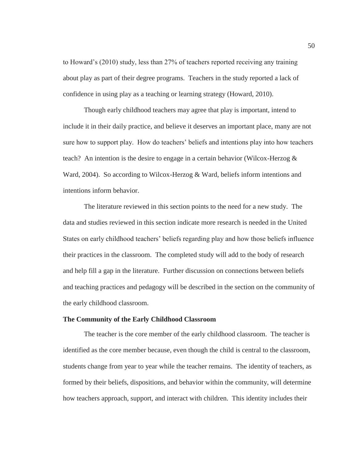to Howard's (2010) study, less than 27% of teachers reported receiving any training about play as part of their degree programs. Teachers in the study reported a lack of confidence in using play as a teaching or learning strategy (Howard, 2010).

 Though early childhood teachers may agree that play is important, intend to include it in their daily practice, and believe it deserves an important place, many are not sure how to support play. How do teachers' beliefs and intentions play into how teachers teach? An intention is the desire to engage in a certain behavior (Wilcox-Herzog  $\&$ Ward, 2004). So according to Wilcox-Herzog & Ward, beliefs inform intentions and intentions inform behavior.

The literature reviewed in this section points to the need for a new study. The data and studies reviewed in this section indicate more research is needed in the United States on early childhood teachers' beliefs regarding play and how those beliefs influence their practices in the classroom. The completed study will add to the body of research and help fill a gap in the literature. Further discussion on connections between beliefs and teaching practices and pedagogy will be described in the section on the community of the early childhood classroom.

## **The Community of the Early Childhood Classroom**

 The teacher is the core member of the early childhood classroom. The teacher is identified as the core member because, even though the child is central to the classroom, students change from year to year while the teacher remains. The identity of teachers, as formed by their beliefs, dispositions, and behavior within the community, will determine how teachers approach, support, and interact with children. This identity includes their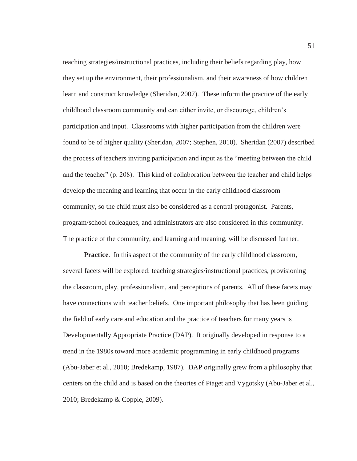teaching strategies/instructional practices, including their beliefs regarding play, how they set up the environment, their professionalism, and their awareness of how children learn and construct knowledge (Sheridan, 2007). These inform the practice of the early childhood classroom community and can either invite, or discourage, children's participation and input. Classrooms with higher participation from the children were found to be of higher quality (Sheridan, 2007; Stephen, 2010). Sheridan (2007) described the process of teachers inviting participation and input as the "meeting between the child and the teacher" (p. 208). This kind of collaboration between the teacher and child helps develop the meaning and learning that occur in the early childhood classroom community, so the child must also be considered as a central protagonist. Parents, program/school colleagues, and administrators are also considered in this community. The practice of the community, and learning and meaning, will be discussed further.

**Practice.** In this aspect of the community of the early childhood classroom, several facets will be explored: teaching strategies/instructional practices, provisioning the classroom, play, professionalism, and perceptions of parents. All of these facets may have connections with teacher beliefs. One important philosophy that has been guiding the field of early care and education and the practice of teachers for many years is Developmentally Appropriate Practice (DAP). It originally developed in response to a trend in the 1980s toward more academic programming in early childhood programs (Abu-Jaber et al., 2010; Bredekamp, 1987). DAP originally grew from a philosophy that centers on the child and is based on the theories of Piaget and Vygotsky (Abu-Jaber et al., 2010; Bredekamp & Copple, 2009).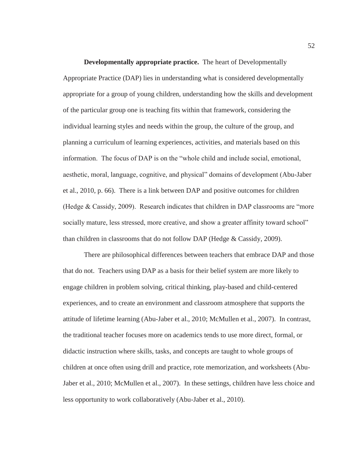**Developmentally appropriate practice.** The heart of Developmentally Appropriate Practice (DAP) lies in understanding what is considered developmentally appropriate for a group of young children, understanding how the skills and development of the particular group one is teaching fits within that framework, considering the individual learning styles and needs within the group, the culture of the group, and planning a curriculum of learning experiences, activities, and materials based on this information. The focus of DAP is on the "whole child and include social, emotional, aesthetic, moral, language, cognitive, and physical" domains of development (Abu-Jaber et al., 2010, p. 66). There is a link between DAP and positive outcomes for children (Hedge & Cassidy, 2009). Research indicates that children in DAP classrooms are "more socially mature, less stressed, more creative, and show a greater affinity toward school" than children in classrooms that do not follow DAP (Hedge & Cassidy, 2009).

 There are philosophical differences between teachers that embrace DAP and those that do not. Teachers using DAP as a basis for their belief system are more likely to engage children in problem solving, critical thinking, play-based and child-centered experiences, and to create an environment and classroom atmosphere that supports the attitude of lifetime learning (Abu-Jaber et al., 2010; McMullen et al., 2007). In contrast, the traditional teacher focuses more on academics tends to use more direct, formal, or didactic instruction where skills, tasks, and concepts are taught to whole groups of children at once often using drill and practice, rote memorization, and worksheets (Abu-Jaber et al., 2010; McMullen et al., 2007). In these settings, children have less choice and less opportunity to work collaboratively (Abu-Jaber et al., 2010).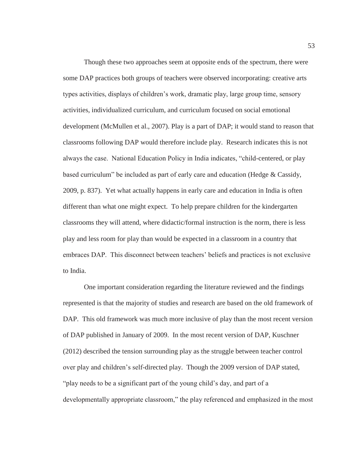Though these two approaches seem at opposite ends of the spectrum, there were some DAP practices both groups of teachers were observed incorporating: creative arts types activities, displays of children's work, dramatic play, large group time, sensory activities, individualized curriculum, and curriculum focused on social emotional development (McMullen et al., 2007). Play is a part of DAP; it would stand to reason that classrooms following DAP would therefore include play. Research indicates this is not always the case. National Education Policy in India indicates, "child-centered, or play based curriculum" be included as part of early care and education (Hedge & Cassidy, 2009, p. 837). Yet what actually happens in early care and education in India is often different than what one might expect. To help prepare children for the kindergarten classrooms they will attend, where didactic/formal instruction is the norm, there is less play and less room for play than would be expected in a classroom in a country that embraces DAP. This disconnect between teachers' beliefs and practices is not exclusive to India.

 One important consideration regarding the literature reviewed and the findings represented is that the majority of studies and research are based on the old framework of DAP. This old framework was much more inclusive of play than the most recent version of DAP published in January of 2009. In the most recent version of DAP, Kuschner (2012) described the tension surrounding play as the struggle between teacher control over play and children's self-directed play. Though the 2009 version of DAP stated, "play needs to be a significant part of the young child's day, and part of a developmentally appropriate classroom," the play referenced and emphasized in the most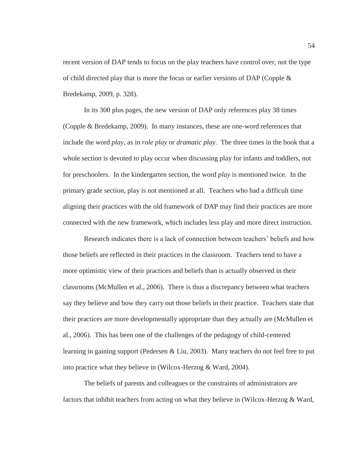recent version of DAP tends to focus on the play teachers have control over, not the type of child directed play that is more the focus or earlier versions of DAP (Copple  $\&$ Bredekamp, 2009, p. 328).

 In its 300 plus pages, the new version of DAP only references play 38 times (Copple & Bredekamp, 2009). In many instances, these are one-word references that include the word *play*, as in *role play* or *dramatic play*. The three times in the book that a whole section is devoted to play occur when discussing play for infants and toddlers, not for preschoolers. In the kindergarten section, the word *play* is mentioned twice. In the primary grade section, play is not mentioned at all. Teachers who had a difficult time aligning their practices with the old framework of DAP may find their practices are more connected with the new framework, which includes less play and more direct instruction.

 Research indicates there is a lack of connection between teachers' beliefs and how those beliefs are reflected in their practices in the classroom. Teachers tend to have a more optimistic view of their practices and beliefs than is actually observed in their classrooms (McMullen et al., 2006). There is thus a discrepancy between what teachers say they believe and how they carry out those beliefs in their practice. Teachers state that their practices are more developmentally appropriate than they actually are (McMullen et al., 2006). This has been one of the challenges of the pedagogy of child-centered learning in gaining support (Pedersen & Liu, 2003). Many teachers do not feel free to put into practice what they believe in (Wilcox-Herzog & Ward, 2004).

 The beliefs of parents and colleagues or the constraints of administrators are factors that inhibit teachers from acting on what they believe in (Wilcox-Herzog & Ward,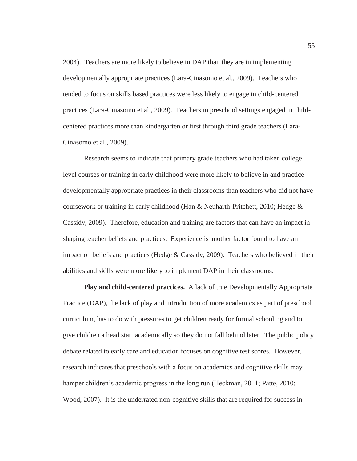2004). Teachers are more likely to believe in DAP than they are in implementing developmentally appropriate practices (Lara-Cinasomo et al., 2009). Teachers who tended to focus on skills based practices were less likely to engage in child-centered practices (Lara-Cinasomo et al., 2009). Teachers in preschool settings engaged in childcentered practices more than kindergarten or first through third grade teachers (Lara-Cinasomo et al., 2009).

 Research seems to indicate that primary grade teachers who had taken college level courses or training in early childhood were more likely to believe in and practice developmentally appropriate practices in their classrooms than teachers who did not have coursework or training in early childhood (Han & Neuharth-Pritchett, 2010; Hedge & Cassidy, 2009). Therefore, education and training are factors that can have an impact in shaping teacher beliefs and practices. Experience is another factor found to have an impact on beliefs and practices (Hedge  $& Cassidy, 2009$ ). Teachers who believed in their abilities and skills were more likely to implement DAP in their classrooms.

**Play and child-centered practices.** A lack of true Developmentally Appropriate Practice (DAP), the lack of play and introduction of more academics as part of preschool curriculum, has to do with pressures to get children ready for formal schooling and to give children a head start academically so they do not fall behind later. The public policy debate related to early care and education focuses on cognitive test scores. However, research indicates that preschools with a focus on academics and cognitive skills may hamper children's academic progress in the long run (Heckman, 2011; Patte, 2010; Wood, 2007). It is the underrated non-cognitive skills that are required for success in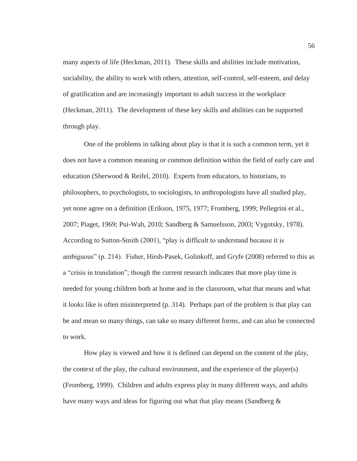many aspects of life (Heckman, 2011). These skills and abilities include motivation, sociability, the ability to work with others, attention, self-control, self-esteem, and delay of gratification and are increasingly important to adult success in the workplace (Heckman, 2011). The development of these key skills and abilities can be supported through play.

 One of the problems in talking about play is that it is such a common term, yet it does not have a common meaning or common definition within the field of early care and education (Sherwood & Reifel, 2010). Experts from educators, to historians, to philosophers, to psychologists, to sociologists, to anthropologists have all studied play, yet none agree on a definition (Erikson, 1975, 1977; Fromberg, 1999; Pellegrini et al., 2007; Piaget, 1969; Pui-Wah, 2010; Sandberg & Samuelsson, 2003; Vygotsky, 1978). According to Sutton-Smith (2001), "play is difficult to understand because it is ambiguous" (p. 214). Fisher, Hirsh-Pasek, Golinkoff, and Gryfe (2008) referred to this as a "crisis in translation"; though the current research indicates that more play time is needed for young children both at home and in the classroom, what that means and what it looks like is often misinterpreted (p. 314). Perhaps part of the problem is that play can be and mean so many things, can take so many different forms, and can also be connected to work.

 How play is viewed and how it is defined can depend on the content of the play, the context of the play, the cultural environment, and the experience of the player(s) (Fromberg, 1999). Children and adults express play in many different ways, and adults have many ways and ideas for figuring out what that play means (Sandberg  $\&$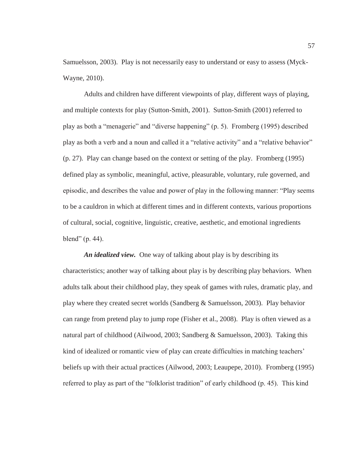Samuelsson, 2003). Play is not necessarily easy to understand or easy to assess (Myck-Wayne, 2010).

 Adults and children have different viewpoints of play, different ways of playing, and multiple contexts for play (Sutton-Smith, 2001). Sutton-Smith (2001) referred to play as both a "menagerie" and "diverse happening" (p. 5). Fromberg (1995) described play as both a verb and a noun and called it a "relative activity" and a "relative behavior" (p. 27). Play can change based on the context or setting of the play. Fromberg (1995) defined play as symbolic, meaningful, active, pleasurable, voluntary, rule governed, and episodic, and describes the value and power of play in the following manner: "Play seems to be a cauldron in which at different times and in different contexts, various proportions of cultural, social, cognitive, linguistic, creative, aesthetic, and emotional ingredients blend" (p. 44).

*An idealized view.* One way of talking about play is by describing its characteristics; another way of talking about play is by describing play behaviors. When adults talk about their childhood play, they speak of games with rules, dramatic play, and play where they created secret worlds (Sandberg & Samuelsson, 2003). Play behavior can range from pretend play to jump rope (Fisher et al., 2008). Play is often viewed as a natural part of childhood (Ailwood, 2003; Sandberg & Samuelsson, 2003). Taking this kind of idealized or romantic view of play can create difficulties in matching teachers' beliefs up with their actual practices (Ailwood, 2003; Leaupepe, 2010). Fromberg (1995) referred to play as part of the "folklorist tradition" of early childhood (p. 45). This kind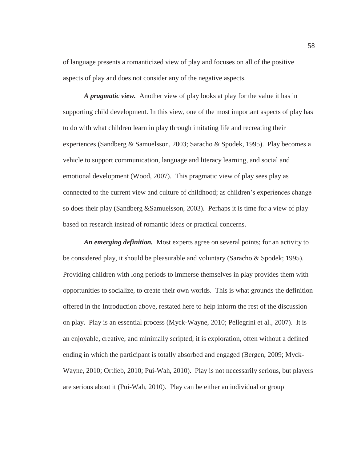of language presents a romanticized view of play and focuses on all of the positive aspects of play and does not consider any of the negative aspects.

*A pragmatic view.* Another view of play looks at play for the value it has in supporting child development. In this view, one of the most important aspects of play has to do with what children learn in play through imitating life and recreating their experiences (Sandberg & Samuelsson, 2003; Saracho & Spodek, 1995). Play becomes a vehicle to support communication, language and literacy learning, and social and emotional development (Wood, 2007). This pragmatic view of play sees play as connected to the current view and culture of childhood; as children's experiences change so does their play (Sandberg &Samuelsson, 2003). Perhaps it is time for a view of play based on research instead of romantic ideas or practical concerns.

*An emerging definition.* Most experts agree on several points; for an activity to be considered play, it should be pleasurable and voluntary (Saracho & Spodek; 1995). Providing children with long periods to immerse themselves in play provides them with opportunities to socialize, to create their own worlds. This is what grounds the definition offered in the Introduction above, restated here to help inform the rest of the discussion on play. Play is an essential process (Myck-Wayne, 2010; Pellegrini et al., 2007). It is an enjoyable, creative, and minimally scripted; it is exploration, often without a defined ending in which the participant is totally absorbed and engaged (Bergen, 2009; Myck-Wayne, 2010; Ortlieb, 2010; Pui-Wah, 2010). Play is not necessarily serious, but players are serious about it (Pui-Wah, 2010). Play can be either an individual or group

58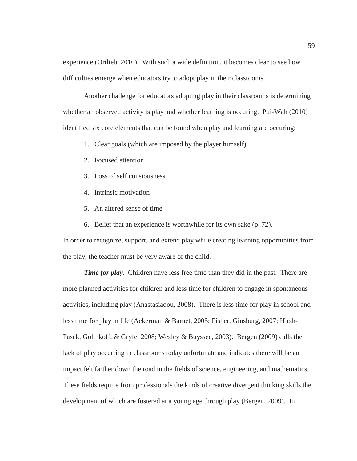experience (Ortlieb, 2010). With such a wide definition, it becomes clear to see how difficulties emerge when educators try to adopt play in their classrooms.

 Another challenge for educators adopting play in their classrooms is determining whether an observed activity is play and whether learning is occuring. Pui-Wah (2010) identified six core elements that can be found when play and learning are occuring:

- 1. Clear goals (which are imposed by the player himself)
- 2. Focused attention
- 3. Loss of self consiousness
- 4. Intrinsic motivation
- 5. An altered sense of time
- 6. Belief that an experience is worthwhile for its own sake (p. 72).

In order to recognize, support, and extend play while creating learning opportunities from the play, the teacher must be very aware of the child.

*Time for play.* Children have less free time than they did in the past. There are more planned activities for children and less time for children to engage in spontaneous activities, including play (Anastasiadou, 2008). There is less time for play in school and less time for play in life (Ackerman & Barnet, 2005; Fisher, Ginsburg, 2007; Hirsh-Pasek, Golinkoff, & Gryfe, 2008; Wesley & Buyssee, 2003). Bergen (2009) calls the lack of play occurring in classrooms today unfortunate and indicates there will be an impact felt farther down the road in the fields of science, engineering, and mathematics. These fields require from professionals the kinds of creative divergent thinking skills the development of which are fostered at a young age through play (Bergen, 2009). In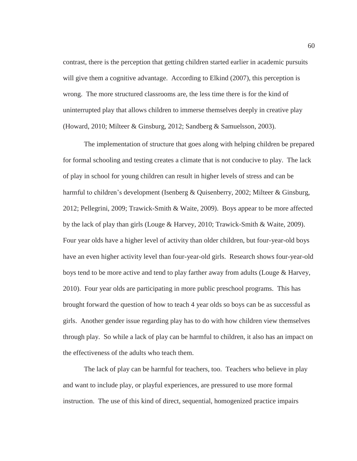contrast, there is the perception that getting children started earlier in academic pursuits will give them a cognitive advantage. According to Elkind (2007), this perception is wrong. The more structured classrooms are, the less time there is for the kind of uninterrupted play that allows children to immerse themselves deeply in creative play (Howard, 2010; Milteer & Ginsburg, 2012; Sandberg & Samuelsson, 2003).

 The implementation of structure that goes along with helping children be prepared for formal schooling and testing creates a climate that is not conducive to play. The lack of play in school for young children can result in higher levels of stress and can be harmful to children's development (Isenberg & Quisenberry, 2002; Milteer & Ginsburg, 2012; Pellegrini, 2009; Trawick-Smith & Waite, 2009). Boys appear to be more affected by the lack of play than girls (Louge & Harvey, 2010; Trawick-Smith & Waite, 2009). Four year olds have a higher level of activity than older children, but four-year-old boys have an even higher activity level than four-year-old girls. Research shows four-year-old boys tend to be more active and tend to play farther away from adults (Louge & Harvey, 2010). Four year olds are participating in more public preschool programs. This has brought forward the question of how to teach 4 year olds so boys can be as successful as girls. Another gender issue regarding play has to do with how children view themselves through play. So while a lack of play can be harmful to children, it also has an impact on the effectiveness of the adults who teach them.

 The lack of play can be harmful for teachers, too. Teachers who believe in play and want to include play, or playful experiences, are pressured to use more formal instruction. The use of this kind of direct, sequential, homogenized practice impairs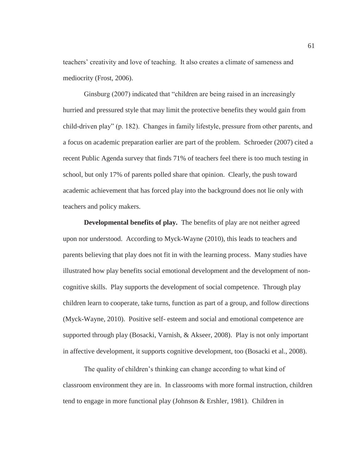teachers' creativity and love of teaching. It also creates a climate of sameness and mediocrity (Frost, 2006).

 Ginsburg (2007) indicated that "children are being raised in an increasingly hurried and pressured style that may limit the protective benefits they would gain from child-driven play" (p. 182). Changes in family lifestyle, pressure from other parents, and a focus on academic preparation earlier are part of the problem. Schroeder (2007) cited a recent Public Agenda survey that finds 71% of teachers feel there is too much testing in school, but only 17% of parents polled share that opinion. Clearly, the push toward academic achievement that has forced play into the background does not lie only with teachers and policy makers.

**Developmental benefits of play.** The benefits of play are not neither agreed upon nor understood. According to Myck-Wayne (2010), this leads to teachers and parents believing that play does not fit in with the learning process. Many studies have illustrated how play benefits social emotional development and the development of noncognitive skills. Play supports the development of social competence. Through play children learn to cooperate, take turns, function as part of a group, and follow directions (Myck-Wayne, 2010). Positive self- esteem and social and emotional competence are supported through play (Bosacki, Varnish, & Akseer, 2008). Play is not only important in affective development, it supports cognitive development, too (Bosacki et al., 2008).

The quality of children's thinking can change according to what kind of classroom environment they are in. In classrooms with more formal instruction, children tend to engage in more functional play (Johnson & Ershler, 1981). Children in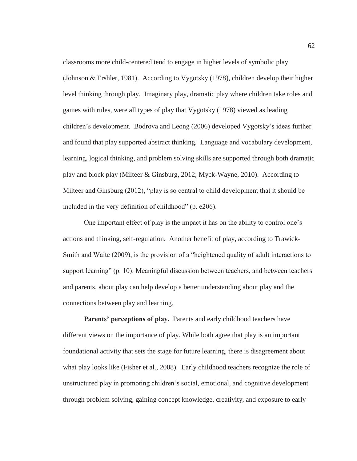classrooms more child-centered tend to engage in higher levels of symbolic play (Johnson & Ershler, 1981). According to Vygotsky (1978), children develop their higher level thinking through play. Imaginary play, dramatic play where children take roles and games with rules, were all types of play that Vygotsky (1978) viewed as leading children's development. Bodrova and Leong (2006) developed Vygotsky's ideas further and found that play supported abstract thinking. Language and vocabulary development, learning, logical thinking, and problem solving skills are supported through both dramatic play and block play (Milteer & Ginsburg, 2012; Myck-Wayne, 2010). According to Milteer and Ginsburg (2012), "play is so central to child development that it should be included in the very definition of childhood" (p. e206).

One important effect of play is the impact it has on the ability to control one's actions and thinking, self-regulation. Another benefit of play, according to Trawick-Smith and Waite (2009), is the provision of a "heightened quality of adult interactions to support learning" (p. 10). Meaningful discussion between teachers, and between teachers and parents, about play can help develop a better understanding about play and the connections between play and learning.

Parents' perceptions of play. Parents and early childhood teachers have different views on the importance of play. While both agree that play is an important foundational activity that sets the stage for future learning, there is disagreement about what play looks like (Fisher et al., 2008). Early childhood teachers recognize the role of unstructured play in promoting children's social, emotional, and cognitive development through problem solving, gaining concept knowledge, creativity, and exposure to early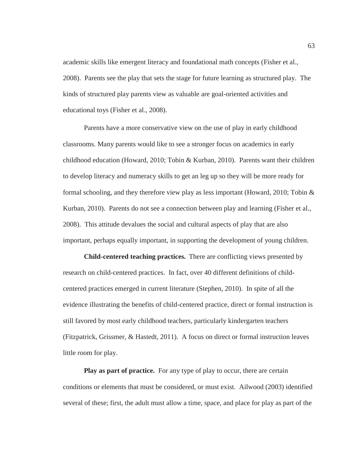academic skills like emergent literacy and foundational math concepts (Fisher et al., 2008). Parents see the play that sets the stage for future learning as structured play. The kinds of structured play parents view as valuable are goal-oriented activities and educational toys (Fisher et al., 2008).

 Parents have a more conservative view on the use of play in early childhood classrooms. Many parents would like to see a stronger focus on academics in early childhood education (Howard, 2010; Tobin & Kurban, 2010). Parents want their children to develop literacy and numeracy skills to get an leg up so they will be more ready for formal schooling, and they therefore view play as less important (Howard, 2010; Tobin & Kurban, 2010). Parents do not see a connection between play and learning (Fisher et al., 2008). This attitude devalues the social and cultural aspects of play that are also important, perhaps equally important, in supporting the development of young children.

**Child-centered teaching practices.** There are conflicting views presented by research on child-centered practices. In fact, over 40 different definitions of childcentered practices emerged in current literature (Stephen, 2010). In spite of all the evidence illustrating the benefits of child-centered practice, direct or formal instruction is still favored by most early childhood teachers, particularly kindergarten teachers (Fitzpatrick, Grissmer, & Hastedt, 2011). A focus on direct or formal instruction leaves little room for play.

**Play as part of practice.** For any type of play to occur, there are certain conditions or elements that must be considered, or must exist. Ailwood (2003) identified several of these; first, the adult must allow a time, space, and place for play as part of the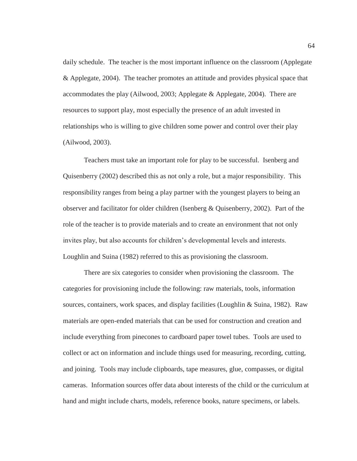daily schedule. The teacher is the most important influence on the classroom (Applegate & Applegate, 2004). The teacher promotes an attitude and provides physical space that accommodates the play (Ailwood, 2003; Applegate & Applegate, 2004). There are resources to support play, most especially the presence of an adult invested in relationships who is willing to give children some power and control over their play (Ailwood, 2003).

 Teachers must take an important role for play to be successful. Isenberg and Quisenberry (2002) described this as not only a role, but a major responsibility. This responsibility ranges from being a play partner with the youngest players to being an observer and facilitator for older children (Isenberg & Quisenberry, 2002). Part of the role of the teacher is to provide materials and to create an environment that not only invites play, but also accounts for children's developmental levels and interests. Loughlin and Suina (1982) referred to this as provisioning the classroom.

 There are six categories to consider when provisioning the classroom. The categories for provisioning include the following: raw materials, tools, information sources, containers, work spaces, and display facilities (Loughlin & Suina, 1982). Raw materials are open-ended materials that can be used for construction and creation and include everything from pinecones to cardboard paper towel tubes. Tools are used to collect or act on information and include things used for measuring, recording, cutting, and joining. Tools may include clipboards, tape measures, glue, compasses, or digital cameras. Information sources offer data about interests of the child or the curriculum at hand and might include charts, models, reference books, nature specimens, or labels.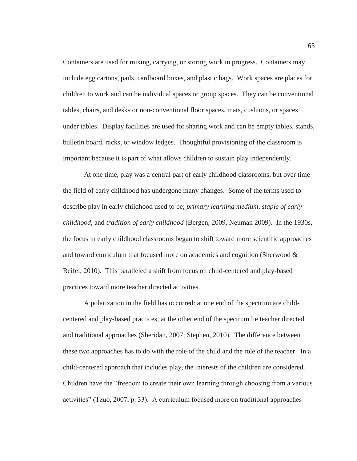Containers are used for mixing, carrying, or storing work in progress. Containers may include egg cartons, pails, cardboard boxes, and plastic bags. Work spaces are places for children to work and can be individual spaces or group spaces. They can be conventional tables, chairs, and desks or non-conventional floor spaces, mats, cushions, or spaces under tables. Display facilities are used for sharing work and can be empty tables, stands, bulletin board, racks, or window ledges. Thoughtful provisioning of the classroom is important because it is part of what allows children to sustain play independently.

 At one time, play was a central part of early childhood classrooms, but over time the field of early childhood has undergone many changes. Some of the terms used to describe play in early childhood used to be; *primary learning medium*, *staple of early childhood*, and *tradition of early childhood* (Bergen, 2009, Neuman 2009). In the 1930s, the focus in early childhood classrooms began to shift toward more scientific approaches and toward curriculum that focused more on academics and cognition (Sherwood & Reifel, 2010). This paralleled a shift from focus on child-centered and play-based practices toward more teacher directed activities.

 A polarization in the field has occurred: at one end of the spectrum are childcentered and play-based practices; at the other end of the spectrum lie teacher directed and traditional approaches (Sheridan, 2007; Stephen, 2010). The difference between these two approaches has to do with the role of the child and the role of the teacher. In a child-centered approach that includes play, the interests of the children are considered. Children have the "freedom to create their own learning through choosing from a various activities" (Tzuo, 2007, p. 33). A curriculum focused more on traditional approaches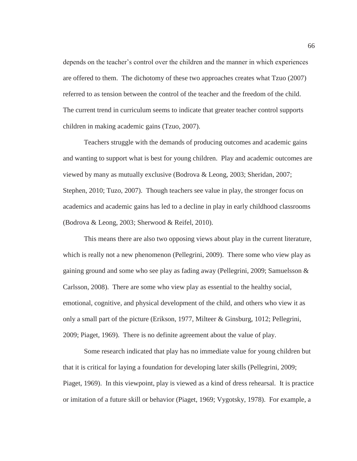depends on the teacher's control over the children and the manner in which experiences are offered to them. The dichotomy of these two approaches creates what Tzuo (2007) referred to as tension between the control of the teacher and the freedom of the child. The current trend in curriculum seems to indicate that greater teacher control supports children in making academic gains (Tzuo, 2007).

 Teachers struggle with the demands of producing outcomes and academic gains and wanting to support what is best for young children. Play and academic outcomes are viewed by many as mutually exclusive (Bodrova & Leong, 2003; Sheridan, 2007; Stephen, 2010; Tuzo, 2007). Though teachers see value in play, the stronger focus on academics and academic gains has led to a decline in play in early childhood classrooms (Bodrova & Leong, 2003; Sherwood & Reifel, 2010).

 This means there are also two opposing views about play in the current literature, which is really not a new phenomenon (Pellegrini, 2009). There some who view play as gaining ground and some who see play as fading away (Pellegrini, 2009; Samuelsson & Carlsson, 2008). There are some who view play as essential to the healthy social, emotional, cognitive, and physical development of the child, and others who view it as only a small part of the picture (Erikson, 1977, Milteer & Ginsburg, 1012; Pellegrini, 2009; Piaget, 1969). There is no definite agreement about the value of play.

 Some research indicated that play has no immediate value for young children but that it is critical for laying a foundation for developing later skills (Pellegrini, 2009; Piaget, 1969). In this viewpoint, play is viewed as a kind of dress rehearsal. It is practice or imitation of a future skill or behavior (Piaget, 1969; Vygotsky, 1978). For example, a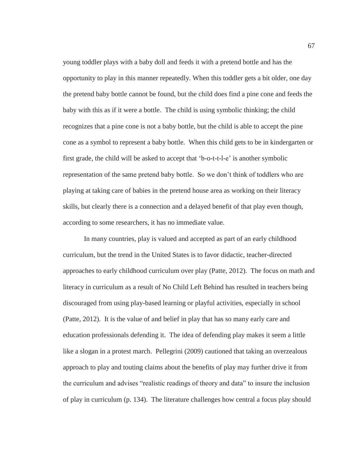young toddler plays with a baby doll and feeds it with a pretend bottle and has the opportunity to play in this manner repeatedly. When this toddler gets a bit older, one day the pretend baby bottle cannot be found, but the child does find a pine cone and feeds the baby with this as if it were a bottle. The child is using symbolic thinking; the child recognizes that a pine cone is not a baby bottle, but the child is able to accept the pine cone as a symbol to represent a baby bottle. When this child gets to be in kindergarten or first grade, the child will be asked to accept that 'b-o-t-t-l-e' is another symbolic representation of the same pretend baby bottle. So we don't think of toddlers who are playing at taking care of babies in the pretend house area as working on their literacy skills, but clearly there is a connection and a delayed benefit of that play even though, according to some researchers, it has no immediate value.

 In many countries, play is valued and accepted as part of an early childhood curriculum, but the trend in the United States is to favor didactic, teacher-directed approaches to early childhood curriculum over play (Patte, 2012). The focus on math and literacy in curriculum as a result of No Child Left Behind has resulted in teachers being discouraged from using play-based learning or playful activities, especially in school (Patte, 2012). It is the value of and belief in play that has so many early care and education professionals defending it. The idea of defending play makes it seem a little like a slogan in a protest march. Pellegrini (2009) cautioned that taking an overzealous approach to play and touting claims about the benefits of play may further drive it from the curriculum and advises "realistic readings of theory and data" to insure the inclusion of play in curriculum (p. 134). The literature challenges how central a focus play should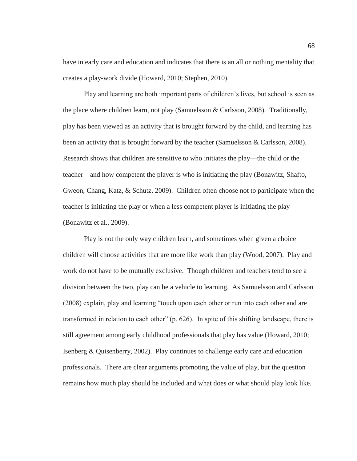have in early care and education and indicates that there is an all or nothing mentality that creates a play-work divide (Howard, 2010; Stephen, 2010).

Play and learning are both important parts of children's lives, but school is seen as the place where children learn, not play (Samuelsson & Carlsson, 2008). Traditionally, play has been viewed as an activity that is brought forward by the child, and learning has been an activity that is brought forward by the teacher (Samuelsson & Carlsson, 2008). Research shows that children are sensitive to who initiates the play—the child or the teacher—and how competent the player is who is initiating the play (Bonawitz, Shafto, Gweon, Chang, Katz, & Schutz, 2009). Children often choose not to participate when the teacher is initiating the play or when a less competent player is initiating the play (Bonawitz et al., 2009).

 Play is not the only way children learn, and sometimes when given a choice children will choose activities that are more like work than play (Wood, 2007). Play and work do not have to be mutually exclusive. Though children and teachers tend to see a division between the two, play can be a vehicle to learning. As Samuelsson and Carlsson (2008) explain, play and learning "touch upon each other or run into each other and are transformed in relation to each other" (p. 626). In spite of this shifting landscape, there is still agreement among early childhood professionals that play has value (Howard, 2010; Isenberg & Quisenberry, 2002). Play continues to challenge early care and education professionals. There are clear arguments promoting the value of play, but the question remains how much play should be included and what does or what should play look like.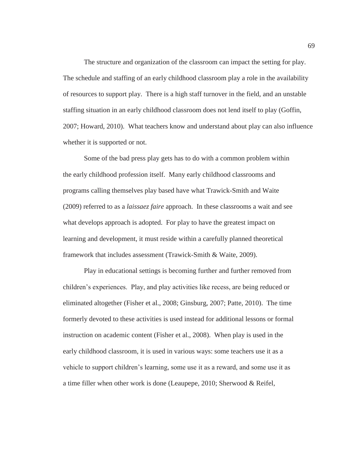The structure and organization of the classroom can impact the setting for play. The schedule and staffing of an early childhood classroom play a role in the availability of resources to support play. There is a high staff turnover in the field, and an unstable staffing situation in an early childhood classroom does not lend itself to play (Goffin, 2007; Howard, 2010). What teachers know and understand about play can also influence whether it is supported or not.

Some of the bad press play gets has to do with a common problem within the early childhood profession itself. Many early childhood classrooms and programs calling themselves play based have what Trawick-Smith and Waite (2009) referred to as a *laissaez faire* approach. In these classrooms a wait and see what develops approach is adopted. For play to have the greatest impact on learning and development, it must reside within a carefully planned theoretical framework that includes assessment (Trawick-Smith & Waite, 2009).

Play in educational settings is becoming further and further removed from children's experiences. Play, and play activities like recess, are being reduced or eliminated altogether (Fisher et al., 2008; Ginsburg, 2007; Patte, 2010). The time formerly devoted to these activities is used instead for additional lessons or formal instruction on academic content (Fisher et al., 2008). When play is used in the early childhood classroom, it is used in various ways: some teachers use it as a vehicle to support children's learning, some use it as a reward, and some use it as a time filler when other work is done (Leaupepe, 2010; Sherwood & Reifel,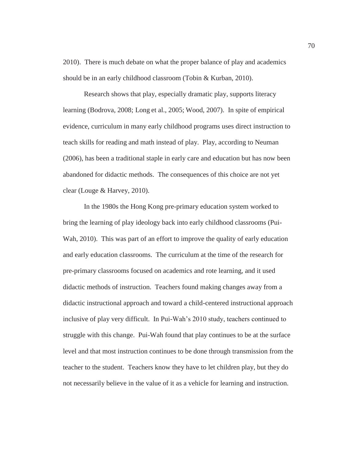2010). There is much debate on what the proper balance of play and academics should be in an early childhood classroom (Tobin & Kurban, 2010).

 Research shows that play, especially dramatic play, supports literacy learning (Bodrova, 2008; Long et al., 2005; Wood, 2007). In spite of empirical evidence, curriculum in many early childhood programs uses direct instruction to teach skills for reading and math instead of play. Play, according to Neuman (2006), has been a traditional staple in early care and education but has now been abandoned for didactic methods. The consequences of this choice are not yet clear (Louge & Harvey, 2010).

 In the 1980s the Hong Kong pre-primary education system worked to bring the learning of play ideology back into early childhood classrooms (Pui-Wah, 2010). This was part of an effort to improve the quality of early education and early education classrooms. The curriculum at the time of the research for pre-primary classrooms focused on academics and rote learning, and it used didactic methods of instruction. Teachers found making changes away from a didactic instructional approach and toward a child-centered instructional approach inclusive of play very difficult. In Pui-Wah's 2010 study, teachers continued to struggle with this change. Pui-Wah found that play continues to be at the surface level and that most instruction continues to be done through transmission from the teacher to the student. Teachers know they have to let children play, but they do not necessarily believe in the value of it as a vehicle for learning and instruction.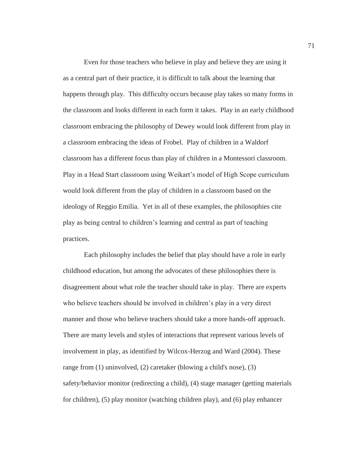Even for those teachers who believe in play and believe they are using it as a central part of their practice, it is difficult to talk about the learning that happens through play. This difficulty occurs because play takes so many forms in the classroom and looks different in each form it takes. Play in an early childhood classroom embracing the philosophy of Dewey would look different from play in a classroom embracing the ideas of Frobel. Play of children in a Waldorf classroom has a different focus than play of children in a Montessori classroom. Play in a Head Start classroom using Weikart's model of High Scope curriculum would look different from the play of children in a classroom based on the ideology of Reggio Emilia. Yet in all of these examples, the philosophies cite play as being central to children's learning and central as part of teaching practices.

 Each philosophy includes the belief that play should have a role in early childhood education, but among the advocates of these philosophies there is disagreement about what role the teacher should take in play. There are experts who believe teachers should be involved in children's play in a very direct manner and those who believe teachers should take a more hands-off approach. There are many levels and styles of interactions that represent various levels of involvement in play, as identified by Wilcox-Herzog and Ward (2004). These range from (1) uninvolved, (2) caretaker (blowing a child's nose), (3) safety/behavior monitor (redirecting a child), (4) stage manager (getting materials for children), (5) play monitor (watching children play), and (6) play enhancer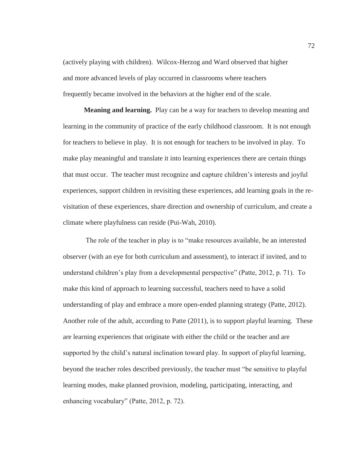(actively playing with children). Wilcox-Herzog and Ward observed that higher and more advanced levels of play occurred in classrooms where teachers frequently became involved in the behaviors at the higher end of the scale.

**Meaning and learning.** Play can be a way for teachers to develop meaning and learning in the community of practice of the early childhood classroom. It is not enough for teachers to believe in play. It is not enough for teachers to be involved in play. To make play meaningful and translate it into learning experiences there are certain things that must occur. The teacher must recognize and capture children's interests and joyful experiences, support children in revisiting these experiences, add learning goals in the revisitation of these experiences, share direction and ownership of curriculum, and create a climate where playfulness can reside (Pui-Wah, 2010).

 The role of the teacher in play is to "make resources available, be an interested observer (with an eye for both curriculum and assessment), to interact if invited, and to understand children's play from a developmental perspective" (Patte, 2012, p. 71). To make this kind of approach to learning successful, teachers need to have a solid understanding of play and embrace a more open-ended planning strategy (Patte, 2012). Another role of the adult, according to Patte (2011), is to support playful learning. These are learning experiences that originate with either the child or the teacher and are supported by the child's natural inclination toward play. In support of playful learning, beyond the teacher roles described previously, the teacher must "be sensitive to playful learning modes, make planned provision, modeling, participating, interacting, and enhancing vocabulary" (Patte, 2012, p. 72).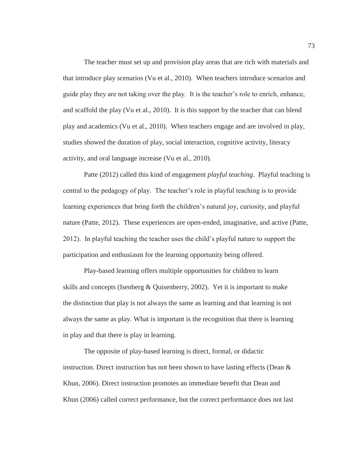The teacher must set up and provision play areas that are rich with materials and that introduce play scenarios (Vu et al., 2010). When teachers introduce scenarios and guide play they are not taking over the play. It is the teacher's role to enrich, enhance, and scaffold the play (Vu et al., 2010). It is this support by the teacher that can blend play and academics (Vu et al., 2010). When teachers engage and are involved in play, studies showed the duration of play, social interaction, cognitive activity, literacy activity, and oral language increase (Vu et al., 2010).

 Patte (2012) called this kind of engagement *playful teaching*. Playful teaching is central to the pedagogy of play. The teacher's role in playful teaching is to provide learning experiences that bring forth the children's natural joy, curiosity, and playful nature (Patte, 2012). These experiences are open-ended, imaginative, and active (Patte, 2012). In playful teaching the teacher uses the child's playful nature to support the participation and enthusiasm for the learning opportunity being offered.

 Play-based learning offers multiple opportunities for children to learn skills and concepts (Isenberg & Quisenberry, 2002). Yet it is important to make the distinction that play is not always the same as learning and that learning is not always the same as play. What is important is the recognition that there is learning in play and that there is play in learning.

 The opposite of play-based learning is direct, formal, or didactic instruction. Direct instruction has not been shown to have lasting effects (Dean  $\&$ Khun, 2006). Direct instruction promotes an immediate benefit that Dean and Khun (2006) called correct performance, but the correct performance does not last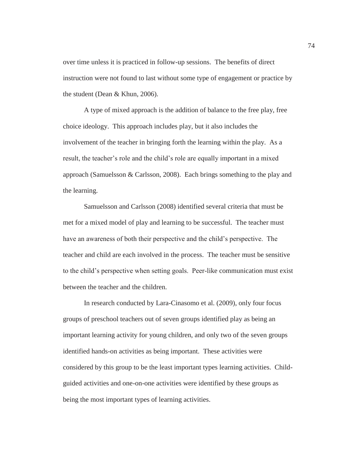over time unless it is practiced in follow-up sessions. The benefits of direct instruction were not found to last without some type of engagement or practice by the student (Dean & Khun, 2006).

 A type of mixed approach is the addition of balance to the free play, free choice ideology. This approach includes play, but it also includes the involvement of the teacher in bringing forth the learning within the play. As a result, the teacher's role and the child's role are equally important in a mixed approach (Samuelsson & Carlsson, 2008). Each brings something to the play and the learning.

 Samuelsson and Carlsson (2008) identified several criteria that must be met for a mixed model of play and learning to be successful. The teacher must have an awareness of both their perspective and the child's perspective. The teacher and child are each involved in the process. The teacher must be sensitive to the child's perspective when setting goals. Peer-like communication must exist between the teacher and the children.

 In research conducted by Lara-Cinasomo et al. (2009), only four focus groups of preschool teachers out of seven groups identified play as being an important learning activity for young children, and only two of the seven groups identified hands-on activities as being important. These activities were considered by this group to be the least important types learning activities. Childguided activities and one-on-one activities were identified by these groups as being the most important types of learning activities.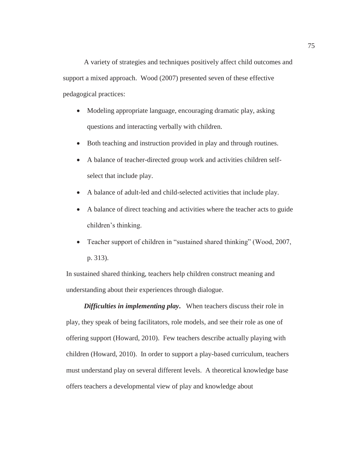A variety of strategies and techniques positively affect child outcomes and support a mixed approach. Wood (2007) presented seven of these effective pedagogical practices:

- Modeling appropriate language, encouraging dramatic play, asking questions and interacting verbally with children.
- Both teaching and instruction provided in play and through routines.
- A balance of teacher-directed group work and activities children selfselect that include play.
- A balance of adult-led and child-selected activities that include play.
- A balance of direct teaching and activities where the teacher acts to guide children's thinking.
- Teacher support of children in "sustained shared thinking" (Wood, 2007, p. 313).

In sustained shared thinking, teachers help children construct meaning and understanding about their experiences through dialogue.

*Difficulties in implementing play***.** When teachers discuss their role in play, they speak of being facilitators, role models, and see their role as one of offering support (Howard, 2010). Few teachers describe actually playing with children (Howard, 2010). In order to support a play-based curriculum, teachers must understand play on several different levels. A theoretical knowledge base offers teachers a developmental view of play and knowledge about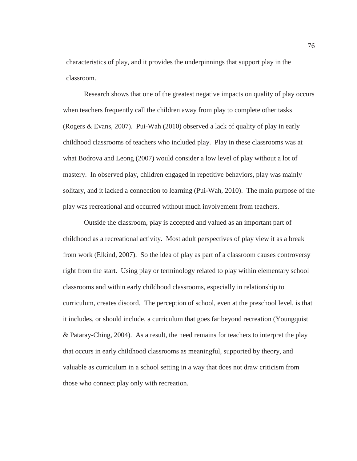characteristics of play, and it provides the underpinnings that support play in the classroom.

 Research shows that one of the greatest negative impacts on quality of play occurs when teachers frequently call the children away from play to complete other tasks (Rogers & Evans, 2007). Pui-Wah (2010) observed a lack of quality of play in early childhood classrooms of teachers who included play. Play in these classrooms was at what Bodrova and Leong (2007) would consider a low level of play without a lot of mastery. In observed play, children engaged in repetitive behaviors, play was mainly solitary, and it lacked a connection to learning (Pui-Wah, 2010). The main purpose of the play was recreational and occurred without much involvement from teachers.

 Outside the classroom, play is accepted and valued as an important part of childhood as a recreational activity. Most adult perspectives of play view it as a break from work (Elkind, 2007). So the idea of play as part of a classroom causes controversy right from the start. Using play or terminology related to play within elementary school classrooms and within early childhood classrooms, especially in relationship to curriculum, creates discord. The perception of school, even at the preschool level, is that it includes, or should include, a curriculum that goes far beyond recreation (Youngquist & Pataray-Ching, 2004). As a result, the need remains for teachers to interpret the play that occurs in early childhood classrooms as meaningful, supported by theory, and valuable as curriculum in a school setting in a way that does not draw criticism from those who connect play only with recreation.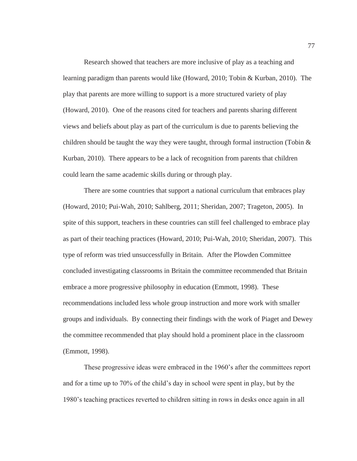Research showed that teachers are more inclusive of play as a teaching and learning paradigm than parents would like (Howard, 2010; Tobin & Kurban, 2010). The play that parents are more willing to support is a more structured variety of play (Howard, 2010). One of the reasons cited for teachers and parents sharing different views and beliefs about play as part of the curriculum is due to parents believing the children should be taught the way they were taught, through formal instruction (Tobin  $\&$ Kurban, 2010). There appears to be a lack of recognition from parents that children could learn the same academic skills during or through play.

 There are some countries that support a national curriculum that embraces play (Howard, 2010; Pui-Wah, 2010; Sahlberg, 2011; Sheridan, 2007; Trageton, 2005). In spite of this support, teachers in these countries can still feel challenged to embrace play as part of their teaching practices (Howard, 2010; Pui-Wah, 2010; Sheridan, 2007). This type of reform was tried unsuccessfully in Britain. After the Plowden Committee concluded investigating classrooms in Britain the committee recommended that Britain embrace a more progressive philosophy in education (Emmott, 1998). These recommendations included less whole group instruction and more work with smaller groups and individuals. By connecting their findings with the work of Piaget and Dewey the committee recommended that play should hold a prominent place in the classroom (Emmott, 1998).

These progressive ideas were embraced in the 1960's after the committees report and for a time up to 70% of the child's day in school were spent in play, but by the 1980's teaching practices reverted to children sitting in rows in desks once again in all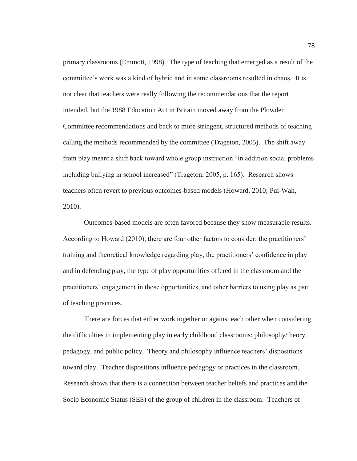primary classrooms (Emmott, 1998). The type of teaching that emerged as a result of the committee's work was a kind of hybrid and in some classrooms resulted in chaos. It is not clear that teachers were really following the recommendations that the report intended, but the 1988 Education Act in Britain moved away from the Plowden Committee recommendations and back to more stringent, structured methods of teaching calling the methods recommended by the committee (Trageton, 2005). The shift away from play meant a shift back toward whole group instruction "in addition social problems including bullying in school increased" (Trageton, 2005, p. 165). Research shows teachers often revert to previous outcomes-based models (Howard, 2010; Pui-Wah, 2010).

 Outcomes-based models are often favored because they show measurable results. According to Howard (2010), there are four other factors to consider: the practitioners' training and theoretical knowledge regarding play, the practitioners' confidence in play and in defending play, the type of play opportunities offered in the classroom and the practitioners' engagement in those opportunities, and other barriers to using play as part of teaching practices.

 There are forces that either work together or against each other when considering the difficulties in implementing play in early childhood classrooms: philosophy/theory, pedagogy, and public policy. Theory and philosophy influence teachers' dispositions toward play. Teacher dispositions influence pedagogy or practices in the classroom. Research shows that there is a connection between teacher beliefs and practices and the Socio Economic Status (SES) of the group of children in the classroom. Teachers of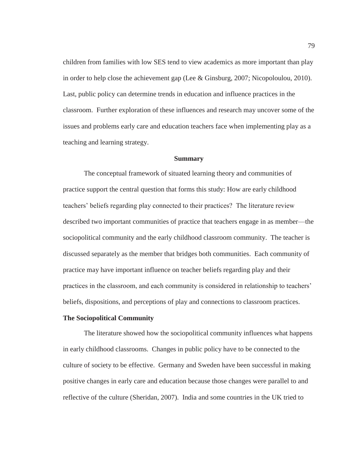children from families with low SES tend to view academics as more important than play in order to help close the achievement gap (Lee & Ginsburg, 2007; Nicopoloulou, 2010). Last, public policy can determine trends in education and influence practices in the classroom. Further exploration of these influences and research may uncover some of the issues and problems early care and education teachers face when implementing play as a teaching and learning strategy.

### **Summary**

 The conceptual framework of situated learning theory and communities of practice support the central question that forms this study: How are early childhood teachers' beliefs regarding play connected to their practices? The literature review described two important communities of practice that teachers engage in as member—the sociopolitical community and the early childhood classroom community. The teacher is discussed separately as the member that bridges both communities. Each community of practice may have important influence on teacher beliefs regarding play and their practices in the classroom, and each community is considered in relationship to teachers' beliefs, dispositions, and perceptions of play and connections to classroom practices.

# **The Sociopolitical Community**

 The literature showed how the sociopolitical community influences what happens in early childhood classrooms. Changes in public policy have to be connected to the culture of society to be effective. Germany and Sweden have been successful in making positive changes in early care and education because those changes were parallel to and reflective of the culture (Sheridan, 2007). India and some countries in the UK tried to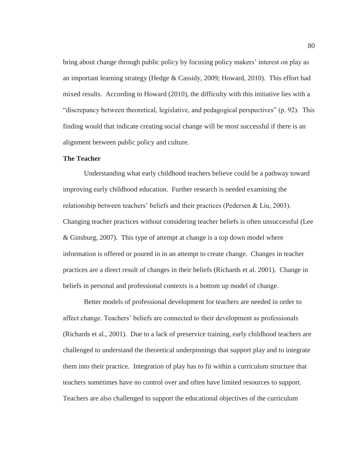bring about change through public policy by focusing policy makers' interest on play as an important learning strategy (Hedge & Cassidy, 2009; Howard, 2010). This effort had mixed results. According to Howard (2010), the difficulty with this initiative lies with a "discrepancy between theoretical, legislative, and pedagogical perspectives" (p. 92). This finding would that indicate creating social change will be most successful if there is an alignment between public policy and culture.

## **The Teacher**

 Understanding what early childhood teachers believe could be a pathway toward improving early childhood education. Further research is needed examining the relationship between teachers' beliefs and their practices (Pedersen & Liu, 2003). Changing teacher practices without considering teacher beliefs is often unsuccessful (Lee & Ginsburg, 2007). This type of attempt at change is a top down model where information is offered or poured in in an attempt to create change. Changes in teacher practices are a direct result of changes in their beliefs (Richards et al. 2001). Change in beliefs in personal and professional contexts is a bottom up model of change.

 Better models of professional development for teachers are needed in order to affect change. Teachers' beliefs are connected to their development as professionals (Richards et al., 2001). Due to a lack of preservice training, early childhood teachers are challenged to understand the theoretical underpinnings that support play and to integrate them into their practice. Integration of play has to fit within a curriculum structure that teachers sometimes have no control over and often have limited resources to support. Teachers are also challenged to support the educational objectives of the curriculum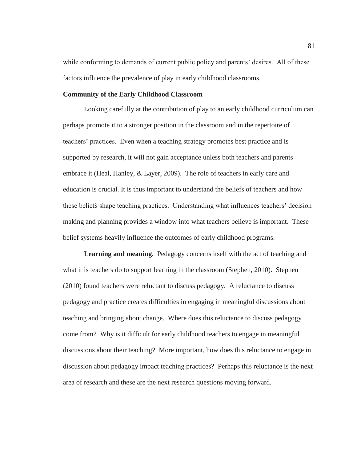while conforming to demands of current public policy and parents' desires. All of these factors influence the prevalence of play in early childhood classrooms.

## **Community of the Early Childhood Classroom**

 Looking carefully at the contribution of play to an early childhood curriculum can perhaps promote it to a stronger position in the classroom and in the repertoire of teachers' practices. Even when a teaching strategy promotes best practice and is supported by research, it will not gain acceptance unless both teachers and parents embrace it (Heal, Hanley, & Layer, 2009). The role of teachers in early care and education is crucial. It is thus important to understand the beliefs of teachers and how these beliefs shape teaching practices. Understanding what influences teachers' decision making and planning provides a window into what teachers believe is important. These belief systems heavily influence the outcomes of early childhood programs.

**Learning and meaning.**Pedagogy concerns itself with the act of teaching and what it is teachers do to support learning in the classroom (Stephen, 2010). Stephen (2010) found teachers were reluctant to discuss pedagogy. A reluctance to discuss pedagogy and practice creates difficulties in engaging in meaningful discussions about teaching and bringing about change. Where does this reluctance to discuss pedagogy come from? Why is it difficult for early childhood teachers to engage in meaningful discussions about their teaching? More important, how does this reluctance to engage in discussion about pedagogy impact teaching practices? Perhaps this reluctance is the next area of research and these are the next research questions moving forward.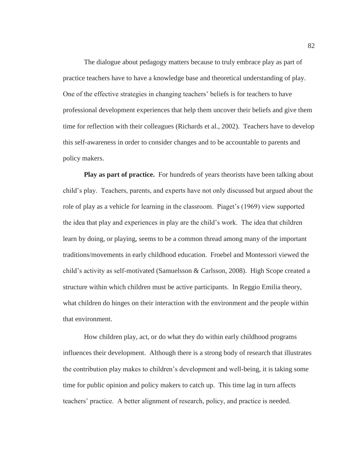The dialogue about pedagogy matters because to truly embrace play as part of practice teachers have to have a knowledge base and theoretical understanding of play. One of the effective strategies in changing teachers' beliefs is for teachers to have professional development experiences that help them uncover their beliefs and give them time for reflection with their colleagues (Richards et al., 2002). Teachers have to develop this self-awareness in order to consider changes and to be accountable to parents and policy makers.

**Play as part of practice.** For hundreds of years theorists have been talking about child's play. Teachers, parents, and experts have not only discussed but argued about the role of play as a vehicle for learning in the classroom. Piaget's (1969) view supported the idea that play and experiences in play are the child's work. The idea that children learn by doing, or playing, seems to be a common thread among many of the important traditions/movements in early childhood education. Froebel and Montessori viewed the child's activity as self-motivated (Samuelsson & Carlsson, 2008). High Scope created a structure within which children must be active participants. In Reggio Emilia theory, what children do hinges on their interaction with the environment and the people within that environment.

 How children play, act, or do what they do within early childhood programs influences their development. Although there is a strong body of research that illustrates the contribution play makes to children's development and well-being, it is taking some time for public opinion and policy makers to catch up. This time lag in turn affects teachers' practice. A better alignment of research, policy, and practice is needed.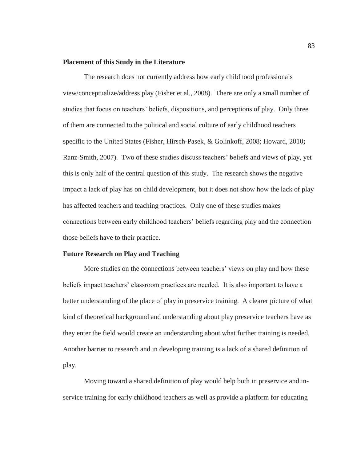## **Placement of this Study in the Literature**

 The research does not currently address how early childhood professionals view/conceptualize/address play (Fisher et al., 2008). There are only a small number of studies that focus on teachers' beliefs, dispositions, and perceptions of play. Only three of them are connected to the political and social culture of early childhood teachers specific to the United States (Fisher, Hirsch-Pasek, & Golinkoff, 2008; Howard, 2010**;**  Ranz-Smith, 2007). Two of these studies discuss teachers' beliefs and views of play, yet this is only half of the central question of this study. The research shows the negative impact a lack of play has on child development, but it does not show how the lack of play has affected teachers and teaching practices. Only one of these studies makes connections between early childhood teachers' beliefs regarding play and the connection those beliefs have to their practice.

## **Future Research on Play and Teaching**

 More studies on the connections between teachers' views on play and how these beliefs impact teachers' classroom practices are needed. It is also important to have a better understanding of the place of play in preservice training. A clearer picture of what kind of theoretical background and understanding about play preservice teachers have as they enter the field would create an understanding about what further training is needed. Another barrier to research and in developing training is a lack of a shared definition of play.

 Moving toward a shared definition of play would help both in preservice and inservice training for early childhood teachers as well as provide a platform for educating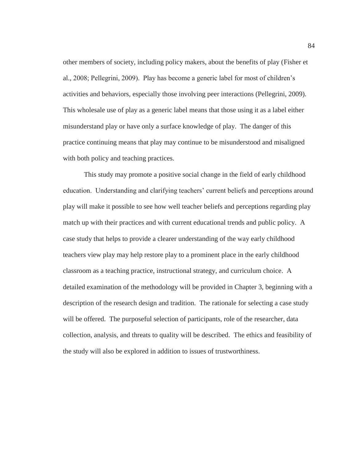other members of society, including policy makers, about the benefits of play (Fisher et al., 2008; Pellegrini, 2009). Play has become a generic label for most of children's activities and behaviors, especially those involving peer interactions (Pellegrini, 2009). This wholesale use of play as a generic label means that those using it as a label either misunderstand play or have only a surface knowledge of play. The danger of this practice continuing means that play may continue to be misunderstood and misaligned with both policy and teaching practices.

 This study may promote a positive social change in the field of early childhood education. Understanding and clarifying teachers' current beliefs and perceptions around play will make it possible to see how well teacher beliefs and perceptions regarding play match up with their practices and with current educational trends and public policy. A case study that helps to provide a clearer understanding of the way early childhood teachers view play may help restore play to a prominent place in the early childhood classroom as a teaching practice, instructional strategy, and curriculum choice. A detailed examination of the methodology will be provided in Chapter 3, beginning with a description of the research design and tradition. The rationale for selecting a case study will be offered. The purposeful selection of participants, role of the researcher, data collection, analysis, and threats to quality will be described. The ethics and feasibility of the study will also be explored in addition to issues of trustworthiness.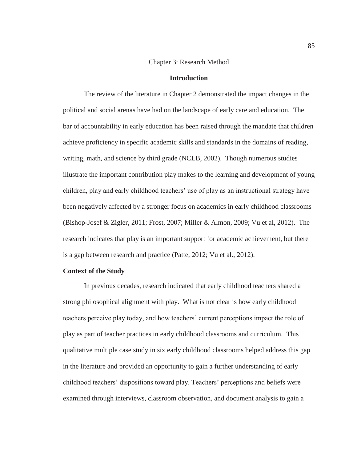## Chapter 3: Research Method

# **Introduction**

The review of the literature in Chapter 2 demonstrated the impact changes in the political and social arenas have had on the landscape of early care and education. The bar of accountability in early education has been raised through the mandate that children achieve proficiency in specific academic skills and standards in the domains of reading, writing, math, and science by third grade (NCLB, 2002). Though numerous studies illustrate the important contribution play makes to the learning and development of young children, play and early childhood teachers' use of play as an instructional strategy have been negatively affected by a stronger focus on academics in early childhood classrooms (Bishop-Josef & Zigler, 2011; Frost, 2007; Miller & Almon, 2009; Vu et al, 2012). The research indicates that play is an important support for academic achievement, but there is a gap between research and practice (Patte, 2012; Vu et al., 2012).

#### **Context of the Study**

 In previous decades, research indicated that early childhood teachers shared a strong philosophical alignment with play. What is not clear is how early childhood teachers perceive play today, and how teachers' current perceptions impact the role of play as part of teacher practices in early childhood classrooms and curriculum. This qualitative multiple case study in six early childhood classrooms helped address this gap in the literature and provided an opportunity to gain a further understanding of early childhood teachers' dispositions toward play. Teachers' perceptions and beliefs were examined through interviews, classroom observation, and document analysis to gain a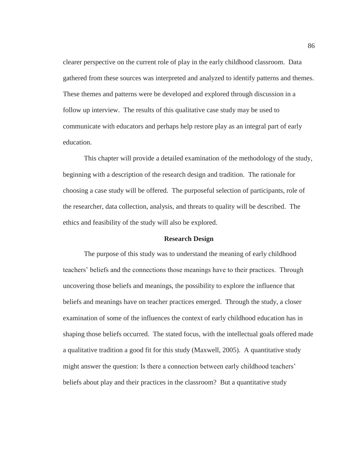clearer perspective on the current role of play in the early childhood classroom. Data gathered from these sources was interpreted and analyzed to identify patterns and themes. These themes and patterns were be developed and explored through discussion in a follow up interview. The results of this qualitative case study may be used to communicate with educators and perhaps help restore play as an integral part of early education.

 This chapter will provide a detailed examination of the methodology of the study, beginning with a description of the research design and tradition. The rationale for choosing a case study will be offered. The purposeful selection of participants, role of the researcher, data collection, analysis, and threats to quality will be described. The ethics and feasibility of the study will also be explored.

### **Research Design**

 The purpose of this study was to understand the meaning of early childhood teachers' beliefs and the connections those meanings have to their practices. Through uncovering those beliefs and meanings, the possibility to explore the influence that beliefs and meanings have on teacher practices emerged. Through the study, a closer examination of some of the influences the context of early childhood education has in shaping those beliefs occurred. The stated focus, with the intellectual goals offered made a qualitative tradition a good fit for this study (Maxwell, 2005). A quantitative study might answer the question: Is there a connection between early childhood teachers' beliefs about play and their practices in the classroom? But a quantitative study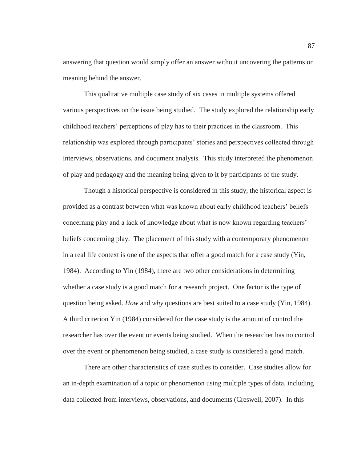answering that question would simply offer an answer without uncovering the patterns or meaning behind the answer.

 This qualitative multiple case study of six cases in multiple systems offered various perspectives on the issue being studied. The study explored the relationship early childhood teachers' perceptions of play has to their practices in the classroom. This relationship was explored through participants' stories and perspectives collected through interviews, observations, and document analysis. This study interpreted the phenomenon of play and pedagogy and the meaning being given to it by participants of the study.

Though a historical perspective is considered in this study, the historical aspect is provided as a contrast between what was known about early childhood teachers' beliefs concerning play and a lack of knowledge about what is now known regarding teachers' beliefs concerning play. The placement of this study with a contemporary phenomenon in a real life context is one of the aspects that offer a good match for a case study (Yin, 1984). According to Yin (1984), there are two other considerations in determining whether a case study is a good match for a research project. One factor is the type of question being asked. *How* and *why* questions are best suited to a case study (Yin, 1984). A third criterion Yin (1984) considered for the case study is the amount of control the researcher has over the event or events being studied. When the researcher has no control over the event or phenomenon being studied, a case study is considered a good match.

 There are other characteristics of case studies to consider. Case studies allow for an in-depth examination of a topic or phenomenon using multiple types of data, including data collected from interviews, observations, and documents (Creswell, 2007). In this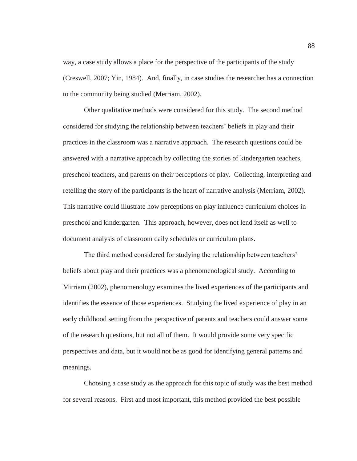way, a case study allows a place for the perspective of the participants of the study (Creswell, 2007; Yin, 1984). And, finally, in case studies the researcher has a connection to the community being studied (Merriam, 2002).

 Other qualitative methods were considered for this study. The second method considered for studying the relationship between teachers' beliefs in play and their practices in the classroom was a narrative approach. The research questions could be answered with a narrative approach by collecting the stories of kindergarten teachers, preschool teachers, and parents on their perceptions of play. Collecting, interpreting and retelling the story of the participants is the heart of narrative analysis (Merriam, 2002). This narrative could illustrate how perceptions on play influence curriculum choices in preschool and kindergarten. This approach, however, does not lend itself as well to document analysis of classroom daily schedules or curriculum plans.

The third method considered for studying the relationship between teachers' beliefs about play and their practices was a phenomenological study. According to Mirriam (2002), phenomenology examines the lived experiences of the participants and identifies the essence of those experiences. Studying the lived experience of play in an early childhood setting from the perspective of parents and teachers could answer some of the research questions, but not all of them. It would provide some very specific perspectives and data, but it would not be as good for identifying general patterns and meanings.

 Choosing a case study as the approach for this topic of study was the best method for several reasons. First and most important, this method provided the best possible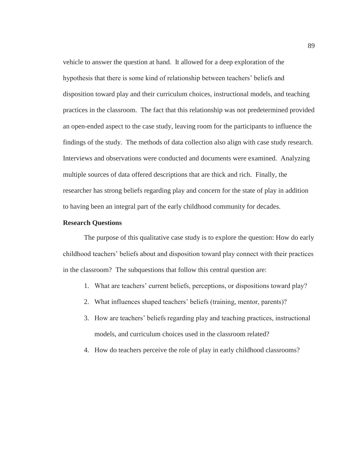vehicle to answer the question at hand. It allowed for a deep exploration of the hypothesis that there is some kind of relationship between teachers' beliefs and disposition toward play and their curriculum choices, instructional models, and teaching practices in the classroom. The fact that this relationship was not predetermined provided an open-ended aspect to the case study, leaving room for the participants to influence the findings of the study. The methods of data collection also align with case study research. Interviews and observations were conducted and documents were examined. Analyzing multiple sources of data offered descriptions that are thick and rich. Finally, the researcher has strong beliefs regarding play and concern for the state of play in addition to having been an integral part of the early childhood community for decades.

# **Research Questions**

 The purpose of this qualitative case study is to explore the question: How do early childhood teachers' beliefs about and disposition toward play connect with their practices in the classroom? The subquestions that follow this central question are:

- 1. What are teachers' current beliefs, perceptions, or dispositions toward play?
- 2. What influences shaped teachers' beliefs (training, mentor, parents)?
- 3. How are teachers' beliefs regarding play and teaching practices, instructional models, and curriculum choices used in the classroom related?
- 4. How do teachers perceive the role of play in early childhood classrooms?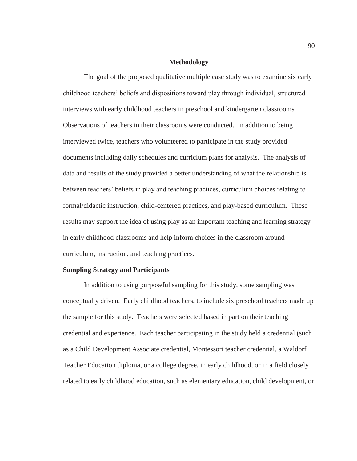## **Methodology**

The goal of the proposed qualitative multiple case study was to examine six early childhood teachers' beliefs and dispositions toward play through individual, structured interviews with early childhood teachers in preschool and kindergarten classrooms. Observations of teachers in their classrooms were conducted. In addition to being interviewed twice, teachers who volunteered to participate in the study provided documents including daily schedules and curriclum plans for analysis. The analysis of data and results of the study provided a better understanding of what the relationship is between teachers' beliefs in play and teaching practices, curriculum choices relating to formal/didactic instruction, child-centered practices, and play-based curriculum. These results may support the idea of using play as an important teaching and learning strategy in early childhood classrooms and help inform choices in the classroom around curriculum, instruction, and teaching practices.

## **Sampling Strategy and Participants**

In addition to using purposeful sampling for this study, some sampling was conceptually driven. Early childhood teachers, to include six preschool teachers made up the sample for this study. Teachers were selected based in part on their teaching credential and experience. Each teacher participating in the study held a credential (such as a Child Development Associate credential, Montessori teacher credential, a Waldorf Teacher Education diploma, or a college degree, in early childhood, or in a field closely related to early childhood education, such as elementary education, child development, or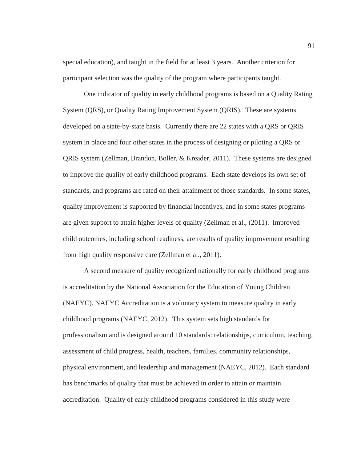special education), and taught in the field for at least 3 years. Another criterion for participant selection was the quality of the program where participants taught.

One indicator of quality in early childhood programs is based on a Quality Rating System (QRS), or Quality Rating Improvement System (QRIS). These are systems developed on a state-by-state basis. Currently there are 22 states with a QRS or QRIS system in place and four other states in the process of designing or piloting a QRS or QRIS system (Zellman, Brandon, Boller, & Kreader, 2011). These systems are designed to improve the quality of early childhood programs. Each state develops its own set of standards, and programs are rated on their attainment of those standards. In some states, quality improvement is supported by financial incentives, and in some states programs are given support to attain higher levels of quality (Zellman et al., (2011). Improved child outcomes, including school readiness, are results of quality improvement resulting from high quality responsive care (Zellman et al., 2011).

A second measure of quality recognized nationally for early childhood programs is accreditation by the National Association for the Education of Young Children (NAEYC). NAEYC Accreditation is a voluntary system to measure quality in early childhood programs (NAEYC, 2012). This system sets high standards for professionalism and is designed around 10 standards: relationships, curriculum, teaching, assessment of child progress, health, teachers, families, community relationships, physical environment, and leadership and management (NAEYC, 2012). Each standard has benchmarks of quality that must be achieved in order to attain or maintain accreditation. Quality of early childhood programs considered in this study were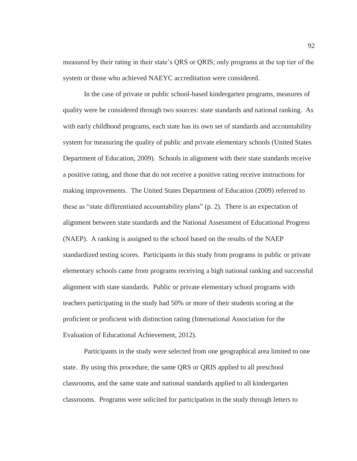measured by their rating in their state's QRS or QRIS; only programs at the top tier of the system or those who achieved NAEYC accreditation were considered.

 In the case of private or public school-based kindergarten programs, measures of quality were be considered through two sources: state standards and national ranking. As with early childhood programs, each state has its own set of standards and accountability system for measuring the quality of public and private elementary schools (United States Department of Education, 2009). Schools in alignment with their state standards receive a positive rating, and those that do not receive a positive rating receive instructions for making improvements. The United States Department of Education (2009) referred to these as "state differentiated accountability plans" (p. 2). There is an expectation of alignment between state standards and the National Assessment of Educational Progress (NAEP). A ranking is assigned to the school based on the results of the NAEP standardized testing scores. Participants in this study from programs in public or private elementary schools came from programs receiving a high national ranking and successful alignment with state standards. Public or private elementary school programs with teachers participating in the study had 50% or more of their students scoring at the proficient or proficient with distinction rating (International Association for the Evaluation of Educational Achievement, 2012).

Participants in the study were selected from one geographical area limited to one state. By using this procedure, the same QRS or QRIS applied to all preschool classrooms, and the same state and national standards applied to all kindergarten classrooms. Programs were solicited for participation in the study through letters to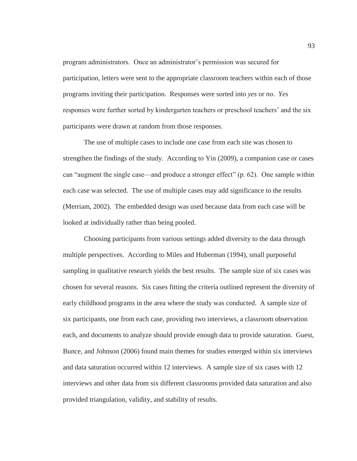program administrators. Once an administrator's permission was secured for participation, letters were sent to the appropriate classroom teachers within each of those programs inviting their participation. Responses were sorted into *yes* or *no*. *Yes* responses were further sorted by kindergarten teachers or preschool teachers' and the six participants were drawn at random from those responses.

The use of multiple cases to include one case from each site was chosen to strengthen the findings of the study. According to Yin (2009), a companion case or cases can "augment the single case—and produce a stronger effect" (p. 62). One sample within each case was selected. The use of multiple cases may add significance to the results (Merriam, 2002). The embedded design was used because data from each case will be looked at individually rather than being pooled.

Choosing participants from various settings added diversity to the data through multiple perspectives. According to Miles and Huberman (1994), small purposeful sampling in qualitative research yields the best results. The sample size of six cases was chosen for several reasons. Six cases fitting the criteria outlined represent the diversity of early childhood programs in the area where the study was conducted. A sample size of six participants, one from each case, providing two interviews, a classroom observation each, and documents to analyze should provide enough data to provide saturation. Guest, Bunce, and Johnson (2006) found main themes for studies emerged within six interviews and data saturation occurred within 12 interviews. A sample size of six cases with 12 interviews and other data from six different classrooms provided data saturation and also provided triangulation, validity, and stability of results.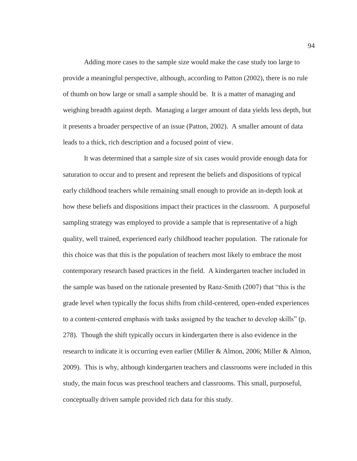Adding more cases to the sample size would make the case study too large to provide a meaningful perspective, although, according to Patton (2002), there is no rule of thumb on how large or small a sample should be. It is a matter of managing and weighing breadth against depth. Managing a larger amount of data yields less depth, but it presents a broader perspective of an issue (Patton, 2002). A smaller amount of data leads to a thick, rich description and a focused point of view.

 It was determined that a sample size of six cases would provide enough data for saturation to occur and to present and represent the beliefs and dispositions of typical early childhood teachers while remaining small enough to provide an in-depth look at how these beliefs and dispositions impact their practices in the classroom. A purposeful sampling strategy was employed to provide a sample that is representative of a high quality, well trained, experienced early childhood teacher population. The rationale for this choice was that this is the population of teachers most likely to embrace the most contemporary research based practices in the field. A kindergarten teacher included in the sample was based on the rationale presented by Ranz-Smith (2007) that "this is the grade level when typically the focus shifts from child-centered, open-ended experiences to a content-centered emphasis with tasks assigned by the teacher to develop skills" (p. 278). Though the shift typically occurs in kindergarten there is also evidence in the research to indicate it is occurring even earlier (Miller & Almon, 2006; Miller & Almon, 2009). This is why, although kindergarten teachers and classrooms were included in this study, the main focus was preschool teachers and classrooms. This small, purposeful, conceptually driven sample provided rich data for this study.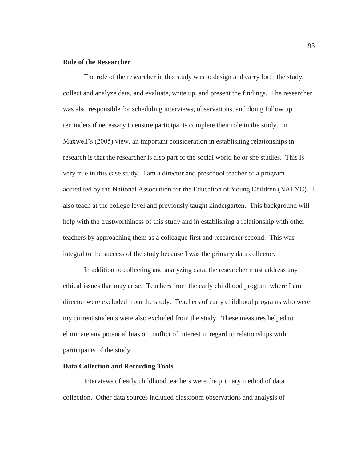# **Role of the Researcher**

The role of the researcher in this study was to design and carry forth the study, collect and analyze data, and evaluate, write up, and present the findings. The researcher was also responsible for scheduling interviews, observations, and doing follow up reminders if necessary to ensure participants complete their role in the study. In Maxwell's (2005) view, an important consideration in establishing relationships in research is that the researcher is also part of the social world he or she studies. This is very true in this case study. I am a director and preschool teacher of a program accredited by the National Association for the Education of Young Children (NAEYC). I also teach at the college level and previously taught kindergarten. This background will help with the trustworthiness of this study and in establishing a relationship with other teachers by approaching them as a colleague first and researcher second. This was integral to the success of the study because I was the primary data collector.

In addition to collecting and analyzing data, the researcher must address any ethical issues that may arise. Teachers from the early childhood program where I am director were excluded from the study. Teachers of early childhood programs who were my current students were also excluded from the study. These measures helped to eliminate any potential bias or conflict of interest in regard to relationships with participants of the study.

# **Data Collection and Recording Tools**

Interviews of early childhood teachers were the primary method of data collection. Other data sources included classroom observations and analysis of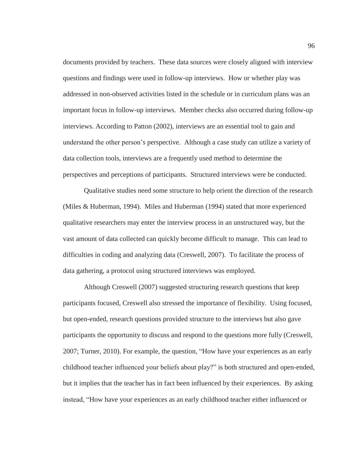documents provided by teachers. These data sources were closely aligned with interview questions and findings were used in follow-up interviews. How or whether play was addressed in non-observed activities listed in the schedule or in curriculum plans was an important focus in follow-up interviews. Member checks also occurred during follow-up interviews. According to Patton (2002), interviews are an essential tool to gain and understand the other person's perspective. Although a case study can utilize a variety of data collection tools, interviews are a frequently used method to determine the perspectives and perceptions of participants. Structured interviews were be conducted.

Qualitative studies need some structure to help orient the direction of the research (Miles & Huberman, 1994). Miles and Huberman (1994) stated that more experienced qualitative researchers may enter the interview process in an unstructured way, but the vast amount of data collected can quickly become difficult to manage. This can lead to difficulties in coding and analyzing data (Creswell, 2007). To facilitate the process of data gathering, a protocol using structured interviews was employed.

Although Creswell (2007) suggested structuring research questions that keep participants focused, Creswell also stressed the importance of flexibility. Using focused, but open-ended, research questions provided structure to the interviews but also gave participants the opportunity to discuss and respond to the questions more fully (Creswell, 2007; Turner, 2010). For example, the question, "How have your experiences as an early childhood teacher influenced your beliefs about play?" is both structured and open-ended, but it implies that the teacher has in fact been influenced by their experiences. By asking instead, "How have your experiences as an early childhood teacher either influenced or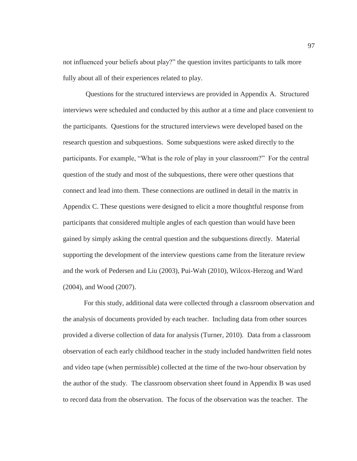not influenced your beliefs about play?" the question invites participants to talk more fully about all of their experiences related to play.

 Questions for the structured interviews are provided in Appendix A. Structured interviews were scheduled and conducted by this author at a time and place convenient to the participants. Questions for the structured interviews were developed based on the research question and subquestions. Some subquestions were asked directly to the participants. For example, "What is the role of play in your classroom?" For the central question of the study and most of the subquestions, there were other questions that connect and lead into them. These connections are outlined in detail in the matrix in Appendix C. These questions were designed to elicit a more thoughtful response from participants that considered multiple angles of each question than would have been gained by simply asking the central question and the subquestions directly. Material supporting the development of the interview questions came from the literature review and the work of Pedersen and Liu (2003), Pui-Wah (2010), Wilcox-Herzog and Ward (2004), and Wood (2007).

 For this study, additional data were collected through a classroom observation and the analysis of documents provided by each teacher. Including data from other sources provided a diverse collection of data for analysis (Turner, 2010). Data from a classroom observation of each early childhood teacher in the study included handwritten field notes and video tape (when permissible) collected at the time of the two-hour observation by the author of the study. The classroom observation sheet found in Appendix B was used to record data from the observation. The focus of the observation was the teacher. The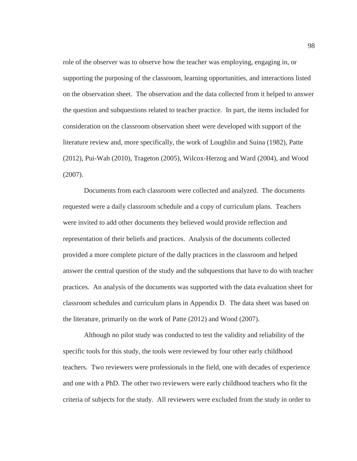role of the observer was to observe how the teacher was employing, engaging in, or supporting the purposing of the classroom, learning opportunities, and interactions listed on the observation sheet. The observation and the data collected from it helped to answer the question and subquestions related to teacher practice. In part, the items included for consideration on the classroom observation sheet were developed with support of the literature review and, more specifically, the work of Loughlin and Suina (1982), Patte (2012), Pui-Wah (2010), Trageton (2005), Wilcox-Herzog and Ward (2004), and Wood (2007).

Documents from each classroom were collected and analyzed. The documents requested were a daily classroom schedule and a copy of curriculum plans. Teachers were invited to add other documents they believed would provide reflection and representation of their beliefs and practices. Analysis of the documents collected provided a more complete picture of the dally practices in the classroom and helped answer the central question of the study and the subquestions that have to do with teacher practices. An analysis of the documents was supported with the data evaluation sheet for classroom schedules and curriculum plans in Appendix D. The data sheet was based on the literature, primarily on the work of Patte (2012) and Wood (2007).

Although no pilot study was conducted to test the validity and reliability of the specific tools for this study, the tools were reviewed by four other early childhood teachers. Two reviewers were professionals in the field, one with decades of experience and one with a PhD. The other two reviewers were early childhood teachers who fit the criteria of subjects for the study. All reviewers were excluded from the study in order to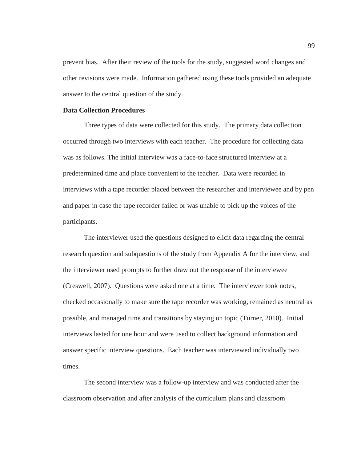prevent bias. After their review of the tools for the study, suggested word changes and other revisions were made. Information gathered using these tools provided an adequate answer to the central question of the study.

# **Data Collection Procedures**

 Three types of data were collected for this study. The primary data collection occurred through two interviews with each teacher. The procedure for collecting data was as follows. The initial interview was a face-to-face structured interview at a predetermined time and place convenient to the teacher. Data were recorded in interviews with a tape recorder placed between the researcher and interviewee and by pen and paper in case the tape recorder failed or was unable to pick up the voices of the participants.

 The interviewer used the questions designed to elicit data regarding the central research question and subquestions of the study from Appendix A for the interview, and the interviewer used prompts to further draw out the response of the interviewee (Creswell, 2007). Questions were asked one at a time. The interviewer took notes, checked occasionally to make sure the tape recorder was working, remained as neutral as possible, and managed time and transitions by staying on topic (Turner, 2010). Initial interviews lasted for one hour and were used to collect background information and answer specific interview questions. Each teacher was interviewed individually two times.

 The second interview was a follow-up interview and was conducted after the classroom observation and after analysis of the curriculum plans and classroom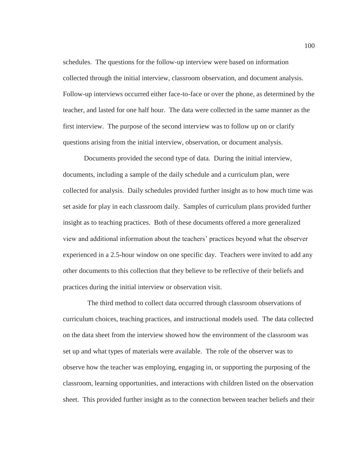schedules. The questions for the follow-up interview were based on information collected through the initial interview, classroom observation, and document analysis. Follow-up interviews occurred either face-to-face or over the phone, as determined by the teacher, and lasted for one half hour. The data were collected in the same manner as the first interview. The purpose of the second interview was to follow up on or clarify questions arising from the initial interview, observation, or document analysis.

 Documents provided the second type of data. During the initial interview, documents, including a sample of the daily schedule and a curriculum plan, were collected for analysis. Daily schedules provided further insight as to how much time was set aside for play in each classroom daily. Samples of curriculum plans provided further insight as to teaching practices. Both of these documents offered a more generalized view and additional information about the teachers' practices beyond what the observer experienced in a 2.5-hour window on one specific day. Teachers were invited to add any other documents to this collection that they believe to be reflective of their beliefs and practices during the initial interview or observation visit.

 The third method to collect data occurred through classroom observations of curriculum choices, teaching practices, and instructional models used. The data collected on the data sheet from the interview showed how the environment of the classroom was set up and what types of materials were available. The role of the observer was to observe how the teacher was employing, engaging in, or supporting the purposing of the classroom, learning opportunities, and interactions with children listed on the observation sheet. This provided further insight as to the connection between teacher beliefs and their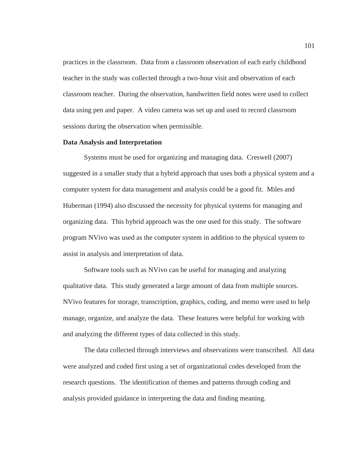practices in the classroom. Data from a classroom observation of each early childhood teacher in the study was collected through a two-hour visit and observation of each classroom teacher. During the observation, handwritten field notes were used to collect data using pen and paper. A video camera was set up and used to record classroom sessions during the observation when permissible.

### **Data Analysis and Interpretation**

Systems must be used for organizing and managing data. Creswell (2007) suggested in a smaller study that a hybrid approach that uses both a physical system and a computer system for data management and analysis could be a good fit. Miles and Huberman (1994) also discussed the necessity for physical systems for managing and organizing data. This hybrid approach was the one used for this study. The software program NVivo was used as the computer system in addition to the physical system to assist in analysis and interpretation of data.

Software tools such as NVivo can be useful for managing and analyzing qualitative data. This study generated a large amount of data from multiple sources. NVivo features for storage, transcription, graphics, coding, and memo were used to help manage, organize, and analyze the data. These features were helpful for working with and analyzing the different types of data collected in this study.

The data collected through interviews and observations were transcribed. All data were analyzed and coded first using a set of organizational codes developed from the research questions. The identification of themes and patterns through coding and analysis provided guidance in interpreting the data and finding meaning.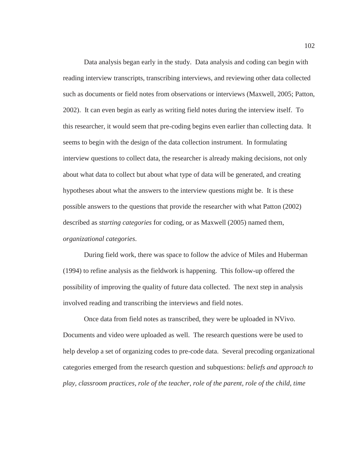Data analysis began early in the study. Data analysis and coding can begin with reading interview transcripts, transcribing interviews, and reviewing other data collected such as documents or field notes from observations or interviews (Maxwell, 2005; Patton, 2002). It can even begin as early as writing field notes during the interview itself. To this researcher, it would seem that pre-coding begins even earlier than collecting data. It seems to begin with the design of the data collection instrument. In formulating interview questions to collect data, the researcher is already making decisions, not only about what data to collect but about what type of data will be generated, and creating hypotheses about what the answers to the interview questions might be. It is these possible answers to the questions that provide the researcher with what Patton (2002) described as *starting categories* for coding, or as Maxwell (2005) named them, *organizational categories*.

During field work, there was space to follow the advice of Miles and Huberman (1994) to refine analysis as the fieldwork is happening. This follow-up offered the possibility of improving the quality of future data collected. The next step in analysis involved reading and transcribing the interviews and field notes.

Once data from field notes as transcribed, they were be uploaded in NVivo. Documents and video were uploaded as well. The research questions were be used to help develop a set of organizing codes to pre-code data. Several precoding organizational categories emerged from the research question and subquestions: *beliefs and approach to play, classroom practices, role of the teacher, role of the parent, role of the child, time*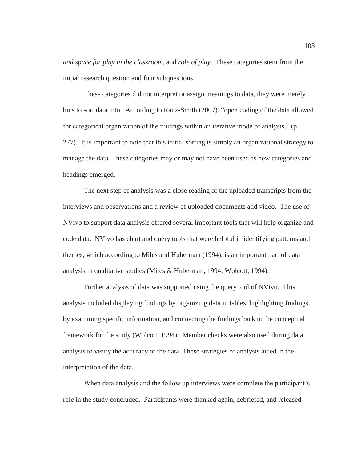*and space for play in the classroom,* and *role of play*. These categories stem from the initial research question and four subquestions.

These categories did not interpret or assign meanings to data, they were merely bins to sort data into. According to Ranz-Smith (2007), "open coding of the data allowed for categorical organization of the findings within an iterative mode of analysis," (p. 277). It is important to note that this initial sorting is simply an organizational strategy to manage the data. These categories may or may not have been used as new categories and headings emerged.

 The next step of analysis was a close reading of the uploaded transcripts from the interviews and observations and a review of uploaded documents and video. The use of NVivo to support data analysis offered several important tools that will help organize and code data. NVivo has chart and query tools that were helpful in identifying patterns and themes, which according to Miles and Huberman (1994), is an important part of data analysis in qualitative studies (Miles & Huberman, 1994; Wolcott, 1994).

 Further analysis of data was supported using the query tool of NVivo. This analysis included displaying findings by organizing data in tables, highlighting findings by examining specific information, and connecting the findings back to the conceptual framework for the study (Wolcott, 1994). Member checks were also used during data analysis to verify the accuracy of the data. These strategies of analysis aided in the interpretation of the data.

When data analysis and the follow up interviews were complete the participant's role in the study concluded. Participants were thanked again, debriefed, and released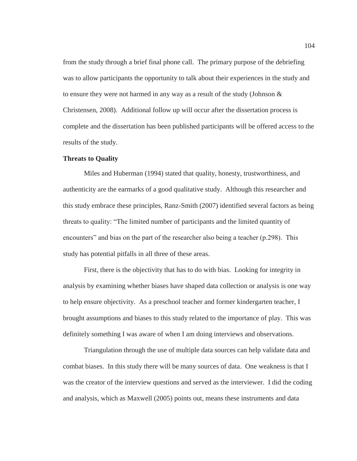from the study through a brief final phone call. The primary purpose of the debriefing was to allow participants the opportunity to talk about their experiences in the study and to ensure they were not harmed in any way as a result of the study (Johnson  $\&$ Christensen, 2008). Additional follow up will occur after the dissertation process is complete and the dissertation has been published participants will be offered access to the results of the study.

### **Threats to Quality**

Miles and Huberman (1994) stated that quality, honesty, trustworthiness, and authenticity are the earmarks of a good qualitative study. Although this researcher and this study embrace these principles, Ranz-Smith (2007) identified several factors as being threats to quality: "The limited number of participants and the limited quantity of encounters" and bias on the part of the researcher also being a teacher (p.298). This study has potential pitfalls in all three of these areas.

First, there is the objectivity that has to do with bias. Looking for integrity in analysis by examining whether biases have shaped data collection or analysis is one way to help ensure objectivity. As a preschool teacher and former kindergarten teacher, I brought assumptions and biases to this study related to the importance of play. This was definitely something I was aware of when I am doing interviews and observations.

Triangulation through the use of multiple data sources can help validate data and combat biases. In this study there will be many sources of data. One weakness is that I was the creator of the interview questions and served as the interviewer. I did the coding and analysis, which as Maxwell (2005) points out, means these instruments and data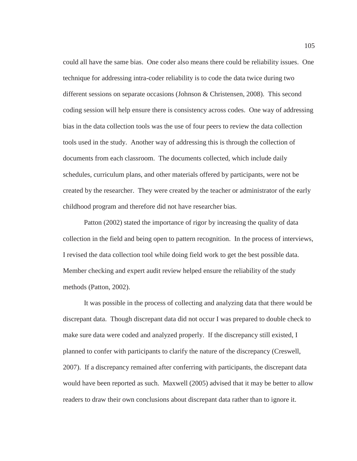could all have the same bias. One coder also means there could be reliability issues. One technique for addressing intra-coder reliability is to code the data twice during two different sessions on separate occasions (Johnson & Christensen, 2008). This second coding session will help ensure there is consistency across codes. One way of addressing bias in the data collection tools was the use of four peers to review the data collection tools used in the study. Another way of addressing this is through the collection of documents from each classroom. The documents collected, which include daily schedules, curriculum plans, and other materials offered by participants, were not be created by the researcher. They were created by the teacher or administrator of the early childhood program and therefore did not have researcher bias.

 Patton (2002) stated the importance of rigor by increasing the quality of data collection in the field and being open to pattern recognition. In the process of interviews, I revised the data collection tool while doing field work to get the best possible data. Member checking and expert audit review helped ensure the reliability of the study methods (Patton, 2002).

 It was possible in the process of collecting and analyzing data that there would be discrepant data. Though discrepant data did not occur I was prepared to double check to make sure data were coded and analyzed properly. If the discrepancy still existed, I planned to confer with participants to clarify the nature of the discrepancy (Creswell, 2007). If a discrepancy remained after conferring with participants, the discrepant data would have been reported as such. Maxwell (2005) advised that it may be better to allow readers to draw their own conclusions about discrepant data rather than to ignore it.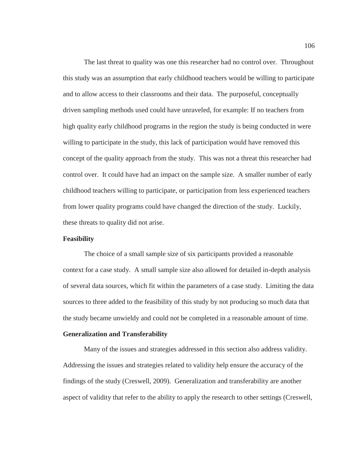The last threat to quality was one this researcher had no control over. Throughout this study was an assumption that early childhood teachers would be willing to participate and to allow access to their classrooms and their data. The purposeful, conceptually driven sampling methods used could have unraveled, for example: If no teachers from high quality early childhood programs in the region the study is being conducted in were willing to participate in the study, this lack of participation would have removed this concept of the quality approach from the study. This was not a threat this researcher had control over. It could have had an impact on the sample size. A smaller number of early childhood teachers willing to participate, or participation from less experienced teachers from lower quality programs could have changed the direction of the study. Luckily, these threats to quality did not arise.

# **Feasibility**

The choice of a small sample size of six participants provided a reasonable context for a case study. A small sample size also allowed for detailed in-depth analysis of several data sources, which fit within the parameters of a case study. Limiting the data sources to three added to the feasibility of this study by not producing so much data that the study became unwieldy and could not be completed in a reasonable amount of time.

### **Generalization and Transferability**

 Many of the issues and strategies addressed in this section also address validity. Addressing the issues and strategies related to validity help ensure the accuracy of the findings of the study (Creswell, 2009). Generalization and transferability are another aspect of validity that refer to the ability to apply the research to other settings (Creswell,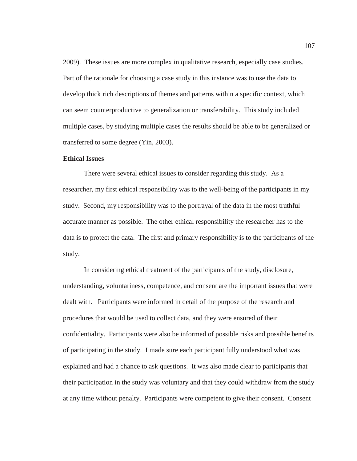2009). These issues are more complex in qualitative research, especially case studies. Part of the rationale for choosing a case study in this instance was to use the data to develop thick rich descriptions of themes and patterns within a specific context, which can seem counterproductive to generalization or transferability. This study included multiple cases, by studying multiple cases the results should be able to be generalized or transferred to some degree (Yin, 2003).

#### **Ethical Issues**

 There were several ethical issues to consider regarding this study. As a researcher, my first ethical responsibility was to the well-being of the participants in my study. Second, my responsibility was to the portrayal of the data in the most truthful accurate manner as possible. The other ethical responsibility the researcher has to the data is to protect the data. The first and primary responsibility is to the participants of the study.

 In considering ethical treatment of the participants of the study, disclosure, understanding, voluntariness, competence, and consent are the important issues that were dealt with. Participants were informed in detail of the purpose of the research and procedures that would be used to collect data, and they were ensured of their confidentiality. Participants were also be informed of possible risks and possible benefits of participating in the study. I made sure each participant fully understood what was explained and had a chance to ask questions. It was also made clear to participants that their participation in the study was voluntary and that they could withdraw from the study at any time without penalty. Participants were competent to give their consent. Consent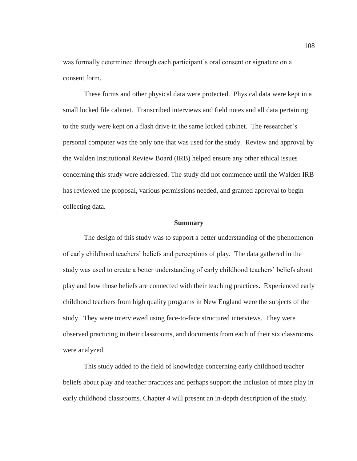was formally determined through each participant's oral consent or signature on a consent form.

 These forms and other physical data were protected. Physical data were kept in a small locked file cabinet. Transcribed interviews and field notes and all data pertaining to the study were kept on a flash drive in the same locked cabinet. The researcher's personal computer was the only one that was used for the study. Review and approval by the Walden Institutional Review Board (IRB) helped ensure any other ethical issues concerning this study were addressed. The study did not commence until the Walden IRB has reviewed the proposal, various permissions needed, and granted approval to begin collecting data.

#### **Summary**

The design of this study was to support a better understanding of the phenomenon of early childhood teachers' beliefs and perceptions of play. The data gathered in the study was used to create a better understanding of early childhood teachers' beliefs about play and how those beliefs are connected with their teaching practices. Experienced early childhood teachers from high quality programs in New England were the subjects of the study. They were interviewed using face-to-face structured interviews. They were observed practicing in their classrooms, and documents from each of their six classrooms were analyzed.

This study added to the field of knowledge concerning early childhood teacher beliefs about play and teacher practices and perhaps support the inclusion of more play in early childhood classrooms. Chapter 4 will present an in-depth description of the study.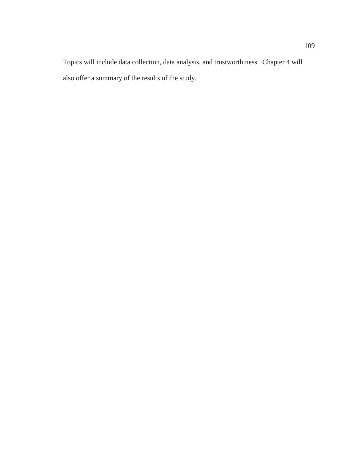Topics will include data collection, data analysis, and trustworthiness. Chapter 4 will also offer a summary of the results of the study.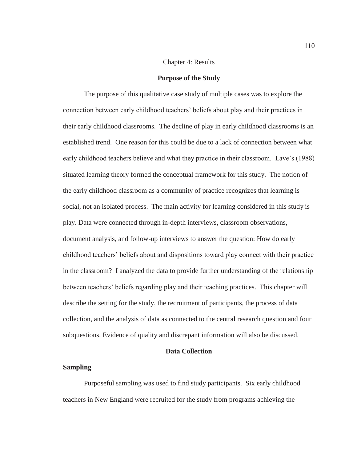# Chapter 4: Results

#### **Purpose of the Study**

The purpose of this qualitative case study of multiple cases was to explore the connection between early childhood teachers' beliefs about play and their practices in their early childhood classrooms. The decline of play in early childhood classrooms is an established trend. One reason for this could be due to a lack of connection between what early childhood teachers believe and what they practice in their classroom. Lave's (1988) situated learning theory formed the conceptual framework for this study. The notion of the early childhood classroom as a community of practice recognizes that learning is social, not an isolated process. The main activity for learning considered in this study is play. Data were connected through in-depth interviews, classroom observations, document analysis, and follow-up interviews to answer the question: How do early childhood teachers' beliefs about and dispositions toward play connect with their practice in the classroom? I analyzed the data to provide further understanding of the relationship between teachers' beliefs regarding play and their teaching practices. This chapter will describe the setting for the study, the recruitment of participants, the process of data collection, and the analysis of data as connected to the central research question and four subquestions. Evidence of quality and discrepant information will also be discussed.

# **Data Collection**

# **Sampling**

Purposeful sampling was used to find study participants. Six early childhood teachers in New England were recruited for the study from programs achieving the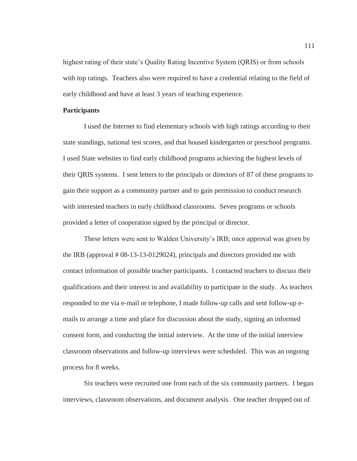highest rating of their state's Quality Rating Incentive System (QRIS) or from schools with top ratings. Teachers also were required to have a credential relating to the field of early childhood and have at least 3 years of teaching experience.

# **Participants**

I used the Internet to find elementary schools with high ratings according to their state standings, national test scores, and that housed kindergarten or preschool programs. I used State websites to find early childhood programs achieving the highest levels of their QRIS systems. I sent letters to the principals or directors of 87 of these programs to gain their support as a community partner and to gain permission to conduct research with interested teachers in early childhood classrooms. Seven programs or schools provided a letter of cooperation signed by the principal or director.

These letters were sent to Walden University's IRB; once approval was given by the IRB (approval # 08-13-13-0129024), principals and directors provided me with contact information of possible teacher participants. I contacted teachers to discuss their qualifications and their interest in and availability to participate in the study. As teachers responded to me via e-mail or telephone, I made follow-up calls and sent follow-up emails to arrange a time and place for discussion about the study, signing an informed consent form, and conducting the initial interview. At the time of the initial interview classroom observations and follow-up interviews were scheduled. This was an ongoing process for 8 weeks.

Six teachers were recruited one from each of the six community partners. I began interviews, classroom observations, and document analysis. One teacher dropped out of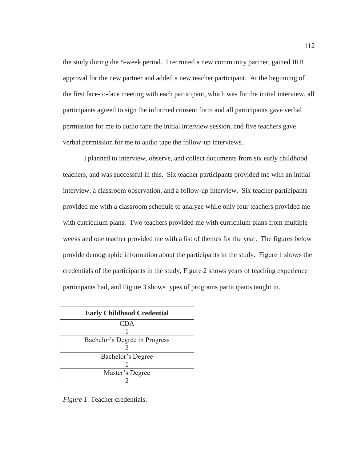the study during the 8-week period. I recruited a new community partner, gained IRB approval for the new partner and added a new teacher participant. At the beginning of the first face-to-face meeting with each participant, which was for the initial interview, all participants agreed to sign the informed consent form and all participants gave verbal permission for me to audio tape the initial interview session, and five teachers gave verbal permission for me to audio tape the follow-up interviews.

I planned to interview, observe, and collect documents from six early childhood teachers, and was successful in this. Six teacher participants provided me with an initial interview, a classroom observation, and a follow-up interview. Six teacher participants provided me with a classroom schedule to analyze while only four teachers provided me with curriculum plans. Two teachers provided me with curriculum plans from multiple weeks and one teacher provided me with a list of themes for the year. The figures below provide demographic information about the participants in the study. Figure 1 shows the credentials of the participants in the study, Figure 2 shows years of teaching experience participants had, and Figure 3 shows types of programs participants taught in.

| <b>Early Childhood Credential</b> |
|-----------------------------------|
| <b>CDA</b>                        |
|                                   |
| Bachelor's Degree in Progress     |
|                                   |
| Bachelor's Degree                 |
|                                   |
| Master's Degree                   |
|                                   |

*Figure 1*. Teacher credentials.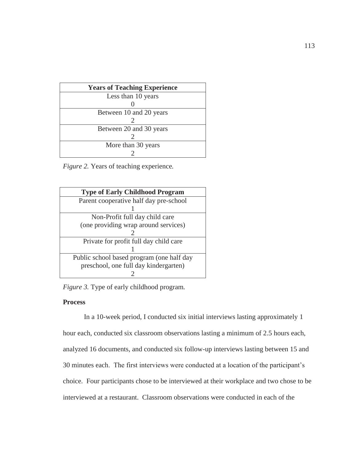| <b>Years of Teaching Experience</b> |
|-------------------------------------|
| Less than 10 years                  |
|                                     |
| Between 10 and 20 years             |
|                                     |
| Between 20 and 30 years             |
|                                     |
| More than 30 years                  |
|                                     |

*Figure 2.* Years of teaching experience*.* 

| <b>Type of Early Childhood Program</b>    |
|-------------------------------------------|
| Parent cooperative half day pre-school    |
|                                           |
| Non-Profit full day child care            |
| (one providing wrap around services)      |
|                                           |
| Private for profit full day child care    |
|                                           |
| Public school based program (one half day |
| preschool, one full day kindergarten)     |
|                                           |

*Figure 3.* Type of early childhood program*.* 

# **Process**

In a 10-week period, I conducted six initial interviews lasting approximately 1 hour each, conducted six classroom observations lasting a minimum of 2.5 hours each, analyzed 16 documents, and conducted six follow-up interviews lasting between 15 and 30 minutes each. The first interviews were conducted at a location of the participant's choice. Four participants chose to be interviewed at their workplace and two chose to be interviewed at a restaurant. Classroom observations were conducted in each of the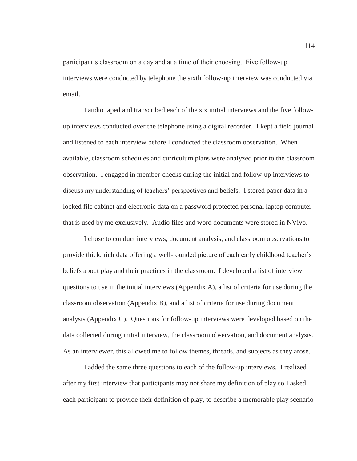participant's classroom on a day and at a time of their choosing. Five follow-up interviews were conducted by telephone the sixth follow-up interview was conducted via email.

I audio taped and transcribed each of the six initial interviews and the five followup interviews conducted over the telephone using a digital recorder. I kept a field journal and listened to each interview before I conducted the classroom observation. When available, classroom schedules and curriculum plans were analyzed prior to the classroom observation. I engaged in member-checks during the initial and follow-up interviews to discuss my understanding of teachers' perspectives and beliefs. I stored paper data in a locked file cabinet and electronic data on a password protected personal laptop computer that is used by me exclusively. Audio files and word documents were stored in NVivo.

I chose to conduct interviews, document analysis, and classroom observations to provide thick, rich data offering a well-rounded picture of each early childhood teacher's beliefs about play and their practices in the classroom. I developed a list of interview questions to use in the initial interviews (Appendix A), a list of criteria for use during the classroom observation (Appendix B), and a list of criteria for use during document analysis (Appendix C). Questions for follow-up interviews were developed based on the data collected during initial interview, the classroom observation, and document analysis. As an interviewer, this allowed me to follow themes, threads, and subjects as they arose.

I added the same three questions to each of the follow-up interviews. I realized after my first interview that participants may not share my definition of play so I asked each participant to provide their definition of play, to describe a memorable play scenario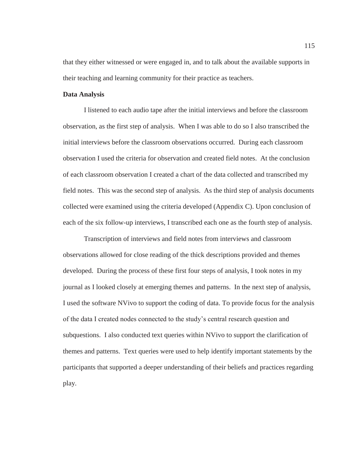that they either witnessed or were engaged in, and to talk about the available supports in their teaching and learning community for their practice as teachers.

# **Data Analysis**

I listened to each audio tape after the initial interviews and before the classroom observation, as the first step of analysis. When I was able to do so I also transcribed the initial interviews before the classroom observations occurred. During each classroom observation I used the criteria for observation and created field notes. At the conclusion of each classroom observation I created a chart of the data collected and transcribed my field notes. This was the second step of analysis. As the third step of analysis documents collected were examined using the criteria developed (Appendix C). Upon conclusion of each of the six follow-up interviews, I transcribed each one as the fourth step of analysis.

Transcription of interviews and field notes from interviews and classroom observations allowed for close reading of the thick descriptions provided and themes developed. During the process of these first four steps of analysis, I took notes in my journal as I looked closely at emerging themes and patterns. In the next step of analysis, I used the software NVivo to support the coding of data. To provide focus for the analysis of the data I created nodes connected to the study's central research question and subquestions. I also conducted text queries within NVivo to support the clarification of themes and patterns. Text queries were used to help identify important statements by the participants that supported a deeper understanding of their beliefs and practices regarding play.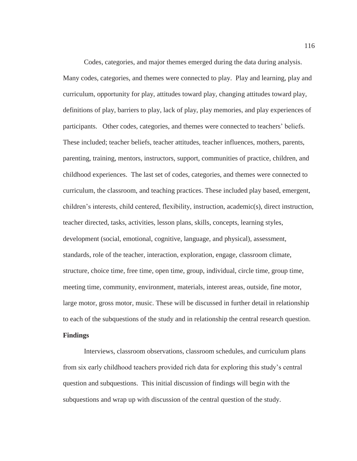Codes, categories, and major themes emerged during the data during analysis. Many codes, categories, and themes were connected to play. Play and learning, play and curriculum, opportunity for play, attitudes toward play, changing attitudes toward play, definitions of play, barriers to play, lack of play, play memories, and play experiences of participants. Other codes, categories, and themes were connected to teachers' beliefs. These included; teacher beliefs, teacher attitudes, teacher influences, mothers, parents, parenting, training, mentors, instructors, support, communities of practice, children, and childhood experiences. The last set of codes, categories, and themes were connected to curriculum, the classroom, and teaching practices. These included play based, emergent, children's interests, child centered, flexibility, instruction, academic(s), direct instruction, teacher directed, tasks, activities, lesson plans, skills, concepts, learning styles, development (social, emotional, cognitive, language, and physical), assessment, standards, role of the teacher, interaction, exploration, engage, classroom climate, structure, choice time, free time, open time, group, individual, circle time, group time, meeting time, community, environment, materials, interest areas, outside, fine motor, large motor, gross motor, music. These will be discussed in further detail in relationship to each of the subquestions of the study and in relationship the central research question.

# **Findings**

Interviews, classroom observations, classroom schedules, and curriculum plans from six early childhood teachers provided rich data for exploring this study's central question and subquestions. This initial discussion of findings will begin with the subquestions and wrap up with discussion of the central question of the study.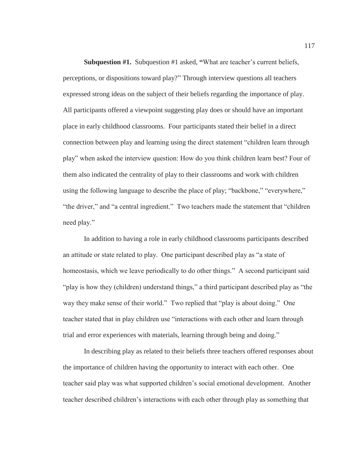**Subquestion #1.** Subquestion #1 asked, **"**What are teacher's current beliefs, perceptions, or dispositions toward play?" Through interview questions all teachers expressed strong ideas on the subject of their beliefs regarding the importance of play. All participants offered a viewpoint suggesting play does or should have an important place in early childhood classrooms. Four participants stated their belief in a direct connection between play and learning using the direct statement "children learn through play" when asked the interview question: How do you think children learn best? Four of them also indicated the centrality of play to their classrooms and work with children using the following language to describe the place of play; "backbone," "everywhere," "the driver," and "a central ingredient." Two teachers made the statement that "children need play."

In addition to having a role in early childhood classrooms participants described an attitude or state related to play. One participant described play as "a state of homeostasis, which we leave periodically to do other things." A second participant said "play is how they (children) understand things," a third participant described play as "the way they make sense of their world." Two replied that "play is about doing." One teacher stated that in play children use "interactions with each other and learn through trial and error experiences with materials, learning through being and doing."

In describing play as related to their beliefs three teachers offered responses about the importance of children having the opportunity to interact with each other. One teacher said play was what supported children's social emotional development. Another teacher described children's interactions with each other through play as something that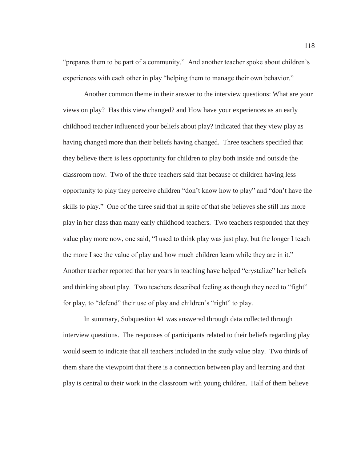"prepares them to be part of a community." And another teacher spoke about children's experiences with each other in play "helping them to manage their own behavior."

Another common theme in their answer to the interview questions: What are your views on play? Has this view changed? and How have your experiences as an early childhood teacher influenced your beliefs about play? indicated that they view play as having changed more than their beliefs having changed. Three teachers specified that they believe there is less opportunity for children to play both inside and outside the classroom now. Two of the three teachers said that because of children having less opportunity to play they perceive children "don't know how to play" and "don't have the skills to play." One of the three said that in spite of that she believes she still has more play in her class than many early childhood teachers. Two teachers responded that they value play more now, one said, "I used to think play was just play, but the longer I teach the more I see the value of play and how much children learn while they are in it." Another teacher reported that her years in teaching have helped "crystalize" her beliefs and thinking about play. Two teachers described feeling as though they need to "fight" for play, to "defend" their use of play and children's "right" to play.

In summary, Subquestion #1 was answered through data collected through interview questions. The responses of participants related to their beliefs regarding play would seem to indicate that all teachers included in the study value play. Two thirds of them share the viewpoint that there is a connection between play and learning and that play is central to their work in the classroom with young children. Half of them believe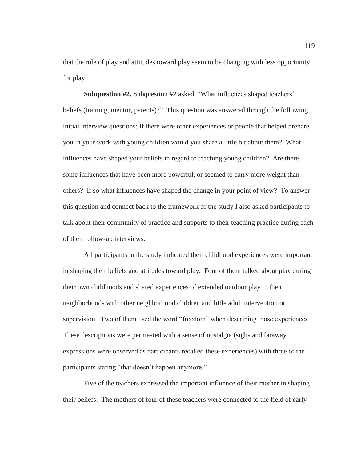that the role of play and attitudes toward play seem to be changing with less opportunity for play.

**Subquestion #2.** Subquestion #2 asked, "What influences shaped teachers' beliefs (training, mentor, parents)?" This question was answered through the following initial interview questions: If there were other experiences or people that helped prepare you in your work with young children would you share a little bit about them? What influences have shaped your beliefs in regard to teaching young children? Are there some influences that have been more powerful, or seemed to carry more weight than others? If so what influences have shaped the change in your point of view? To answer this question and connect back to the framework of the study I also asked participants to talk about their community of practice and supports to their teaching practice during each of their follow-up interviews.

All participants in the study indicated their childhood experiences were important in shaping their beliefs and attitudes toward play. Four of them talked about play during their own childhoods and shared experiences of extended outdoor play in their neighborhoods with other neighborhood children and little adult intervention or supervision. Two of them used the word "freedom" when describing those experiences. These descriptions were permeated with a sense of nostalgia (sighs and faraway expressions were observed as participants recalled these experiences) with three of the participants stating "that doesn't happen anymore."

Five of the teachers expressed the important influence of their mother in shaping their beliefs. The mothers of four of these teachers were connected to the field of early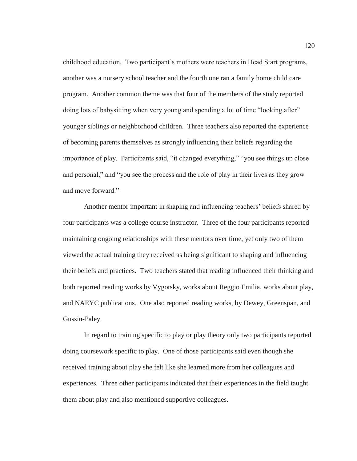childhood education. Two participant's mothers were teachers in Head Start programs, another was a nursery school teacher and the fourth one ran a family home child care program. Another common theme was that four of the members of the study reported doing lots of babysitting when very young and spending a lot of time "looking after" younger siblings or neighborhood children. Three teachers also reported the experience of becoming parents themselves as strongly influencing their beliefs regarding the importance of play. Participants said, "it changed everything," "you see things up close and personal," and "you see the process and the role of play in their lives as they grow and move forward."

Another mentor important in shaping and influencing teachers' beliefs shared by four participants was a college course instructor. Three of the four participants reported maintaining ongoing relationships with these mentors over time, yet only two of them viewed the actual training they received as being significant to shaping and influencing their beliefs and practices. Two teachers stated that reading influenced their thinking and both reported reading works by Vygotsky, works about Reggio Emilia, works about play, and NAEYC publications. One also reported reading works, by Dewey, Greenspan, and Gussin-Paley.

In regard to training specific to play or play theory only two participants reported doing coursework specific to play. One of those participants said even though she received training about play she felt like she learned more from her colleagues and experiences. Three other participants indicated that their experiences in the field taught them about play and also mentioned supportive colleagues.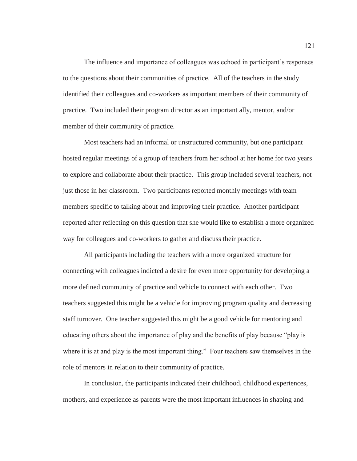The influence and importance of colleagues was echoed in participant's responses to the questions about their communities of practice. All of the teachers in the study identified their colleagues and co-workers as important members of their community of practice. Two included their program director as an important ally, mentor, and/or member of their community of practice.

Most teachers had an informal or unstructured community, but one participant hosted regular meetings of a group of teachers from her school at her home for two years to explore and collaborate about their practice. This group included several teachers, not just those in her classroom. Two participants reported monthly meetings with team members specific to talking about and improving their practice. Another participant reported after reflecting on this question that she would like to establish a more organized way for colleagues and co-workers to gather and discuss their practice.

All participants including the teachers with a more organized structure for connecting with colleagues indicted a desire for even more opportunity for developing a more defined community of practice and vehicle to connect with each other. Two teachers suggested this might be a vehicle for improving program quality and decreasing staff turnover. One teacher suggested this might be a good vehicle for mentoring and educating others about the importance of play and the benefits of play because "play is where it is at and play is the most important thing." Four teachers saw themselves in the role of mentors in relation to their community of practice.

In conclusion, the participants indicated their childhood, childhood experiences, mothers, and experience as parents were the most important influences in shaping and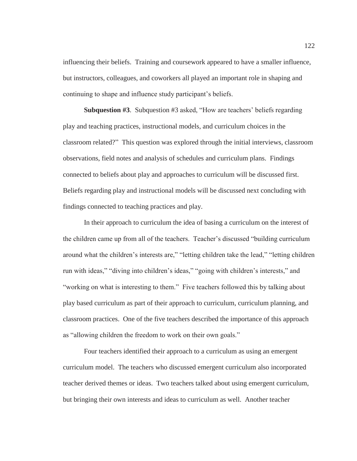influencing their beliefs. Training and coursework appeared to have a smaller influence, but instructors, colleagues, and coworkers all played an important role in shaping and continuing to shape and influence study participant's beliefs.

**Subquestion #3**. Subquestion #3 asked, "How are teachers' beliefs regarding play and teaching practices, instructional models, and curriculum choices in the classroom related?" This question was explored through the initial interviews, classroom observations, field notes and analysis of schedules and curriculum plans. Findings connected to beliefs about play and approaches to curriculum will be discussed first. Beliefs regarding play and instructional models will be discussed next concluding with findings connected to teaching practices and play.

In their approach to curriculum the idea of basing a curriculum on the interest of the children came up from all of the teachers. Teacher's discussed "building curriculum around what the children's interests are," "letting children take the lead," "letting children run with ideas," "diving into children's ideas," "going with children's interests," and "working on what is interesting to them." Five teachers followed this by talking about play based curriculum as part of their approach to curriculum, curriculum planning, and classroom practices. One of the five teachers described the importance of this approach as "allowing children the freedom to work on their own goals."

Four teachers identified their approach to a curriculum as using an emergent curriculum model. The teachers who discussed emergent curriculum also incorporated teacher derived themes or ideas. Two teachers talked about using emergent curriculum, but bringing their own interests and ideas to curriculum as well. Another teacher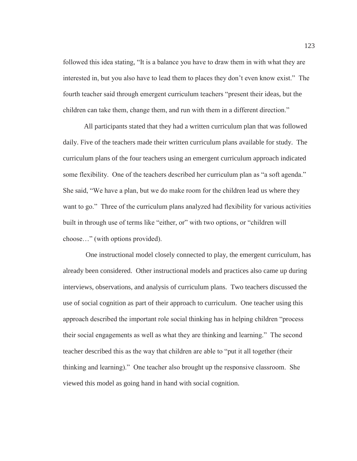followed this idea stating, "It is a balance you have to draw them in with what they are interested in, but you also have to lead them to places they don't even know exist." The fourth teacher said through emergent curriculum teachers "present their ideas, but the children can take them, change them, and run with them in a different direction."

All participants stated that they had a written curriculum plan that was followed daily. Five of the teachers made their written curriculum plans available for study. The curriculum plans of the four teachers using an emergent curriculum approach indicated some flexibility. One of the teachers described her curriculum plan as "a soft agenda." She said, "We have a plan, but we do make room for the children lead us where they want to go." Three of the curriculum plans analyzed had flexibility for various activities built in through use of terms like "either, or" with two options, or "children will choose…" (with options provided).

 One instructional model closely connected to play, the emergent curriculum, has already been considered. Other instructional models and practices also came up during interviews, observations, and analysis of curriculum plans. Two teachers discussed the use of social cognition as part of their approach to curriculum. One teacher using this approach described the important role social thinking has in helping children "process their social engagements as well as what they are thinking and learning." The second teacher described this as the way that children are able to "put it all together (their thinking and learning)." One teacher also brought up the responsive classroom. She viewed this model as going hand in hand with social cognition.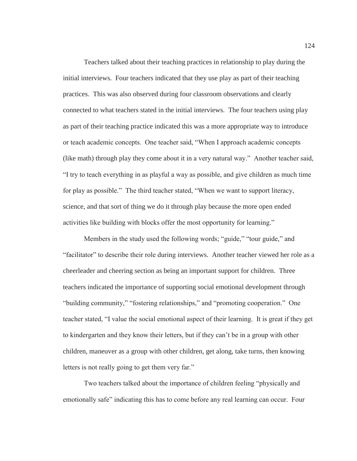Teachers talked about their teaching practices in relationship to play during the initial interviews. Four teachers indicated that they use play as part of their teaching practices. This was also observed during four classroom observations and clearly connected to what teachers stated in the initial interviews. The four teachers using play as part of their teaching practice indicated this was a more appropriate way to introduce or teach academic concepts. One teacher said, "When I approach academic concepts (like math) through play they come about it in a very natural way." Another teacher said, "I try to teach everything in as playful a way as possible, and give children as much time for play as possible." The third teacher stated, "When we want to support literacy, science, and that sort of thing we do it through play because the more open ended activities like building with blocks offer the most opportunity for learning."

Members in the study used the following words; "guide," "tour guide," and "facilitator" to describe their role during interviews. Another teacher viewed her role as a cheerleader and cheering section as being an important support for children. Three teachers indicated the importance of supporting social emotional development through "building community," "fostering relationships," and "promoting cooperation." One teacher stated, "I value the social emotional aspect of their learning. It is great if they get to kindergarten and they know their letters, but if they can't be in a group with other children, maneuver as a group with other children, get along, take turns, then knowing letters is not really going to get them very far."

Two teachers talked about the importance of children feeling "physically and emotionally safe" indicating this has to come before any real learning can occur. Four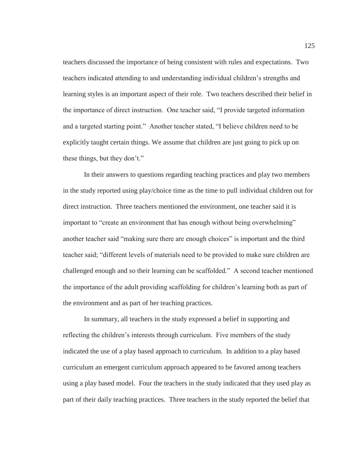teachers discussed the importance of being consistent with rules and expectations. Two teachers indicated attending to and understanding individual children's strengths and learning styles is an important aspect of their role. Two teachers described their belief in the importance of direct instruction. One teacher said, "I provide targeted information and a targeted starting point." Another teacher stated, "I believe children need to be explicitly taught certain things. We assume that children are just going to pick up on these things, but they don't."

In their answers to questions regarding teaching practices and play two members in the study reported using play/choice time as the time to pull individual children out for direct instruction. Three teachers mentioned the environment, one teacher said it is important to "create an environment that has enough without being overwhelming" another teacher said "making sure there are enough choices" is important and the third teacher said; "different levels of materials need to be provided to make sure children are challenged enough and so their learning can be scaffolded." A second teacher mentioned the importance of the adult providing scaffolding for children's learning both as part of the environment and as part of her teaching practices.

In summary, all teachers in the study expressed a belief in supporting and reflecting the children's interests through curriculum. Five members of the study indicated the use of a play based approach to curriculum. In addition to a play based curriculum an emergent curriculum approach appeared to be favored among teachers using a play based model. Four the teachers in the study indicated that they used play as part of their daily teaching practices. Three teachers in the study reported the belief that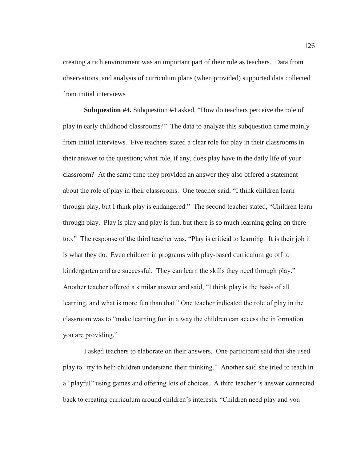creating a rich environment was an important part of their role as teachers. Data from observations, and analysis of curriculum plans (when provided) supported data collected from initial interviews

**Subquestion #4.** Subquestion #4 asked, "How do teachers perceive the role of play in early childhood classrooms?" The data to analyze this subquestion came mainly from initial interviews. Five teachers stated a clear role for play in their classrooms in their answer to the question; what role, if any, does play have in the daily life of your classroom? At the same time they provided an answer they also offered a statement about the role of play in their classrooms. One teacher said, "I think children learn through play, but I think play is endangered." The second teacher stated, "Children learn through play. Play is play and play is fun, but there is so much learning going on there too." The response of the third teacher was, "Play is critical to learning. It is their job it is what they do. Even children in programs with play-based curriculum go off to kindergarten and are successful. They can learn the skills they need through play." Another teacher offered a similar answer and said, "I think play is the basis of all learning, and what is more fun than that." One teacher indicated the role of play in the classroom was to "make learning fun in a way the children can access the information you are providing."

I asked teachers to elaborate on their answers. One participant said that she used play to "try to help children understand their thinking." Another said she tried to teach in a "playful" using games and offering lots of choices. A third teacher 's answer connected back to creating curriculum around children's interests, "Children need play and you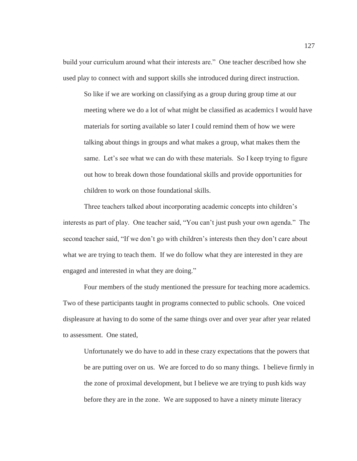build your curriculum around what their interests are." One teacher described how she used play to connect with and support skills she introduced during direct instruction.

So like if we are working on classifying as a group during group time at our meeting where we do a lot of what might be classified as academics I would have materials for sorting available so later I could remind them of how we were talking about things in groups and what makes a group, what makes them the same. Let's see what we can do with these materials. So I keep trying to figure out how to break down those foundational skills and provide opportunities for children to work on those foundational skills.

Three teachers talked about incorporating academic concepts into children's interests as part of play. One teacher said, "You can't just push your own agenda." The second teacher said, "If we don't go with children's interests then they don't care about what we are trying to teach them. If we do follow what they are interested in they are engaged and interested in what they are doing."

Four members of the study mentioned the pressure for teaching more academics. Two of these participants taught in programs connected to public schools. One voiced displeasure at having to do some of the same things over and over year after year related to assessment. One stated,

Unfortunately we do have to add in these crazy expectations that the powers that be are putting over on us. We are forced to do so many things. I believe firmly in the zone of proximal development, but I believe we are trying to push kids way before they are in the zone. We are supposed to have a ninety minute literacy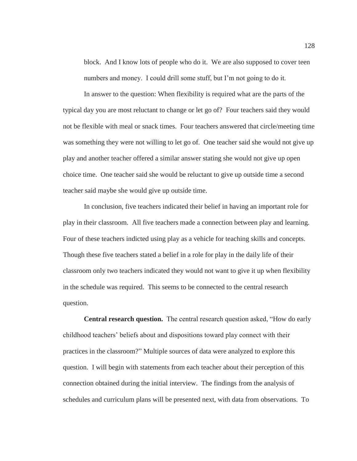block. And I know lots of people who do it. We are also supposed to cover teen numbers and money. I could drill some stuff, but I'm not going to do it.

In answer to the question: When flexibility is required what are the parts of the typical day you are most reluctant to change or let go of? Four teachers said they would not be flexible with meal or snack times. Four teachers answered that circle/meeting time was something they were not willing to let go of. One teacher said she would not give up play and another teacher offered a similar answer stating she would not give up open choice time. One teacher said she would be reluctant to give up outside time a second teacher said maybe she would give up outside time.

In conclusion, five teachers indicated their belief in having an important role for play in their classroom. All five teachers made a connection between play and learning. Four of these teachers indicted using play as a vehicle for teaching skills and concepts. Though these five teachers stated a belief in a role for play in the daily life of their classroom only two teachers indicated they would not want to give it up when flexibility in the schedule was required. This seems to be connected to the central research question.

**Central research question.** The central research question asked, "How do early childhood teachers' beliefs about and dispositions toward play connect with their practices in the classroom?" Multiple sources of data were analyzed to explore this question. I will begin with statements from each teacher about their perception of this connection obtained during the initial interview. The findings from the analysis of schedules and curriculum plans will be presented next, with data from observations. To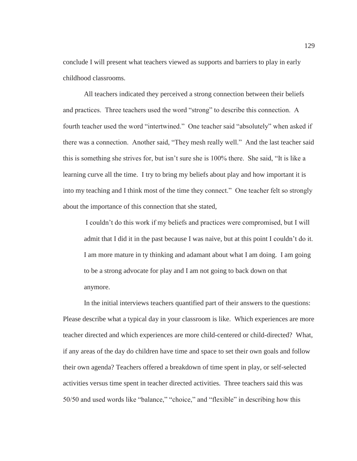conclude I will present what teachers viewed as supports and barriers to play in early childhood classrooms.

All teachers indicated they perceived a strong connection between their beliefs and practices. Three teachers used the word "strong" to describe this connection. A fourth teacher used the word "intertwined." One teacher said "absolutely" when asked if there was a connection. Another said, "They mesh really well." And the last teacher said this is something she strives for, but isn't sure she is 100% there. She said, "It is like a learning curve all the time. I try to bring my beliefs about play and how important it is into my teaching and I think most of the time they connect." One teacher felt so strongly about the importance of this connection that she stated,

I couldn't do this work if my beliefs and practices were compromised, but I will admit that I did it in the past because I was naive, but at this point I couldn't do it. I am more mature in ty thinking and adamant about what I am doing. I am going to be a strong advocate for play and I am not going to back down on that anymore.

In the initial interviews teachers quantified part of their answers to the questions: Please describe what a typical day in your classroom is like. Which experiences are more teacher directed and which experiences are more child-centered or child-directed? What, if any areas of the day do children have time and space to set their own goals and follow their own agenda? Teachers offered a breakdown of time spent in play, or self-selected activities versus time spent in teacher directed activities. Three teachers said this was 50/50 and used words like "balance," "choice," and "flexible" in describing how this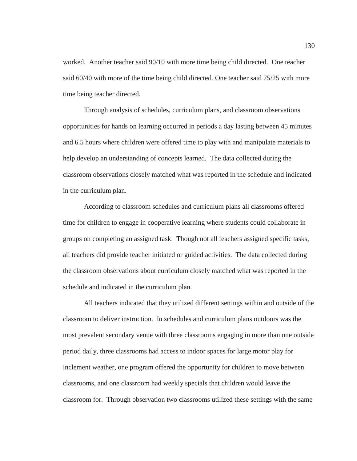worked. Another teacher said 90/10 with more time being child directed. One teacher said 60/40 with more of the time being child directed. One teacher said 75/25 with more time being teacher directed.

Through analysis of schedules, curriculum plans, and classroom observations opportunities for hands on learning occurred in periods a day lasting between 45 minutes and 6.5 hours where children were offered time to play with and manipulate materials to help develop an understanding of concepts learned. The data collected during the classroom observations closely matched what was reported in the schedule and indicated in the curriculum plan.

According to classroom schedules and curriculum plans all classrooms offered time for children to engage in cooperative learning where students could collaborate in groups on completing an assigned task. Though not all teachers assigned specific tasks, all teachers did provide teacher initiated or guided activities. The data collected during the classroom observations about curriculum closely matched what was reported in the schedule and indicated in the curriculum plan.

All teachers indicated that they utilized different settings within and outside of the classroom to deliver instruction. In schedules and curriculum plans outdoors was the most prevalent secondary venue with three classrooms engaging in more than one outside period daily, three classrooms had access to indoor spaces for large motor play for inclement weather, one program offered the opportunity for children to move between classrooms, and one classroom had weekly specials that children would leave the classroom for. Through observation two classrooms utilized these settings with the same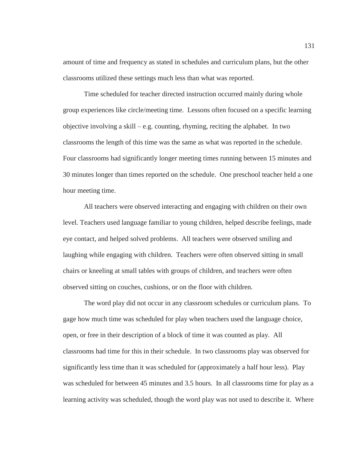amount of time and frequency as stated in schedules and curriculum plans, but the other classrooms utilized these settings much less than what was reported.

Time scheduled for teacher directed instruction occurred mainly during whole group experiences like circle/meeting time. Lessons often focused on a specific learning objective involving a skill – e.g. counting, rhyming, reciting the alphabet. In two classrooms the length of this time was the same as what was reported in the schedule. Four classrooms had significantly longer meeting times running between 15 minutes and 30 minutes longer than times reported on the schedule. One preschool teacher held a one hour meeting time.

All teachers were observed interacting and engaging with children on their own level. Teachers used language familiar to young children, helped describe feelings, made eye contact, and helped solved problems. All teachers were observed smiling and laughing while engaging with children. Teachers were often observed sitting in small chairs or kneeling at small tables with groups of children, and teachers were often observed sitting on couches, cushions, or on the floor with children.

The word play did not occur in any classroom schedules or curriculum plans. To gage how much time was scheduled for play when teachers used the language choice, open, or free in their description of a block of time it was counted as play. All classrooms had time for this in their schedule. In two classrooms play was observed for significantly less time than it was scheduled for (approximately a half hour less). Play was scheduled for between 45 minutes and 3.5 hours. In all classrooms time for play as a learning activity was scheduled, though the word play was not used to describe it. Where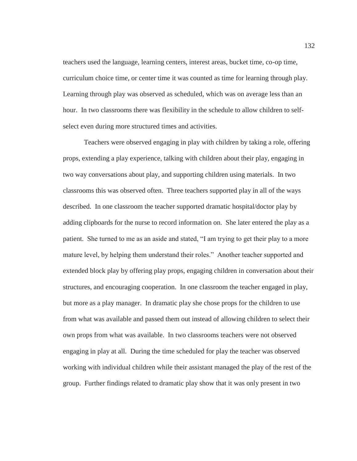teachers used the language, learning centers, interest areas, bucket time, co-op time, curriculum choice time, or center time it was counted as time for learning through play. Learning through play was observed as scheduled, which was on average less than an hour. In two classrooms there was flexibility in the schedule to allow children to selfselect even during more structured times and activities.

Teachers were observed engaging in play with children by taking a role, offering props, extending a play experience, talking with children about their play, engaging in two way conversations about play, and supporting children using materials. In two classrooms this was observed often. Three teachers supported play in all of the ways described. In one classroom the teacher supported dramatic hospital/doctor play by adding clipboards for the nurse to record information on. She later entered the play as a patient. She turned to me as an aside and stated, "I am trying to get their play to a more mature level, by helping them understand their roles." Another teacher supported and extended block play by offering play props, engaging children in conversation about their structures, and encouraging cooperation. In one classroom the teacher engaged in play, but more as a play manager. In dramatic play she chose props for the children to use from what was available and passed them out instead of allowing children to select their own props from what was available. In two classrooms teachers were not observed engaging in play at all. During the time scheduled for play the teacher was observed working with individual children while their assistant managed the play of the rest of the group. Further findings related to dramatic play show that it was only present in two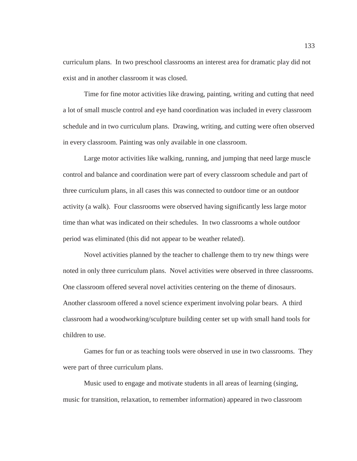curriculum plans. In two preschool classrooms an interest area for dramatic play did not exist and in another classroom it was closed.

Time for fine motor activities like drawing, painting, writing and cutting that need a lot of small muscle control and eye hand coordination was included in every classroom schedule and in two curriculum plans. Drawing, writing, and cutting were often observed in every classroom. Painting was only available in one classroom.

Large motor activities like walking, running, and jumping that need large muscle control and balance and coordination were part of every classroom schedule and part of three curriculum plans, in all cases this was connected to outdoor time or an outdoor activity (a walk). Four classrooms were observed having significantly less large motor time than what was indicated on their schedules. In two classrooms a whole outdoor period was eliminated (this did not appear to be weather related).

Novel activities planned by the teacher to challenge them to try new things were noted in only three curriculum plans. Novel activities were observed in three classrooms. One classroom offered several novel activities centering on the theme of dinosaurs. Another classroom offered a novel science experiment involving polar bears. A third classroom had a woodworking/sculpture building center set up with small hand tools for children to use.

Games for fun or as teaching tools were observed in use in two classrooms. They were part of three curriculum plans.

Music used to engage and motivate students in all areas of learning (singing, music for transition, relaxation, to remember information) appeared in two classroom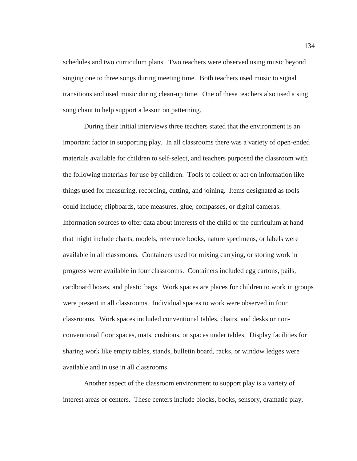schedules and two curriculum plans. Two teachers were observed using music beyond singing one to three songs during meeting time. Both teachers used music to signal transitions and used music during clean-up time. One of these teachers also used a sing song chant to help support a lesson on patterning.

During their initial interviews three teachers stated that the environment is an important factor in supporting play. In all classrooms there was a variety of open-ended materials available for children to self-select, and teachers purposed the classroom with the following materials for use by children. Tools to collect or act on information like things used for measuring, recording, cutting, and joining. Items designated as tools could include; clipboards, tape measures, glue, compasses, or digital cameras. Information sources to offer data about interests of the child or the curriculum at hand that might include charts, models, reference books, nature specimens, or labels were available in all classrooms. Containers used for mixing carrying, or storing work in progress were available in four classrooms. Containers included egg cartons, pails, cardboard boxes, and plastic bags. Work spaces are places for children to work in groups were present in all classrooms. Individual spaces to work were observed in four classrooms. Work spaces included conventional tables, chairs, and desks or nonconventional floor spaces, mats, cushions, or spaces under tables. Display facilities for sharing work like empty tables, stands, bulletin board, racks, or window ledges were available and in use in all classrooms.

Another aspect of the classroom environment to support play is a variety of interest areas or centers. These centers include blocks, books, sensory, dramatic play,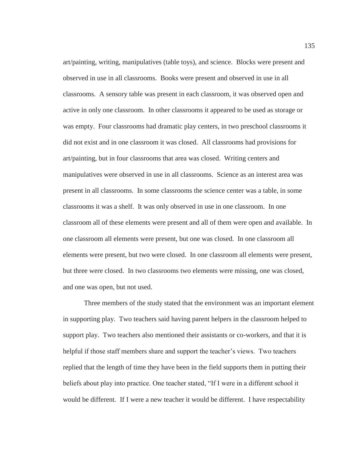art/painting, writing, manipulatives (table toys), and science. Blocks were present and observed in use in all classrooms. Books were present and observed in use in all classrooms. A sensory table was present in each classroom, it was observed open and active in only one classroom. In other classrooms it appeared to be used as storage or was empty. Four classrooms had dramatic play centers, in two preschool classrooms it did not exist and in one classroom it was closed. All classrooms had provisions for art/painting, but in four classrooms that area was closed. Writing centers and manipulatives were observed in use in all classrooms. Science as an interest area was present in all classrooms. In some classrooms the science center was a table, in some classrooms it was a shelf. It was only observed in use in one classroom. In one classroom all of these elements were present and all of them were open and available. In one classroom all elements were present, but one was closed. In one classroom all elements were present, but two were closed. In one classroom all elements were present, but three were closed. In two classrooms two elements were missing, one was closed, and one was open, but not used.

Three members of the study stated that the environment was an important element in supporting play. Two teachers said having parent helpers in the classroom helped to support play. Two teachers also mentioned their assistants or co-workers, and that it is helpful if those staff members share and support the teacher's views. Two teachers replied that the length of time they have been in the field supports them in putting their beliefs about play into practice. One teacher stated, "If I were in a different school it would be different. If I were a new teacher it would be different. I have respectability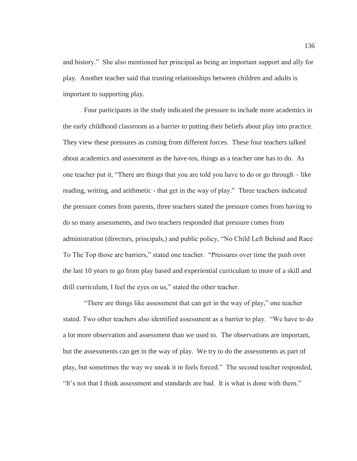and history." She also mentioned her principal as being an important support and ally for play. Another teacher said that trusting relationships between children and adults is important to supporting play.

Four participants in the study indicated the pressure to include more academics in the early childhood classroom as a barrier to putting their beliefs about play into practice. They view these pressures as coming from different forces. These four teachers talked about academics and assessment as the have-tos, things as a teacher one has to do. As one teacher put it, "There are things that you are told you have to do or go through – like reading, writing, and arithmetic - that get in the way of play." Three teachers indicated the pressure comes from parents, three teachers stated the pressure comes from having to do so many assessments, and two teachers responded that pressure comes from administration (directors, principals,) and public policy, "No Child Left Behind and Race To The Top those are barriers," stated one teacher. "Pressures over time the push over the last 10 years to go from play based and experiential curriculum to more of a skill and drill curriculum, I feel the eyes on us," stated the other teacher.

"There are things like assessment that can get in the way of play," one teacher stated. Two other teachers also identified assessment as a barrier to play. "We have to do a lot more observation and assessment than we used to. The observations are important, but the assessments can get in the way of play. We try to do the assessments as part of play, but sometimes the way we sneak it in feels forced." The second teacher responded, "It's not that I think assessment and standards are bad. It is what is done with them."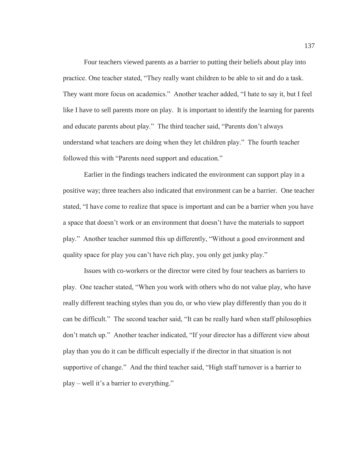Four teachers viewed parents as a barrier to putting their beliefs about play into practice. One teacher stated, "They really want children to be able to sit and do a task. They want more focus on academics." Another teacher added, "I hate to say it, but I feel like I have to sell parents more on play. It is important to identify the learning for parents and educate parents about play." The third teacher said, "Parents don't always understand what teachers are doing when they let children play." The fourth teacher followed this with "Parents need support and education."

 Earlier in the findings teachers indicated the environment can support play in a positive way; three teachers also indicated that environment can be a barrier. One teacher stated, "I have come to realize that space is important and can be a barrier when you have a space that doesn't work or an environment that doesn't have the materials to support play." Another teacher summed this up differently, "Without a good environment and quality space for play you can't have rich play, you only get junky play."

 Issues with co-workers or the director were cited by four teachers as barriers to play. One teacher stated, "When you work with others who do not value play, who have really different teaching styles than you do, or who view play differently than you do it can be difficult." The second teacher said, "It can be really hard when staff philosophies don't match up." Another teacher indicated, "If your director has a different view about play than you do it can be difficult especially if the director in that situation is not supportive of change." And the third teacher said, "High staff turnover is a barrier to play – well it's a barrier to everything."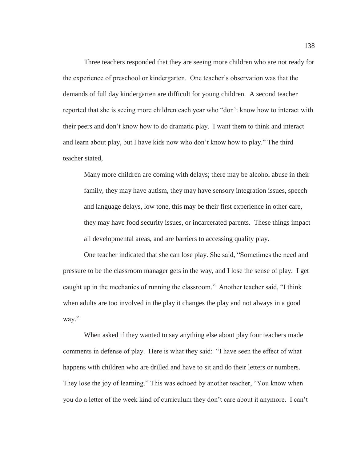Three teachers responded that they are seeing more children who are not ready for the experience of preschool or kindergarten. One teacher's observation was that the demands of full day kindergarten are difficult for young children. A second teacher reported that she is seeing more children each year who "don't know how to interact with their peers and don't know how to do dramatic play. I want them to think and interact and learn about play, but I have kids now who don't know how to play." The third teacher stated,

Many more children are coming with delays; there may be alcohol abuse in their family, they may have autism, they may have sensory integration issues, speech and language delays, low tone, this may be their first experience in other care, they may have food security issues, or incarcerated parents. These things impact all developmental areas, and are barriers to accessing quality play.

 One teacher indicated that she can lose play. She said, "Sometimes the need and pressure to be the classroom manager gets in the way, and I lose the sense of play. I get caught up in the mechanics of running the classroom." Another teacher said, "I think when adults are too involved in the play it changes the play and not always in a good way."

 When asked if they wanted to say anything else about play four teachers made comments in defense of play. Here is what they said: "I have seen the effect of what happens with children who are drilled and have to sit and do their letters or numbers. They lose the joy of learning." This was echoed by another teacher, "You know when you do a letter of the week kind of curriculum they don't care about it anymore. I can't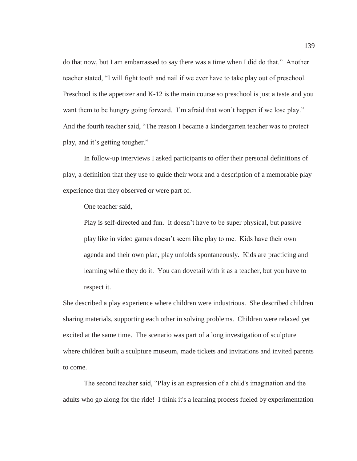do that now, but I am embarrassed to say there was a time when I did do that." Another teacher stated, "I will fight tooth and nail if we ever have to take play out of preschool. Preschool is the appetizer and K-12 is the main course so preschool is just a taste and you want them to be hungry going forward. I'm afraid that won't happen if we lose play." And the fourth teacher said, "The reason I became a kindergarten teacher was to protect play, and it's getting tougher."

In follow-up interviews I asked participants to offer their personal definitions of play, a definition that they use to guide their work and a description of a memorable play experience that they observed or were part of.

One teacher said,

Play is self-directed and fun. It doesn't have to be super physical, but passive play like in video games doesn't seem like play to me. Kids have their own agenda and their own plan, play unfolds spontaneously. Kids are practicing and learning while they do it. You can dovetail with it as a teacher, but you have to respect it.

She described a play experience where children were industrious. She described children sharing materials, supporting each other in solving problems. Children were relaxed yet excited at the same time. The scenario was part of a long investigation of sculpture where children built a sculpture museum, made tickets and invitations and invited parents to come.

The second teacher said, "Play is an expression of a child's imagination and the adults who go along for the ride! I think it's a learning process fueled by experimentation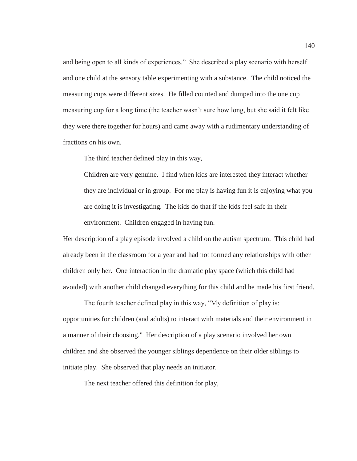and being open to all kinds of experiences." She described a play scenario with herself and one child at the sensory table experimenting with a substance. The child noticed the measuring cups were different sizes. He filled counted and dumped into the one cup measuring cup for a long time (the teacher wasn't sure how long, but she said it felt like they were there together for hours) and came away with a rudimentary understanding of fractions on his own.

The third teacher defined play in this way,

Children are very genuine. I find when kids are interested they interact whether they are individual or in group. For me play is having fun it is enjoying what you are doing it is investigating. The kids do that if the kids feel safe in their environment. Children engaged in having fun.

Her description of a play episode involved a child on the autism spectrum. This child had already been in the classroom for a year and had not formed any relationships with other children only her. One interaction in the dramatic play space (which this child had avoided) with another child changed everything for this child and he made his first friend.

The fourth teacher defined play in this way, "My definition of play is: opportunities for children (and adults) to interact with materials and their environment in a manner of their choosing." Her description of a play scenario involved her own children and she observed the younger siblings dependence on their older siblings to initiate play. She observed that play needs an initiator.

The next teacher offered this definition for play,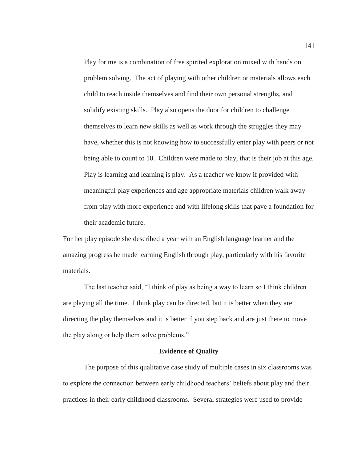Play for me is a combination of free spirited exploration mixed with hands on problem solving. The act of playing with other children or materials allows each child to reach inside themselves and find their own personal strengths, and solidify existing skills. Play also opens the door for children to challenge themselves to learn new skills as well as work through the struggles they may have, whether this is not knowing how to successfully enter play with peers or not being able to count to 10. Children were made to play, that is their job at this age. Play is learning and learning is play. As a teacher we know if provided with meaningful play experiences and age appropriate materials children walk away from play with more experience and with lifelong skills that pave a foundation for their academic future.

For her play episode she described a year with an English language learner and the amazing progress he made learning English through play, particularly with his favorite materials.

The last teacher said, "I think of play as being a way to learn so I think children are playing all the time. I think play can be directed, but it is better when they are directing the play themselves and it is better if you step back and are just there to move the play along or help them solve problems."

#### **Evidence of Quality**

The purpose of this qualitative case study of multiple cases in six classrooms was to explore the connection between early childhood teachers' beliefs about play and their practices in their early childhood classrooms. Several strategies were used to provide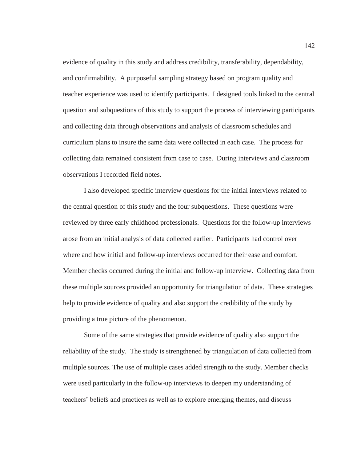evidence of quality in this study and address credibility, transferability, dependability, and confirmability. A purposeful sampling strategy based on program quality and teacher experience was used to identify participants. I designed tools linked to the central question and subquestions of this study to support the process of interviewing participants and collecting data through observations and analysis of classroom schedules and curriculum plans to insure the same data were collected in each case. The process for collecting data remained consistent from case to case. During interviews and classroom observations I recorded field notes.

I also developed specific interview questions for the initial interviews related to the central question of this study and the four subquestions. These questions were reviewed by three early childhood professionals. Questions for the follow-up interviews arose from an initial analysis of data collected earlier. Participants had control over where and how initial and follow-up interviews occurred for their ease and comfort. Member checks occurred during the initial and follow-up interview. Collecting data from these multiple sources provided an opportunity for triangulation of data. These strategies help to provide evidence of quality and also support the credibility of the study by providing a true picture of the phenomenon.

Some of the same strategies that provide evidence of quality also support the reliability of the study. The study is strengthened by triangulation of data collected from multiple sources. The use of multiple cases added strength to the study. Member checks were used particularly in the follow-up interviews to deepen my understanding of teachers' beliefs and practices as well as to explore emerging themes, and discuss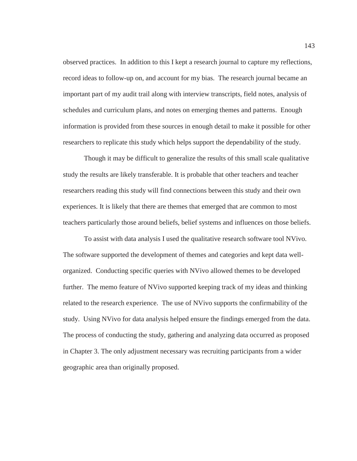observed practices. In addition to this I kept a research journal to capture my reflections, record ideas to follow-up on, and account for my bias. The research journal became an important part of my audit trail along with interview transcripts, field notes, analysis of schedules and curriculum plans, and notes on emerging themes and patterns. Enough information is provided from these sources in enough detail to make it possible for other researchers to replicate this study which helps support the dependability of the study.

Though it may be difficult to generalize the results of this small scale qualitative study the results are likely transferable. It is probable that other teachers and teacher researchers reading this study will find connections between this study and their own experiences. It is likely that there are themes that emerged that are common to most teachers particularly those around beliefs, belief systems and influences on those beliefs.

To assist with data analysis I used the qualitative research software tool NVivo. The software supported the development of themes and categories and kept data wellorganized. Conducting specific queries with NVivo allowed themes to be developed further. The memo feature of NVivo supported keeping track of my ideas and thinking related to the research experience. The use of NVivo supports the confirmability of the study. Using NVivo for data analysis helped ensure the findings emerged from the data. The process of conducting the study, gathering and analyzing data occurred as proposed in Chapter 3. The only adjustment necessary was recruiting participants from a wider geographic area than originally proposed.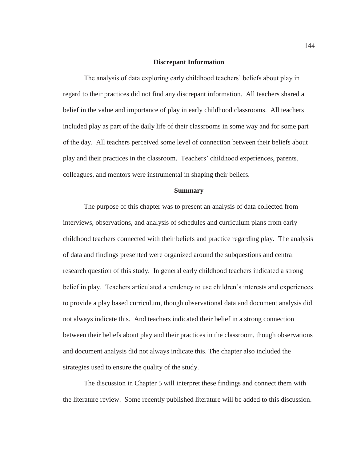### **Discrepant Information**

The analysis of data exploring early childhood teachers' beliefs about play in regard to their practices did not find any discrepant information. All teachers shared a belief in the value and importance of play in early childhood classrooms. All teachers included play as part of the daily life of their classrooms in some way and for some part of the day. All teachers perceived some level of connection between their beliefs about play and their practices in the classroom. Teachers' childhood experiences, parents, colleagues, and mentors were instrumental in shaping their beliefs.

#### **Summary**

The purpose of this chapter was to present an analysis of data collected from interviews, observations, and analysis of schedules and curriculum plans from early childhood teachers connected with their beliefs and practice regarding play. The analysis of data and findings presented were organized around the subquestions and central research question of this study. In general early childhood teachers indicated a strong belief in play. Teachers articulated a tendency to use children's interests and experiences to provide a play based curriculum, though observational data and document analysis did not always indicate this. And teachers indicated their belief in a strong connection between their beliefs about play and their practices in the classroom, though observations and document analysis did not always indicate this. The chapter also included the strategies used to ensure the quality of the study.

 The discussion in Chapter 5 will interpret these findings and connect them with the literature review. Some recently published literature will be added to this discussion.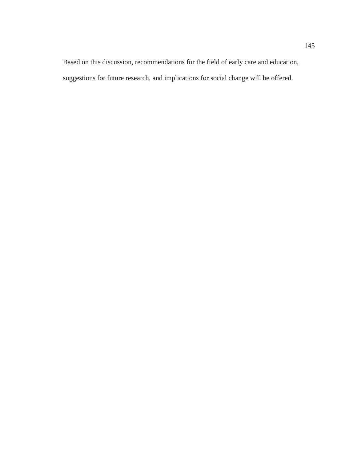Based on this discussion, recommendations for the field of early care and education, suggestions for future research, and implications for social change will be offered.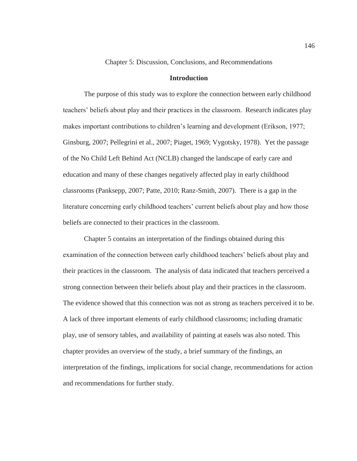## Chapter 5: Discussion, Conclusions, and Recommendations

# **Introduction**

The purpose of this study was to explore the connection between early childhood teachers' beliefs about play and their practices in the classroom. Research indicates play makes important contributions to children's learning and development (Erikson, 1977; Ginsburg, 2007; Pellegrini et al., 2007; Piaget, 1969; Vygotsky, 1978). Yet the passage of the No Child Left Behind Act (NCLB) changed the landscape of early care and education and many of these changes negatively affected play in early childhood classrooms (Panksepp, 2007; Patte, 2010; Ranz-Smith, 2007). There is a gap in the literature concerning early childhood teachers' current beliefs about play and how those beliefs are connected to their practices in the classroom.

Chapter 5 contains an interpretation of the findings obtained during this examination of the connection between early childhood teachers' beliefs about play and their practices in the classroom. The analysis of data indicated that teachers perceived a strong connection between their beliefs about play and their practices in the classroom. The evidence showed that this connection was not as strong as teachers perceived it to be. A lack of three important elements of early childhood classrooms; including dramatic play, use of sensory tables, and availability of painting at easels was also noted. This chapter provides an overview of the study, a brief summary of the findings, an interpretation of the findings, implications for social change, recommendations for action and recommendations for further study.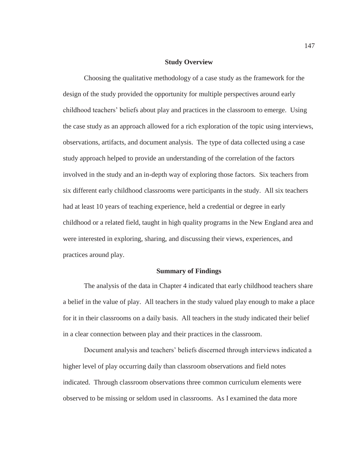### **Study Overview**

Choosing the qualitative methodology of a case study as the framework for the design of the study provided the opportunity for multiple perspectives around early childhood teachers' beliefs about play and practices in the classroom to emerge. Using the case study as an approach allowed for a rich exploration of the topic using interviews, observations, artifacts, and document analysis. The type of data collected using a case study approach helped to provide an understanding of the correlation of the factors involved in the study and an in-depth way of exploring those factors. Six teachers from six different early childhood classrooms were participants in the study. All six teachers had at least 10 years of teaching experience, held a credential or degree in early childhood or a related field, taught in high quality programs in the New England area and were interested in exploring, sharing, and discussing their views, experiences, and practices around play.

#### **Summary of Findings**

The analysis of the data in Chapter 4 indicated that early childhood teachers share a belief in the value of play. All teachers in the study valued play enough to make a place for it in their classrooms on a daily basis. All teachers in the study indicated their belief in a clear connection between play and their practices in the classroom.

Document analysis and teachers' beliefs discerned through interviews indicated a higher level of play occurring daily than classroom observations and field notes indicated. Through classroom observations three common curriculum elements were observed to be missing or seldom used in classrooms. As I examined the data more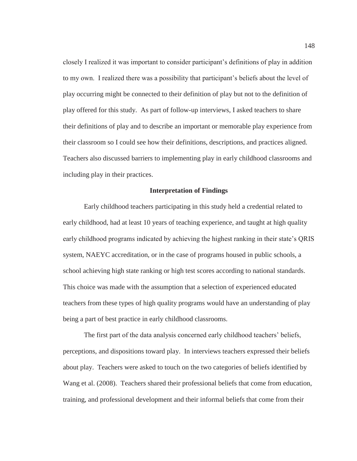closely I realized it was important to consider participant's definitions of play in addition to my own. I realized there was a possibility that participant's beliefs about the level of play occurring might be connected to their definition of play but not to the definition of play offered for this study. As part of follow-up interviews, I asked teachers to share their definitions of play and to describe an important or memorable play experience from their classroom so I could see how their definitions, descriptions, and practices aligned. Teachers also discussed barriers to implementing play in early childhood classrooms and including play in their practices.

## **Interpretation of Findings**

Early childhood teachers participating in this study held a credential related to early childhood, had at least 10 years of teaching experience, and taught at high quality early childhood programs indicated by achieving the highest ranking in their state's QRIS system, NAEYC accreditation, or in the case of programs housed in public schools, a school achieving high state ranking or high test scores according to national standards. This choice was made with the assumption that a selection of experienced educated teachers from these types of high quality programs would have an understanding of play being a part of best practice in early childhood classrooms.

The first part of the data analysis concerned early childhood teachers' beliefs, perceptions, and dispositions toward play. In interviews teachers expressed their beliefs about play. Teachers were asked to touch on the two categories of beliefs identified by Wang et al. (2008). Teachers shared their professional beliefs that come from education, training, and professional development and their informal beliefs that come from their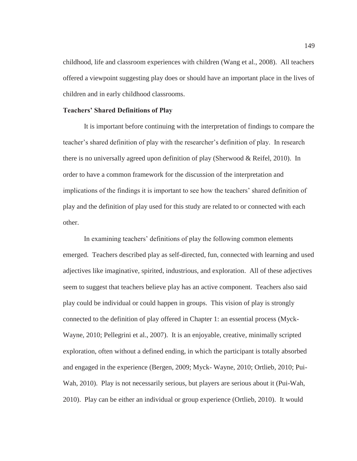childhood, life and classroom experiences with children (Wang et al., 2008). All teachers offered a viewpoint suggesting play does or should have an important place in the lives of children and in early childhood classrooms.

## **Teachers' Shared Definitions of Play**

It is important before continuing with the interpretation of findings to compare the teacher's shared definition of play with the researcher's definition of play. In research there is no universally agreed upon definition of play (Sherwood & Reifel, 2010). In order to have a common framework for the discussion of the interpretation and implications of the findings it is important to see how the teachers' shared definition of play and the definition of play used for this study are related to or connected with each other.

In examining teachers' definitions of play the following common elements emerged. Teachers described play as self-directed, fun, connected with learning and used adjectives like imaginative, spirited, industrious, and exploration. All of these adjectives seem to suggest that teachers believe play has an active component. Teachers also said play could be individual or could happen in groups. This vision of play is strongly connected to the definition of play offered in Chapter 1: an essential process (Myck-Wayne, 2010; Pellegrini et al., 2007). It is an enjoyable, creative, minimally scripted exploration, often without a defined ending, in which the participant is totally absorbed and engaged in the experience (Bergen, 2009; Myck- Wayne, 2010; Ortlieb, 2010; Pui-Wah, 2010). Play is not necessarily serious, but players are serious about it (Pui-Wah, 2010). Play can be either an individual or group experience (Ortlieb, 2010). It would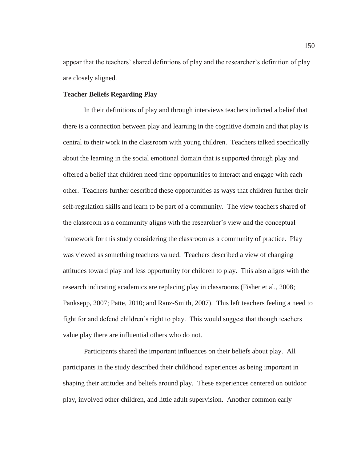appear that the teachers' shared defintions of play and the researcher's definition of play are closely aligned.

## **Teacher Beliefs Regarding Play**

In their definitions of play and through interviews teachers indicted a belief that there is a connection between play and learning in the cognitive domain and that play is central to their work in the classroom with young children. Teachers talked specifically about the learning in the social emotional domain that is supported through play and offered a belief that children need time opportunities to interact and engage with each other. Teachers further described these opportunities as ways that children further their self-regulation skills and learn to be part of a community. The view teachers shared of the classroom as a community aligns with the researcher's view and the conceptual framework for this study considering the classroom as a community of practice. Play was viewed as something teachers valued. Teachers described a view of changing attitudes toward play and less opportunity for children to play. This also aligns with the research indicating academics are replacing play in classrooms (Fisher et al., 2008; Panksepp, 2007; Patte, 2010; and Ranz-Smith, 2007). This left teachers feeling a need to fight for and defend children's right to play. This would suggest that though teachers value play there are influential others who do not.

Participants shared the important influences on their beliefs about play. All participants in the study described their childhood experiences as being important in shaping their attitudes and beliefs around play. These experiences centered on outdoor play, involved other children, and little adult supervision. Another common early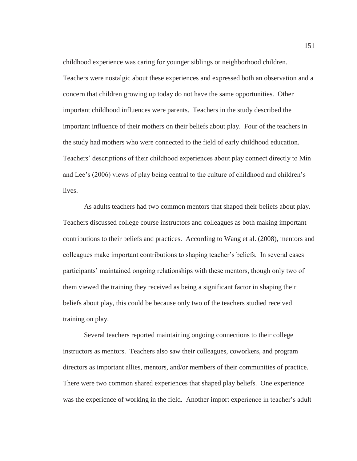childhood experience was caring for younger siblings or neighborhood children. Teachers were nostalgic about these experiences and expressed both an observation and a concern that children growing up today do not have the same opportunities. Other important childhood influences were parents. Teachers in the study described the important influence of their mothers on their beliefs about play. Four of the teachers in the study had mothers who were connected to the field of early childhood education. Teachers' descriptions of their childhood experiences about play connect directly to Min and Lee's (2006) views of play being central to the culture of childhood and children's lives.

As adults teachers had two common mentors that shaped their beliefs about play. Teachers discussed college course instructors and colleagues as both making important contributions to their beliefs and practices. According to Wang et al. (2008), mentors and colleagues make important contributions to shaping teacher's beliefs. In several cases participants' maintained ongoing relationships with these mentors, though only two of them viewed the training they received as being a significant factor in shaping their beliefs about play, this could be because only two of the teachers studied received training on play.

Several teachers reported maintaining ongoing connections to their college instructors as mentors. Teachers also saw their colleagues, coworkers, and program directors as important allies, mentors, and/or members of their communities of practice. There were two common shared experiences that shaped play beliefs. One experience was the experience of working in the field. Another import experience in teacher's adult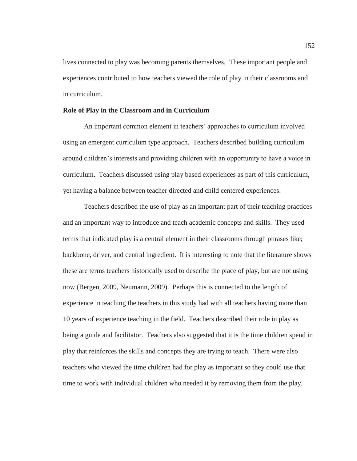lives connected to play was becoming parents themselves. These important people and experiences contributed to how teachers viewed the role of play in their classrooms and in curriculum.

## **Role of Play in the Classroom and in Curriculum**

An important common element in teachers' approaches to curriculum involved using an emergent curriculum type approach. Teachers described building curriculum around children's interests and providing children with an opportunity to have a voice in curriculum. Teachers discussed using play based experiences as part of this curriculum, yet having a balance between teacher directed and child centered experiences.

Teachers described the use of play as an important part of their teaching practices and an important way to introduce and teach academic concepts and skills. They used terms that indicated play is a central element in their classrooms through phrases like; backbone, driver, and central ingredient. It is interesting to note that the literature shows these are terms teachers historically used to describe the place of play, but are not using now (Bergen, 2009, Neumann, 2009). Perhaps this is connected to the length of experience in teaching the teachers in this study had with all teachers having more than 10 years of experience teaching in the field. Teachers described their role in play as being a guide and facilitator. Teachers also suggested that it is the time children spend in play that reinforces the skills and concepts they are trying to teach. There were also teachers who viewed the time children had for play as important so they could use that time to work with individual children who needed it by removing them from the play.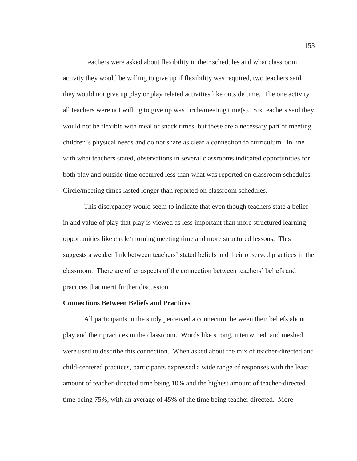Teachers were asked about flexibility in their schedules and what classroom activity they would be willing to give up if flexibility was required, two teachers said they would not give up play or play related activities like outside time. The one activity all teachers were not willing to give up was circle/meeting time(s). Six teachers said they would not be flexible with meal or snack times, but these are a necessary part of meeting children's physical needs and do not share as clear a connection to curriculum. In line with what teachers stated, observations in several classrooms indicated opportunities for both play and outside time occurred less than what was reported on classroom schedules. Circle/meeting times lasted longer than reported on classroom schedules.

This discrepancy would seem to indicate that even though teachers state a belief in and value of play that play is viewed as less important than more structured learning opportunities like circle/morning meeting time and more structured lessons. This suggests a weaker link between teachers' stated beliefs and their observed practices in the classroom. There are other aspects of the connection between teachers' beliefs and practices that merit further discussion.

## **Connections Between Beliefs and Practices**

All participants in the study perceived a connection between their beliefs about play and their practices in the classroom. Words like strong, intertwined, and meshed were used to describe this connection. When asked about the mix of teacher-directed and child-centered practices, participants expressed a wide range of responses with the least amount of teacher-directed time being 10% and the highest amount of teacher-directed time being 75%, with an average of 45% of the time being teacher directed. More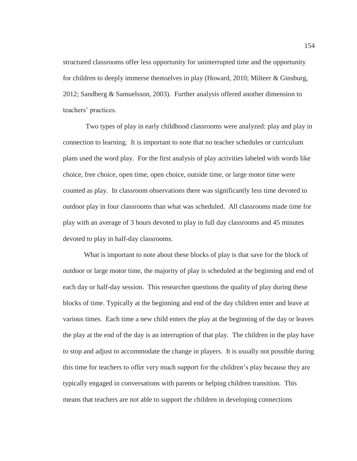structured classrooms offer less opportunity for uninterrupted time and the opportunity for children to deeply immerse themselves in play (Howard, 2010; Milteer & Ginsburg, 2012; Sandberg & Samuelsson, 2003). Further analysis offered another dimension to teachers' practices.

 Two types of play in early childhood classrooms were analyzed: play and play in connection to learning. It is important to note that no teacher schedules or curriculum plans used the word play. For the first analysis of play activities labeled with words like choice, free choice, open time, open choice, outside time, or large motor time were counted as play. In classroom observations there was significantly less time devoted to outdoor play in four classrooms than what was scheduled. All classrooms made time for play with an average of 3 hours devoted to play in full day classrooms and 45 minutes devoted to play in half-day classrooms.

What is important to note about these blocks of play is that save for the block of outdoor or large motor time, the majority of play is scheduled at the beginning and end of each day or half-day session. This researcher questions the quality of play during these blocks of time. Typically at the beginning and end of the day children enter and leave at various times. Each time a new child enters the play at the beginning of the day or leaves the play at the end of the day is an interruption of that play. The children in the play have to stop and adjust to accommodate the change in players. It is usually not possible during this time for teachers to offer very much support for the children's play because they are typically engaged in conversations with parents or helping children transition. This means that teachers are not able to support the children in developing connections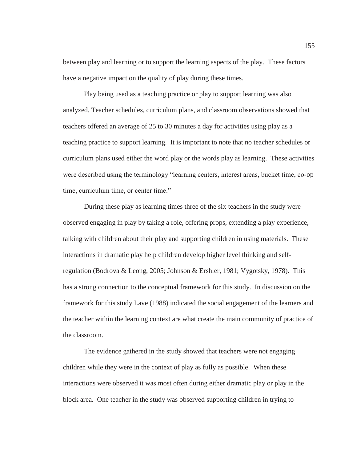between play and learning or to support the learning aspects of the play. These factors have a negative impact on the quality of play during these times.

Play being used as a teaching practice or play to support learning was also analyzed. Teacher schedules, curriculum plans, and classroom observations showed that teachers offered an average of 25 to 30 minutes a day for activities using play as a teaching practice to support learning. It is important to note that no teacher schedules or curriculum plans used either the word play or the words play as learning. These activities were described using the terminology "learning centers, interest areas, bucket time, co-op time, curriculum time, or center time."

During these play as learning times three of the six teachers in the study were observed engaging in play by taking a role, offering props, extending a play experience, talking with children about their play and supporting children in using materials. These interactions in dramatic play help children develop higher level thinking and selfregulation (Bodrova & Leong, 2005; Johnson & Ershler, 1981; Vygotsky, 1978). This has a strong connection to the conceptual framework for this study. In discussion on the framework for this study Lave (1988) indicated the social engagement of the learners and the teacher within the learning context are what create the main community of practice of the classroom.

The evidence gathered in the study showed that teachers were not engaging children while they were in the context of play as fully as possible. When these interactions were observed it was most often during either dramatic play or play in the block area. One teacher in the study was observed supporting children in trying to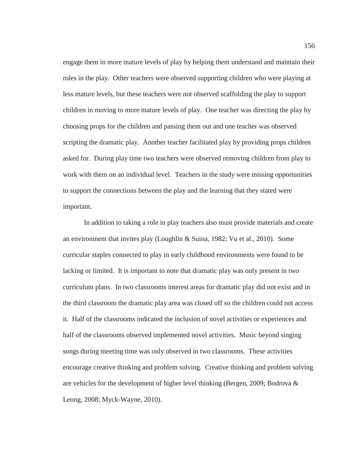engage them in more mature levels of play by helping them understand and maintain their roles in the play. Other teachers were observed supporting children who were playing at less mature levels, but these teachers were not observed scaffolding the play to support children in moving to more mature levels of play. One teacher was directing the play by choosing props for the children and passing them out and one teacher was observed scripting the dramatic play. Another teacher facilitated play by providing props children asked for. During play time two teachers were observed removing children from play to work with them on an individual level. Teachers in the study were missing opportunities to support the connections between the play and the learning that they stated were important.

In addition to taking a role in play teachers also must provide materials and create an environment that invites play (Loughlin & Suina, 1982; Vu et al., 2010). Some curricular staples connected to play in early childhood environments were found to be lacking or limited. It is important to note that dramatic play was only present in two curriculum plans. In two classrooms interest areas for dramatic play did not exist and in the third classroom the dramatic play area was closed off so the children could not access it. Half of the classrooms indicated the inclusion of novel activities or experiences and half of the classrooms observed implemented novel activities. Music beyond singing songs during meeting time was only observed in two classrooms. These activities encourage creative thinking and problem solving. Creative thinking and problem solving are vehicles for the development of higher level thinking (Bergen, 2009; Bodrova  $\&$ Leong, 2008; Myck-Wayne, 2010).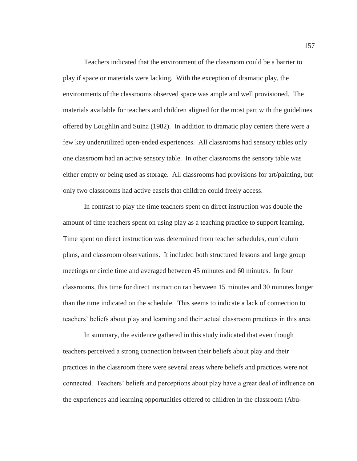Teachers indicated that the environment of the classroom could be a barrier to play if space or materials were lacking. With the exception of dramatic play, the environments of the classrooms observed space was ample and well provisioned. The materials available for teachers and children aligned for the most part with the guidelines offered by Loughlin and Suina (1982). In addition to dramatic play centers there were a few key underutilized open-ended experiences. All classrooms had sensory tables only one classroom had an active sensory table. In other classrooms the sensory table was either empty or being used as storage. All classrooms had provisions for art/painting, but only two classrooms had active easels that children could freely access.

In contrast to play the time teachers spent on direct instruction was double the amount of time teachers spent on using play as a teaching practice to support learning. Time spent on direct instruction was determined from teacher schedules, curriculum plans, and classroom observations. It included both structured lessons and large group meetings or circle time and averaged between 45 minutes and 60 minutes. In four classrooms, this time for direct instruction ran between 15 minutes and 30 minutes longer than the time indicated on the schedule. This seems to indicate a lack of connection to teachers' beliefs about play and learning and their actual classroom practices in this area.

In summary, the evidence gathered in this study indicated that even though teachers perceived a strong connection between their beliefs about play and their practices in the classroom there were several areas where beliefs and practices were not connected. Teachers' beliefs and perceptions about play have a great deal of influence on the experiences and learning opportunities offered to children in the classroom (Abu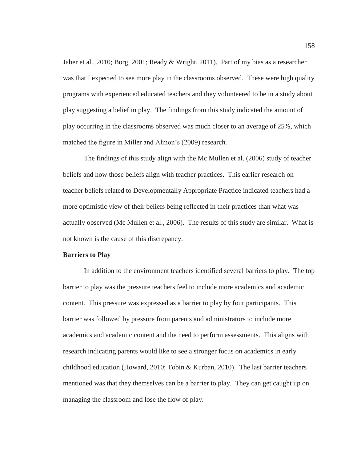Jaber et al., 2010; Borg, 2001; Ready & Wright, 2011). Part of my bias as a researcher was that I expected to see more play in the classrooms observed. These were high quality programs with experienced educated teachers and they volunteered to be in a study about play suggesting a belief in play. The findings from this study indicated the amount of play occurring in the classrooms observed was much closer to an average of 25%, which matched the figure in Miller and Almon's (2009) research.

The findings of this study align with the Mc Mullen et al. (2006) study of teacher beliefs and how those beliefs align with teacher practices. This earlier research on teacher beliefs related to Developmentally Appropriate Practice indicated teachers had a more optimistic view of their beliefs being reflected in their practices than what was actually observed (Mc Mullen et al., 2006). The results of this study are similar. What is not known is the cause of this discrepancy.

#### **Barriers to Play**

In addition to the environment teachers identified several barriers to play. The top barrier to play was the pressure teachers feel to include more academics and academic content. This pressure was expressed as a barrier to play by four participants. This barrier was followed by pressure from parents and administrators to include more academics and academic content and the need to perform assessments. This aligns with research indicating parents would like to see a stronger focus on academics in early childhood education (Howard, 2010; Tobin & Kurban, 2010). The last barrier teachers mentioned was that they themselves can be a barrier to play. They can get caught up on managing the classroom and lose the flow of play.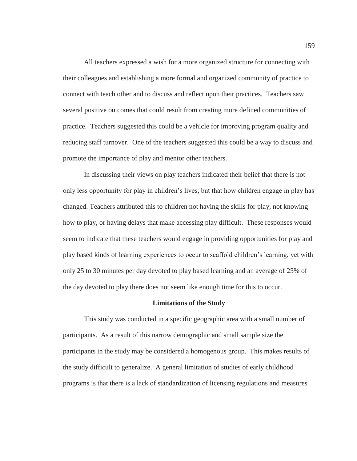All teachers expressed a wish for a more organized structure for connecting with their colleagues and establishing a more formal and organized community of practice to connect with teach other and to discuss and reflect upon their practices. Teachers saw several positive outcomes that could result from creating more defined communities of practice. Teachers suggested this could be a vehicle for improving program quality and reducing staff turnover. One of the teachers suggested this could be a way to discuss and promote the importance of play and mentor other teachers.

In discussing their views on play teachers indicated their belief that there is not only less opportunity for play in children's lives, but that how children engage in play has changed. Teachers attributed this to children not having the skills for play, not knowing how to play, or having delays that make accessing play difficult. These responses would seem to indicate that these teachers would engage in providing opportunities for play and play based kinds of learning experiences to occur to scaffold children's learning, yet with only 25 to 30 minutes per day devoted to play based learning and an average of 25% of the day devoted to play there does not seem like enough time for this to occur.

## **Limitations of the Study**

This study was conducted in a specific geographic area with a small number of participants. As a result of this narrow demographic and small sample size the participants in the study may be considered a homogenous group. This makes results of the study difficult to generalize. A general limitation of studies of early childhood programs is that there is a lack of standardization of licensing regulations and measures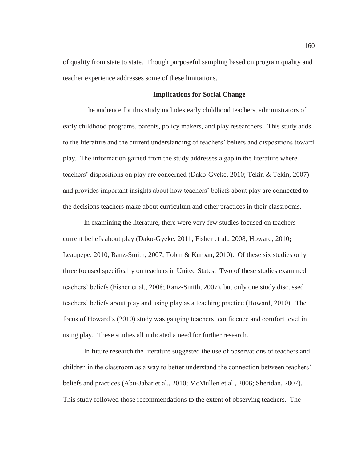of quality from state to state. Though purposeful sampling based on program quality and teacher experience addresses some of these limitations.

## **Implications for Social Change**

The audience for this study includes early childhood teachers, administrators of early childhood programs, parents, policy makers, and play researchers. This study adds to the literature and the current understanding of teachers' beliefs and dispositions toward play. The information gained from the study addresses a gap in the literature where teachers' dispositions on play are concerned (Dako-Gyeke, 2010; Tekin & Tekin, 2007) and provides important insights about how teachers' beliefs about play are connected to the decisions teachers make about curriculum and other practices in their classrooms.

In examining the literature, there were very few studies focused on teachers current beliefs about play (Dako-Gyeke, 2011; Fisher et al., 2008; Howard, 2010**;**  Leaupepe, 2010; Ranz-Smith, 2007; Tobin & Kurban, 2010). Of these six studies only three focused specifically on teachers in United States. Two of these studies examined teachers' beliefs (Fisher et al., 2008; Ranz-Smith, 2007), but only one study discussed teachers' beliefs about play and using play as a teaching practice (Howard, 2010). The focus of Howard's (2010) study was gauging teachers' confidence and comfort level in using play. These studies all indicated a need for further research.

In future research the literature suggested the use of observations of teachers and children in the classroom as a way to better understand the connection between teachers' beliefs and practices (Abu-Jabar et al., 2010; McMullen et al., 2006; Sheridan, 2007). This study followed those recommendations to the extent of observing teachers. The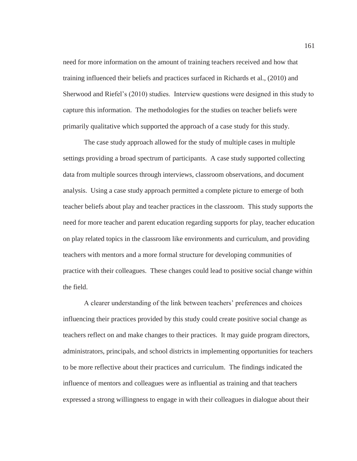need for more information on the amount of training teachers received and how that training influenced their beliefs and practices surfaced in Richards et al., (2010) and Sherwood and Riefel's (2010) studies. Interview questions were designed in this study to capture this information. The methodologies for the studies on teacher beliefs were primarily qualitative which supported the approach of a case study for this study.

The case study approach allowed for the study of multiple cases in multiple settings providing a broad spectrum of participants. A case study supported collecting data from multiple sources through interviews, classroom observations, and document analysis. Using a case study approach permitted a complete picture to emerge of both teacher beliefs about play and teacher practices in the classroom. This study supports the need for more teacher and parent education regarding supports for play, teacher education on play related topics in the classroom like environments and curriculum, and providing teachers with mentors and a more formal structure for developing communities of practice with their colleagues. These changes could lead to positive social change within the field.

A clearer understanding of the link between teachers' preferences and choices influencing their practices provided by this study could create positive social change as teachers reflect on and make changes to their practices. It may guide program directors, administrators, principals, and school districts in implementing opportunities for teachers to be more reflective about their practices and curriculum. The findings indicated the influence of mentors and colleagues were as influential as training and that teachers expressed a strong willingness to engage in with their colleagues in dialogue about their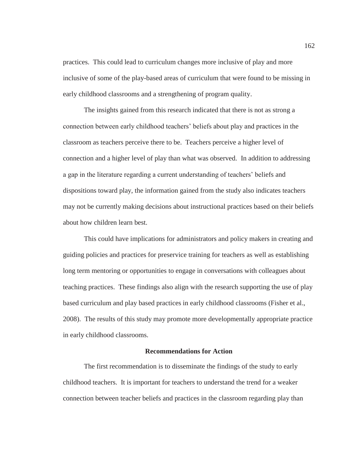practices. This could lead to curriculum changes more inclusive of play and more inclusive of some of the play-based areas of curriculum that were found to be missing in early childhood classrooms and a strengthening of program quality.

The insights gained from this research indicated that there is not as strong a connection between early childhood teachers' beliefs about play and practices in the classroom as teachers perceive there to be. Teachers perceive a higher level of connection and a higher level of play than what was observed. In addition to addressing a gap in the literature regarding a current understanding of teachers' beliefs and dispositions toward play, the information gained from the study also indicates teachers may not be currently making decisions about instructional practices based on their beliefs about how children learn best.

This could have implications for administrators and policy makers in creating and guiding policies and practices for preservice training for teachers as well as establishing long term mentoring or opportunities to engage in conversations with colleagues about teaching practices. These findings also align with the research supporting the use of play based curriculum and play based practices in early childhood classrooms (Fisher et al., 2008). The results of this study may promote more developmentally appropriate practice in early childhood classrooms.

### **Recommendations for Action**

The first recommendation is to disseminate the findings of the study to early childhood teachers. It is important for teachers to understand the trend for a weaker connection between teacher beliefs and practices in the classroom regarding play than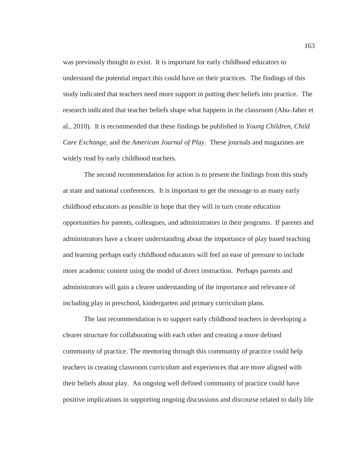was previously thought to exist. It is important for early childhood educators to understand the potential impact this could have on their practices. The findings of this study indicated that teachers need more support in putting their beliefs into practice. The research indicated that teacher beliefs shape what happens in the classroom (Abu-Jaber et al., 2010). It is recommended that these findings be published in *Young Children*, *Child Care Exchange*, and the *American Journal of Play*. These journals and magazines are widely read by early childhood teachers.

The second recommendation for action is to present the findings from this study at state and national conferences. It is important to get the message to as many early childhood educators as possible in hope that they will in turn create education opportunities for parents, colleagues, and administrators in their programs. If parents and administrators have a clearer understanding about the importance of play based teaching and learning perhaps early childhood educators will feel an ease of pressure to include more academic content using the model of direct instruction. Perhaps parents and administrators will gain a clearer understanding of the importance and relevance of including play in preschool, kindergarten and primary curriculum plans.

The last recommendation is to support early childhood teachers in developing a clearer structure for collaborating with each other and creating a more defined community of practice. The mentoring through this community of practice could help teachers in creating classroom curriculum and experiences that are more aligned with their beliefs about play. An ongoing well defined community of practice could have positive implications in supporting ongoing discussions and discourse related to daily life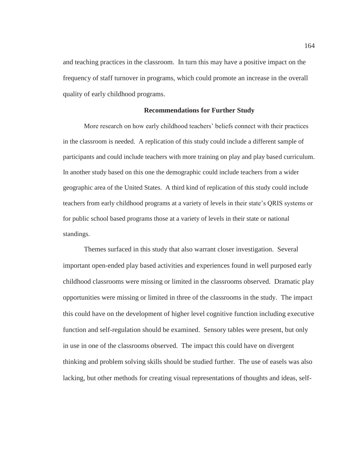and teaching practices in the classroom. In turn this may have a positive impact on the frequency of staff turnover in programs, which could promote an increase in the overall quality of early childhood programs.

### **Recommendations for Further Study**

More research on how early childhood teachers' beliefs connect with their practices in the classroom is needed. A replication of this study could include a different sample of participants and could include teachers with more training on play and play based curriculum. In another study based on this one the demographic could include teachers from a wider geographic area of the United States. A third kind of replication of this study could include teachers from early childhood programs at a variety of levels in their state's QRIS systems or for public school based programs those at a variety of levels in their state or national standings.

Themes surfaced in this study that also warrant closer investigation. Several important open-ended play based activities and experiences found in well purposed early childhood classrooms were missing or limited in the classrooms observed. Dramatic play opportunities were missing or limited in three of the classrooms in the study. The impact this could have on the development of higher level cognitive function including executive function and self-regulation should be examined. Sensory tables were present, but only in use in one of the classrooms observed. The impact this could have on divergent thinking and problem solving skills should be studied further. The use of easels was also lacking, but other methods for creating visual representations of thoughts and ideas, self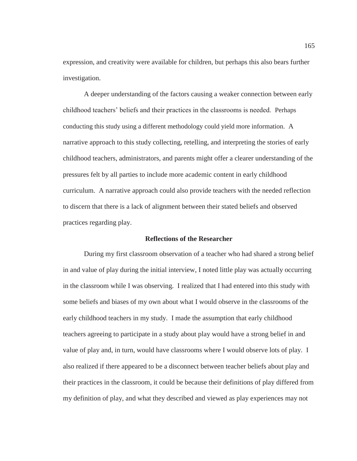expression, and creativity were available for children, but perhaps this also bears further investigation.

A deeper understanding of the factors causing a weaker connection between early childhood teachers' beliefs and their practices in the classrooms is needed. Perhaps conducting this study using a different methodology could yield more information. A narrative approach to this study collecting, retelling, and interpreting the stories of early childhood teachers, administrators, and parents might offer a clearer understanding of the pressures felt by all parties to include more academic content in early childhood curriculum. A narrative approach could also provide teachers with the needed reflection to discern that there is a lack of alignment between their stated beliefs and observed practices regarding play.

## **Reflections of the Researcher**

During my first classroom observation of a teacher who had shared a strong belief in and value of play during the initial interview, I noted little play was actually occurring in the classroom while I was observing. I realized that I had entered into this study with some beliefs and biases of my own about what I would observe in the classrooms of the early childhood teachers in my study. I made the assumption that early childhood teachers agreeing to participate in a study about play would have a strong belief in and value of play and, in turn, would have classrooms where I would observe lots of play. I also realized if there appeared to be a disconnect between teacher beliefs about play and their practices in the classroom, it could be because their definitions of play differed from my definition of play, and what they described and viewed as play experiences may not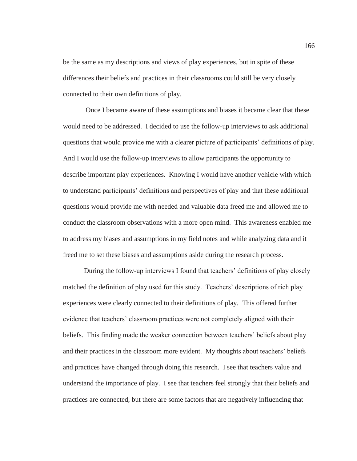be the same as my descriptions and views of play experiences, but in spite of these differences their beliefs and practices in their classrooms could still be very closely connected to their own definitions of play.

 Once I became aware of these assumptions and biases it became clear that these would need to be addressed. I decided to use the follow-up interviews to ask additional questions that would provide me with a clearer picture of participants' definitions of play. And I would use the follow-up interviews to allow participants the opportunity to describe important play experiences. Knowing I would have another vehicle with which to understand participants' definitions and perspectives of play and that these additional questions would provide me with needed and valuable data freed me and allowed me to conduct the classroom observations with a more open mind. This awareness enabled me to address my biases and assumptions in my field notes and while analyzing data and it freed me to set these biases and assumptions aside during the research process.

During the follow-up interviews I found that teachers' definitions of play closely matched the definition of play used for this study. Teachers' descriptions of rich play experiences were clearly connected to their definitions of play. This offered further evidence that teachers' classroom practices were not completely aligned with their beliefs. This finding made the weaker connection between teachers' beliefs about play and their practices in the classroom more evident. My thoughts about teachers' beliefs and practices have changed through doing this research. I see that teachers value and understand the importance of play. I see that teachers feel strongly that their beliefs and practices are connected, but there are some factors that are negatively influencing that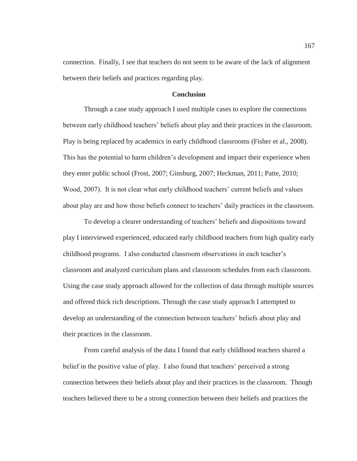connection. Finally, I see that teachers do not seem to be aware of the lack of alignment between their beliefs and practices regarding play.

### **Conclusion**

Through a case study approach I used multiple cases to explore the connections between early childhood teachers' beliefs about play and their practices in the classroom. Play is being replaced by academics in early childhood classrooms (Fisher et al., 2008). This has the potential to harm children's development and impact their experience when they enter public school (Frost, 2007; Ginsburg, 2007; Heckman, 2011; Patte, 2010; Wood, 2007). It is not clear what early childhood teachers' current beliefs and values about play are and how those beliefs connect to teachers' daily practices in the classroom.

To develop a clearer understanding of teachers' beliefs and dispositions toward play I interviewed experienced, educated early childhood teachers from high quality early childhood programs. I also conducted classroom observations in each teacher's classroom and analyzed curriculum plans and classroom schedules from each classroom. Using the case study approach allowed for the collection of data through multiple sources and offered thick rich descriptions. Through the case study approach I attempted to develop an understanding of the connection between teachers' beliefs about play and their practices in the classroom.

From careful analysis of the data I found that early childhood teachers shared a belief in the positive value of play. I also found that teachers' perceived a strong connection between their beliefs about play and their practices in the classroom. Though teachers believed there to be a strong connection between their beliefs and practices the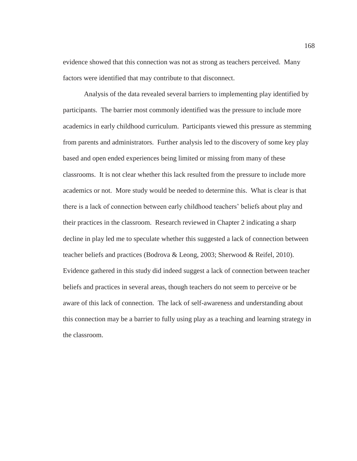evidence showed that this connection was not as strong as teachers perceived. Many factors were identified that may contribute to that disconnect.

Analysis of the data revealed several barriers to implementing play identified by participants. The barrier most commonly identified was the pressure to include more academics in early childhood curriculum. Participants viewed this pressure as stemming from parents and administrators. Further analysis led to the discovery of some key play based and open ended experiences being limited or missing from many of these classrooms. It is not clear whether this lack resulted from the pressure to include more academics or not. More study would be needed to determine this. What is clear is that there is a lack of connection between early childhood teachers' beliefs about play and their practices in the classroom. Research reviewed in Chapter 2 indicating a sharp decline in play led me to speculate whether this suggested a lack of connection between teacher beliefs and practices (Bodrova & Leong, 2003; Sherwood & Reifel, 2010). Evidence gathered in this study did indeed suggest a lack of connection between teacher beliefs and practices in several areas, though teachers do not seem to perceive or be aware of this lack of connection. The lack of self-awareness and understanding about this connection may be a barrier to fully using play as a teaching and learning strategy in the classroom.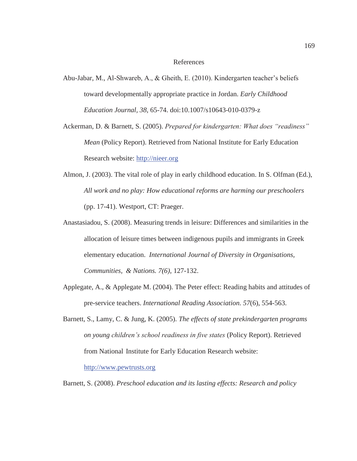#### References

- Abu-Jabar, M., Al-Shwareb, A., & Gheith, E. (2010). Kindergarten teacher's beliefs toward developmentally appropriate practice in Jordan. *Early Childhood Education Journal, 38*, 65-74. doi:10.1007/s10643-010-0379-z
- Ackerman, D. & Barnett, S. (2005). *Prepared for kindergarten: What does "readiness" Mean* (Policy Report). Retrieved from National Institute for Early Education Research website: http://nieer.org
- Almon, J. (2003). The vital role of play in early childhood education. In S. Olfman (Ed.), *All work and no play: How educational reforms are harming our preschoolers* (pp. 17-41). Westport, CT: Praeger.
- Anastasiadou, S. (2008). Measuring trends in leisure: Differences and similarities in the allocation of leisure times between indigenous pupils and immigrants in Greek elementary education. *International Journal of Diversity in Organisations, Communities, & Nations. 7(6)*, 127-132.
- Applegate, A., & Applegate M. (2004). The Peter effect: Reading habits and attitudes of pre-service teachers. *International Reading Association. 57*(6), 554-563.
- Barnett, S., Lamy, C. & Jung, K. (2005). *The effects of state prekindergarten programs on young children's school readiness in five states* (Policy Report). Retrieved from National Institute for Early Education Research website:

http://www.pewtrusts.org

Barnett, S. (2008). *Preschool education and its lasting effects: Research and policy*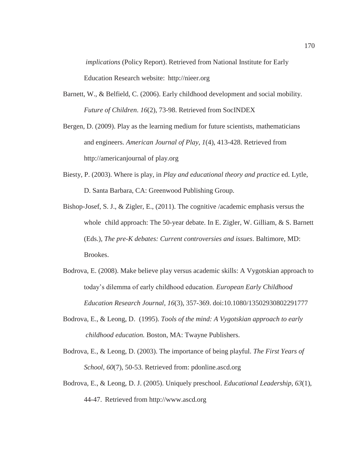*implications* (Policy Report). Retrieved from National Institute for Early Education Research website: http://nieer.org

- Barnett, W., & Belfield, C. (2006). Early childhood development and social mobility. *Future of Children*. *16*(2), 73-98. Retrieved from SocINDEX
- Bergen, D. (2009). Play as the learning medium for future scientists, mathematicians and engineers. *American Journal of Play, 1*(4), 413-428. Retrieved from http://americanjournal of play.org
- Biesty, P. (2003). Where is play, in *Play and educational theory and practice* ed. Lytle, D. Santa Barbara, CA: Greenwood Publishing Group.
- Bishop-Josef, S. J., & Zigler, E., (2011). The cognitive /academic emphasis versus the whole child approach: The 50-year debate. In E. Zigler, W. Gilliam, & S. Barnett (Eds.), *The pre-K debates: Current controversies and issues*. Baltimore, MD: Brookes.
- Bodrova, E. (2008). Make believe play versus academic skills: A Vygotskian approach to today's dilemma of early childhood education. *European Early Childhood Education Research Journal, 16*(3), 357-369. doi:10.1080/13502930802291777
- Bodrova, E., & Leong, D. (1995). *Tools of the mind: A Vygotskian approach to early childhood education.* Boston, MA: Twayne Publishers.
- Bodrova, E., & Leong, D. (2003). The importance of being playful. *The First Years of School*, *60*(7), 50-53. Retrieved from: pdonline.ascd.org
- Bodrova, E., & Leong, D. J. (2005). Uniquely preschool. *Educational Leadership, 63*(1), 44-47. Retrieved from http://www.ascd.org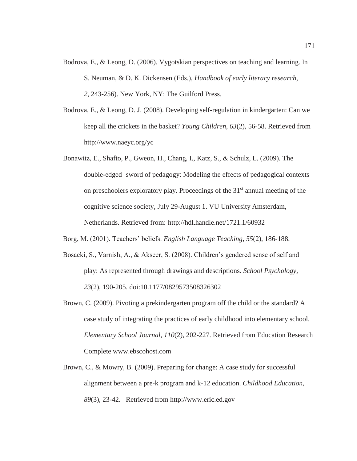- Bodrova, E., & Leong, D. (2006). Vygotskian perspectives on teaching and learning. In S. Neuman, & D. K. Dickensen (Eds.), *Handbook of early literacy research, 2*, 243-256). New York, NY: The Guilford Press.
- Bodrova, E., & Leong, D. J. (2008). Developing self-regulation in kindergarten: Can we keep all the crickets in the basket? *Young Children*, *63*(2), 56-58. Retrieved from http://www.naeyc.org/yc
- Bonawitz, E., Shafto, P., Gweon, H., Chang, I., Katz, S., & Schulz, L. (2009). The double-edged sword of pedagogy: Modeling the effects of pedagogical contexts on preschoolers exploratory play. Proceedings of the 31st annual meeting of the cognitive science society, July 29-August 1. VU University Amsterdam, Netherlands. Retrieved from: http://hdl.handle.net/1721.1/60932
- Borg, M. (2001). Teachers' beliefs. *English Language Teaching, 55*(2), 186-188.
- Bosacki, S., Varnish, A., & Akseer, S. (2008). Children's gendered sense of self and play: As represented through drawings and descriptions. *School Psychology, 23*(2), 190-205. doi:10.1177/0829573508326302
- Brown, C. (2009). Pivoting a prekindergarten program off the child or the standard? A case study of integrating the practices of early childhood into elementary school. *Elementary School Journal, 110*(2), 202-227. Retrieved from Education Research Complete www.ebscohost.com
- Brown, C., & Mowry, B. (2009). Preparing for change: A case study for successful alignment between a pre-k program and k-12 education. *Childhood Education, 89*(3), 23-42. Retrieved from http://www.eric.ed.gov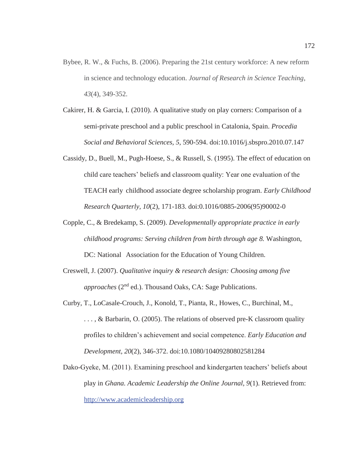- Bybee, R. W., & Fuchs, B. (2006). Preparing the 21st century workforce: A new reform in science and technology education. *Journal of Research in Science Teaching*, *43*(4), 349-352.
- Cakirer, H. & Garcia, I. (2010). A qualitative study on play corners: Comparison of a semi-private preschool and a public preschool in Catalonia, Spain. *Procedia Social and Behavioral Sciences, 5*, 590-594. doi:10.1016/j.sbspro.2010.07.147
- Cassidy, D., Buell, M., Pugh-Hoese, S., & Russell, S. (1995). The effect of education on child care teachers' beliefs and classroom quality: Year one evaluation of the TEACH early childhood associate degree scholarship program. *Early Childhood Research Quarterly, 10*(2), 171-183. doi:0.1016/0885-2006(95)90002-0
- Copple, C., & Bredekamp, S. (2009). *Developmentally appropriate practice in early childhood programs: Serving children from birth through age 8.* Washington, DC: National Association for the Education of Young Children.
- Creswell, J. (2007). *Qualitative inquiry & research design: Choosing among five approaches* (2<sup>nd</sup> ed.). Thousand Oaks, CA: Sage Publications.
- Curby, T., LoCasale-Crouch, J., Konold, T., Pianta, R., Howes, C., Burchinal, M., ..., & Barbarin, O. (2005). The relations of observed pre-K classroom quality profiles to children's achievement and social competence. *Early Education and Development, 20*(2), 346-372. doi:10.1080/10409280802581284
- Dako-Gyeke, M. (2011). Examining preschool and kindergarten teachers' beliefs about play in *Ghana. Academic Leadership the Online Journal, 9*(1). Retrieved from: http://www.academicleadership.org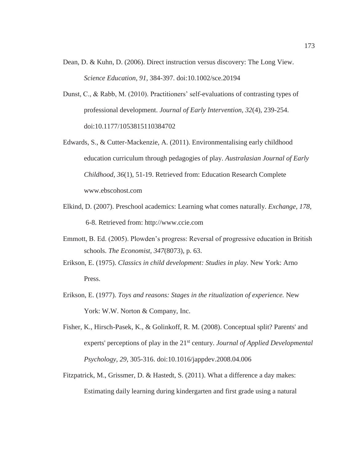- Dean, D. & Kuhn, D. (2006). Direct instruction versus discovery: The Long View. *Science Education, 91,* 384-397. doi:10.1002/sce.20194
- Dunst, C., & Rabb, M. (2010). Practitioners' self-evaluations of contrasting types of professional development. *Journal of Early Intervention, 32*(4), 239-254. doi:10.1177/1053815110384702
- Edwards, S., & Cutter-Mackenzie, A. (2011). Environmentalising early childhood education curriculum through pedagogies of play. *Australasian Journal of Early Childhood, 36*(1), 51-19. Retrieved from: Education Research Complete www.ebscohost.com
- Elkind, D. (2007). Preschool academics: Learning what comes naturally. *Exchange, 178,*  6-8. Retrieved from: http://www.ccie.com
- Emmott, B. Ed. (2005). Plowden's progress: Reversal of progressive education in British schools. *The Economist, 347*(8073), p. 63.
- Erikson, E. (1975). *Classics in child development: Studies in play.* New York: Arno Press.
- Erikson, E. (1977). *Toys and reasons: Stages in the ritualization of experience.* New York: W.W. Norton & Company, Inc.
- Fisher, K., Hirsch-Pasek, K., & Golinkoff, R. M. (2008). Conceptual split? Parents' and experts' perceptions of play in the 21<sup>st</sup> century. *Journal of Applied Developmental Psychology, 29,* 305-316. doi:10.1016/jappdev.2008.04.006
- Fitzpatrick, M., Grissmer, D. & Hastedt, S. (2011). What a difference a day makes: Estimating daily learning during kindergarten and first grade using a natural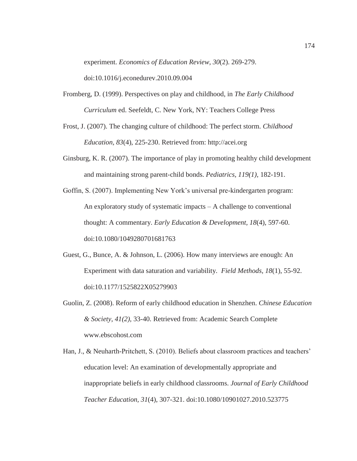experiment. *Economics of Education Review, 30*(2). 269-279.

doi:10.1016/j.econedurev.2010.09.004

- Fromberg, D. (1999). Perspectives on play and childhood, in *The Early Childhood Curriculum* ed. Seefeldt, C. New York, NY: Teachers College Press
- Frost, J. (2007). The changing culture of childhood: The perfect storm. *Childhood Education, 83*(4), 225-230. Retrieved from: http://acei.org
- Ginsburg, K. R. (2007). The importance of play in promoting healthy child development and maintaining strong parent-child bonds. *Pediatrics, 119(1),* 182-191.
- Goffin, S. (2007). Implementing New York's universal pre-kindergarten program: An exploratory study of systematic impacts – A challenge to conventional thought: A commentary. *Early Education & Development, 18*(4), 597-60. doi:10.1080/1049280701681763
- Guest, G., Bunce, A. & Johnson, L. (2006). How many interviews are enough: An Experiment with data saturation and variability. *Field Methods, 18*(1), 55-92. doi:10.1177/1525822X05279903
- Guolin, Z. (2008). Reform of early childhood education in Shenzhen. *Chinese Education & Society*, *41(2),* 33-40. Retrieved from: Academic Search Complete www.ebscohost.com
- Han, J., & Neuharth-Pritchett, S. (2010). Beliefs about classroom practices and teachers' education level: An examination of developmentally appropriate and inappropriate beliefs in early childhood classrooms. *Journal of Early Childhood Teacher Education, 31*(4), 307-321. doi:10.1080/10901027.2010.523775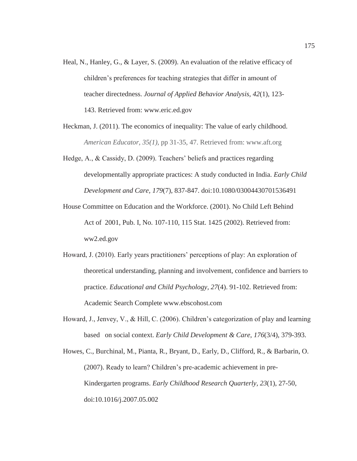- Heal, N., Hanley, G., & Layer, S. (2009). An evaluation of the relative efficacy of children's preferences for teaching strategies that differ in amount of teacher directedness. *Journal of Applied Behavior Analysis, 42*(1), 123- 143. Retrieved from: www.eric.ed.gov
- Heckman, J. (2011). The economics of inequality: The value of early childhood. *American Educator, 35(1),* pp 31-35, 47. Retrieved from: www.aft.org
- Hedge, A., & Cassidy, D. (2009). Teachers' beliefs and practices regarding developmentally appropriate practices: A study conducted in India. *Early Child Development and Care, 179*(7), 837-847. doi:10.1080/03004430701536491
- House Committee on Education and the Workforce. (2001). No Child Left Behind Act of 2001, Pub. I, No. 107-110, 115 Stat. 1425 (2002). Retrieved from: ww2.ed.gov
- Howard, J. (2010). Early years practitioners' perceptions of play: An exploration of theoretical understanding, planning and involvement, confidence and barriers to practice. *Educational and Child Psychology, 27*(4). 91-102. Retrieved from: Academic Search Complete www.ebscohost.com
- Howard, J., Jenvey, V., & Hill, C. (2006). Children's categorization of play and learning based on social context. *Early Child Development & Care, 176*(3/4), 379-393.

Howes, C., Burchinal, M., Pianta, R., Bryant, D., Early, D., Clifford, R., & Barbarin, O. (2007). Ready to learn? Children's pre-academic achievement in pre-Kindergarten programs. *Early Childhood Research Quarterly, 23*(1), 27-50, doi:10.1016/j.2007.05.002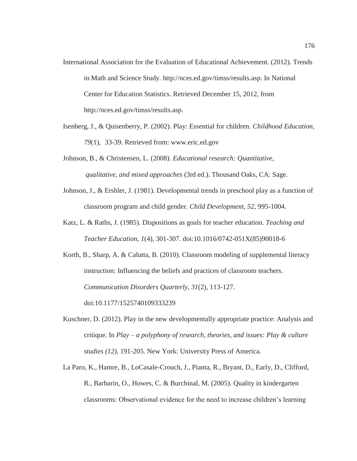- International Association for the Evaluation of Educational Achievement. (2012). Trends in Math and Science Study. http://nces.ed.gov/timss/results.asp. In National Center for Education Statistics. Retrieved December 15, 2012, from http://nces.ed.gov/timss/results.asp.
- Isenberg, J., & Quisenberry, P. (2002). Play: Essential for children. *Childhood Education, 79*(1), 33-39. Retrieved from: www.eric.ed.gov
- Johnson, B., & Christensen, L. (2008). *Educational research: Quantitative, qualitative, and mixed approaches* (3rd ed.). Thousand Oaks, CA: Sage.
- Johnson, J., & Ershler, J. (1981). Developmental trends in preschool play as a function of classroom program and child gender. *Child Development, 52*, 995-1004.
- Katz, L. & Raths, J. (1985). Dispositions as goals for teacher education. *Teaching and Teacher Education, 1*(4), 301-307. doi:10.1016/0742-051X(85)90018-6

Korth, B., Sharp, A. & Calutta, B. (2010). Classroom modeling of supplemental literacy instruction: Influencing the beliefs and practices of classroom teachers. *Communication Disorders Quarterly, 31*(2), 113-127. doi:10.1177/1525740109333239

- Kuschner, D. (2012). Play in the new developmentally appropriate practice: Analysis and critique. In *Play – a polyphony of research, theories, and issues: Play & culture studies (12)*, 191-205. New York: University Press of America.
- La Paro, K., Hamre, B., LoCasale-Crouch, J., Pianta, R., Bryant, D., Early, D., Clifford, R., Barbarin, O., Howes, C. & Burchinal, M. (2005). Quality in kindergarten classrooms: Observational evidence for the need to increase children's learning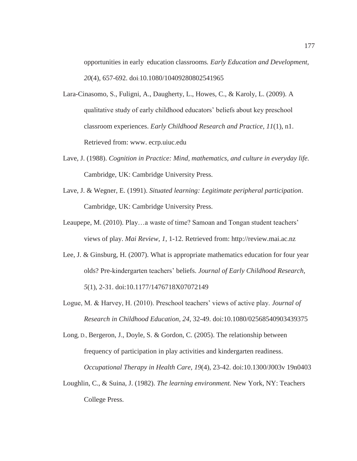opportunities in early education classrooms*. Early Education and Development, 20*(4), 657-692. doi:10.1080/10409280802541965

- Lara-Cinasomo, S., Fuligni, A., Daugherty, L., Howes, C., & Karoly, L. (2009). A qualitative study of early childhood educators' beliefs about key preschool classroom experiences. *Early Childhood Research and Practice, 11*(1), n1. Retrieved from: www. ecrp.uiuc.edu
- Lave, J. (1988). *Cognition in Practice: Mind, mathematics, and culture in everyday life.*  Cambridge, UK: Cambridge University Press.
- Lave, J. & Wegner, E. (1991). *Situated learning: Legitimate peripheral participation*. Cambridge, UK: Cambridge University Press.
- Leaupepe, M. (2010). Play…a waste of time? Samoan and Tongan student teachers' views of play. *Mai Review, 1*, 1-12. Retrieved from: http://review.mai.ac.nz
- Lee, J. & Ginsburg, H. (2007). What is appropriate mathematics education for four year olds? Pre-kindergarten teachers' beliefs. *Journal of Early Childhood Research, 5*(1), 2-31. doi:10.1177/1476718X07072149
- Logue, M. & Harvey, H. (2010). Preschool teachers' views of active play. *Journal of Research in Childhood Education, 24*, 32-49. doi:10.1080/02568540903439375

Long, D., Bergeron, J., Doyle, S. & Gordon, C. (2005). The relationship between frequency of participation in play activities and kindergarten readiness. *Occupational Therapy in Health Care*, *19*(4), 23-42. doi:10.1300/J003v 19n0403

Loughlin, C., & Suina, J. (1982). *The learning environment.* New York, NY: Teachers College Press.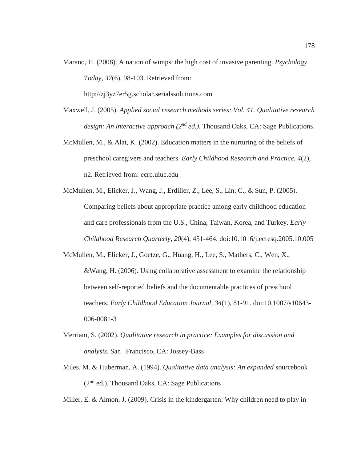Marano, H. (2008). A nation of wimps: the high cost of invasive parenting. *Psychology Today, 37*(6), 98-103. Retrieved from:

http://zj3yz7er5g.scholar.serialssolutions.com

- Maxwell, J. (2005). *Applied social research methods series: Vol. 41. Qualitative research design: An interactive approach (2nd ed.)*. Thousand Oaks, CA: Sage Publications.
- McMullen, M., & Alat, K. (2002). Education matters in the nurturing of the beliefs of preschool caregivers and teachers. *Early Childhood Research and Practice, 4*(2), n2. Retrieved from: ecrp.uiuc.edu
- McMullen, M., Elicker, J., Wang, J., Erdiller, Z., Lee, S., Lin, C., & Sun, P. (2005). Comparing beliefs about appropriate practice among early childhood education and care professionals from the U.S., China, Taiwan, Korea, and Turkey. *Early Childhood Research Quarterly, 20*(4), 451-464. doi:10.1016/j.ecresq.2005.10.005
- McMullen, M., Elicker, J., Goetze, G., Huang, H., Lee, S., Mathers, C., Wen, X., &Wang, H. (2006). Using collaborative assessment to examine the relationship between self-reported beliefs and the documentable practices of preschool teachers*. Early Childhood Education Journal, 34*(1), 81-91. doi:10.1007/s10643- 006-0081-3
- Merriam, S. (2002). *Qualitative research in practice: Examples for discussion and analysis*. San Francisco, CA: Jossey-Bass
- Miles, M. & Huberman, A. (1994). *Qualitative data analysis: An expanded* sourcebook (2nd ed.). Thousand Oaks, CA: Sage Publications

Miller, E. & Almon, J. (2009). Crisis in the kindergarten: Why children need to play in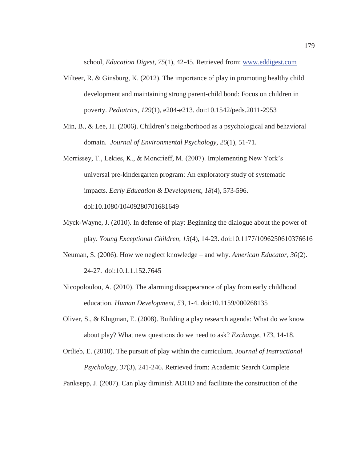school, *Education Digest, 75*(1), 42-45. Retrieved from: www.eddigest.com

- Milteer, R. & Ginsburg, K. (2012). The importance of play in promoting healthy child development and maintaining strong parent-child bond: Focus on children in poverty. *Pediatrics, 129*(1), e204-e213. doi:10.1542/peds.2011-2953
- Min, B., & Lee, H. (2006). Children's neighborhood as a psychological and behavioral domain. *Journal of Environmental Psychology, 26*(1), 51-71.
- Morrissey, T., Lekies, K., & Moncrieff, M. (2007). Implementing New York's universal pre-kindergarten program: An exploratory study of systematic impacts. *Early Education & Development, 18*(4), 573-596. doi:10.1080/10409280701681649
- Myck-Wayne, J. (2010). In defense of play: Beginning the dialogue about the power of play. *Young Exceptional Children, 13*(4), 14-23. doi:10.1177/1096250610376616
- Neuman, S. (2006). How we neglect knowledge and why. *American Educator, 30*(2). 24-27. doi:10.1.1.152.7645
- Nicopoloulou, A. (2010). The alarming disappearance of play from early childhood education. *Human Development, 53*, 1-4. doi:10.1159/000268135
- Oliver, S., & Klugman, E. (2008). Building a play research agenda: What do we know about play? What new questions do we need to ask? *Exchange, 173,* 14-18.

Ortlieb, E. (2010). The pursuit of play within the curriculum. *Journal of Instructional Psychology, 37*(3), 241-246. Retrieved from: Academic Search Complete

Panksepp, J. (2007). Can play diminish ADHD and facilitate the construction of the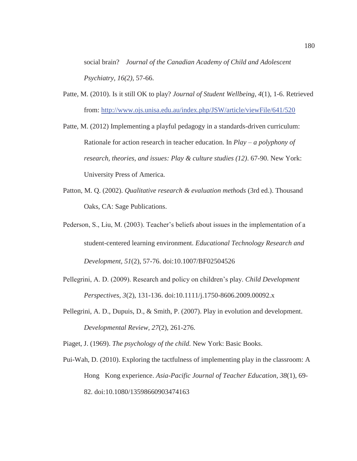social brain? *Journal of the Canadian Academy of Child and Adolescent Psychiatry, 16(2),* 57-66.

Patte, M. (2010). Is it still OK to play? *Journal of Student Wellbeing, 4*(1), 1-6. Retrieved from: http://www.ojs.unisa.edu.au/index.php/JSW/article/viewFile/641/520

Patte, M. (2012) Implementing a playful pedagogy in a standards-driven curriculum: Rationale for action research in teacher education. In *Play – a polyphony of research, theories, and issues: Play & culture studies (12)*. 67-90. New York: University Press of America.

- Patton, M. Q. (2002). *Qualitative research & evaluation methods* (3rd ed.). Thousand Oaks, CA: Sage Publications.
- Pederson, S., Liu, M. (2003). Teacher's beliefs about issues in the implementation of a student-centered learning environment. *Educational Technology Research and Development, 51*(2), 57-76. doi:10.1007/BF02504526
- Pellegrini, A. D. (2009). Research and policy on children's play. *Child Development Perspectives, 3*(2), 131-136. doi:10.1111/j.1750-8606.2009.00092.x
- Pellegrini, A. D., Dupuis, D., & Smith, P. (2007). Play in evolution and development. *Developmental Review, 27*(2), 261-276.

Piaget, J. (1969). *The psychology of the child.* New York: Basic Books.

Pui-Wah, D. (2010). Exploring the tactfulness of implementing play in the classroom: A Hong Kong experience. *Asia-Pacific Journal of Teacher Education, 38*(1), 69- 82. doi:10.1080/13598660903474163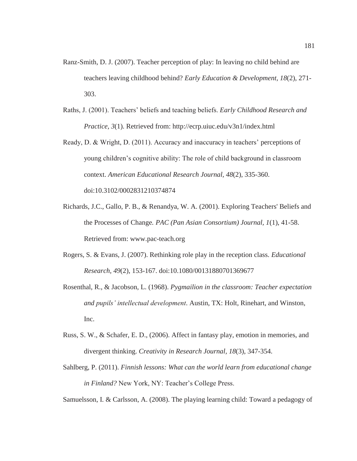- Ranz-Smith, D. J. (2007). Teacher perception of play: In leaving no child behind are teachers leaving childhood behind? *Early Education & Development, 18*(2), 271- 303.
- Raths, J. (2001). Teachers' beliefs and teaching beliefs. *Early Childhood Research and Practice, 3*(1). Retrieved from: http://ecrp.uiuc.edu/v3n1/index.html
- Ready, D. & Wright, D. (2011). Accuracy and inaccuracy in teachers' perceptions of young children's cognitive ability: The role of child background in classroom context. *American Educational Research Journal, 48*(2), 335-360. doi:10.3102/0002831210374874
- Richards, J.C., Gallo, P. B., & Renandya, W. A. (2001). Exploring Teachers' Beliefs and the Processes of Change*. PAC (Pan Asian Consortium) Journal, 1*(1), 41-58. Retrieved from: www.pac-teach.org
- Rogers, S. & Evans, J. (2007). Rethinking role play in the reception class. *Educational Research, 49*(2), 153-167. doi:10.1080/00131880701369677
- Rosenthal, R., & Jacobson, L. (1968). *Pygmailion in the classroom: Teacher expectation and pupils' intellectual development*. Austin, TX: Holt, Rinehart, and Winston, Inc.
- Russ, S. W., & Schafer, E. D., (2006). Affect in fantasy play, emotion in memories, and divergent thinking. *Creativity in Research Journal, 18*(3), 347-354.
- Sahlberg, P. (2011). *Finnish lessons: What can the world learn from educational change in Finland?* New York, NY: Teacher's College Press.

Samuelsson, I. & Carlsson, A. (2008). The playing learning child: Toward a pedagogy of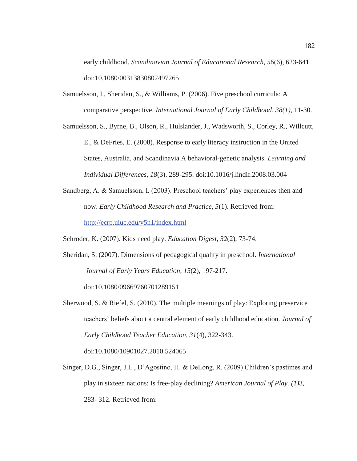early childhood. *Scandinavian Journal of Educational Research, 56*(6), 623-641. doi:10.1080/00313830802497265

- Samuelsson, I., Sheridan, S., & Williams, P. (2006). Five preschool curricula: A comparative perspective. *International Journal of Early Childhood*. *38(1),* 11-30.
- Samuelsson, S., Byrne, B., Olson, R., Hulslander, J., Wadsworth, S., Corley, R., Willcutt, E., & DeFries, E. (2008). Response to early literacy instruction in the United States, Australia, and Scandinavia A behavioral-genetic analysis. *Learning and Individual Differences, 18*(3), 289-295. doi:10.1016/j.lindif.2008.03.004
- Sandberg, A. & Samuelsson, I. (2003). Preschool teachers' play experiences then and now. *Early Childhood Research and Practice, 5*(1). Retrieved from: http://ecrp.uiuc.edu/v5n1/index.html
- Schroder, K. (2007). Kids need play. *Education Digest, 32*(2), 73-74.
- Sheridan, S. (2007). Dimensions of pedagogical quality in preschool. *International Journal of Early Years Education, 15*(2), 197-217.

doi:10.1080/09669760701289151

- Sherwood, S. & Riefel, S. (2010). The multiple meanings of play: Exploring preservice teachers' beliefs about a central element of early childhood education. *Journal of Early Childhood Teacher Education, 31*(4), 322-343. doi:10.1080/10901027.2010.524065
- Singer, D.G., Singer, J.L., D'Agostino, H. & DeLong, R. (2009) Children's pastimes and play in sixteen nations: Is free-play declining? *American Journal of Play. (1)*3, 283- 312. Retrieved from: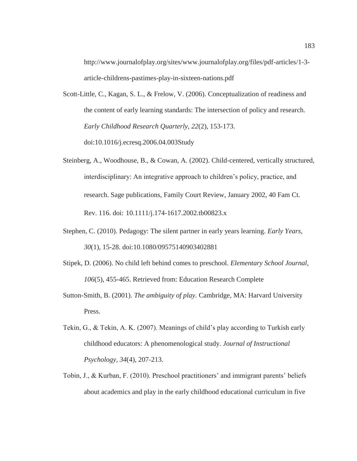http://www.journalofplay.org/sites/www.journalofplay.org/files/pdf-articles/1-3 article-childrens-pastimes-play-in-sixteen-nations.pdf

- Scott-Little, C., Kagan, S. L., & Frelow, V. (2006). Conceptualization of readiness and the content of early learning standards: The intersection of policy and research. *Early Childhood Research Quarterly, 22*(2), 153-173. doi:10.1016/j.ecresq.2006.04.003Study
- Steinberg, A., Woodhouse, B., & Cowan, A. (2002). Child-centered, vertically structured, interdisciplinary: An integrative approach to children's policy, practice, and research. Sage publications, Family Court Review, January 2002, 40 Fam Ct. Rev. 116. doi: 10.1111/j.174-1617.2002.tb00823.x
- Stephen, C. (2010). Pedagogy: The silent partner in early years learning. *Early Years, 30*(1), 15-28. doi:10.1080/09575140903402881
- Stipek, D. (2006). No child left behind comes to preschool. *Elementary School Journal, 106*(5), 455-465. Retrieved from: Education Research Complete
- Sutton-Smith, B. (2001). *The ambiguity of play.* Cambridge, MA: Harvard University Press.
- Tekin, G., & Tekin, A. K. (2007). Meanings of child's play according to Turkish early childhood educators: A phenomenological study. *Journal of Instructional Psychology, 34*(4), 207-213.
- Tobin, J., & Kurban, F. (2010). Preschool practitioners' and immigrant parents' beliefs about academics and play in the early childhood educational curriculum in five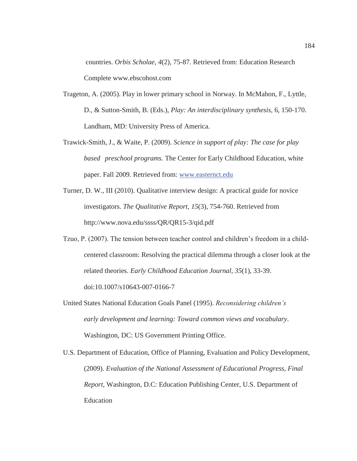countries. *Orbis Scholae, 4*(2), 75-87. Retrieved from: Education Research Complete www.ebscohost.com

- Trageton, A. (2005). Play in lower primary school in Norway. In McMahon, F., Lyttle, D., & Sutton-Smith, B. (Eds.), *Play: An interdisciplinary synthesis,* 6, 150-170. Landham, MD: University Press of America.
- Trawick-Smith, J., & Waite, P. (2009). *Science in support of play: The case for play based preschool programs.* The Center for Early Childhood Education, white paper. Fall 2009. Retrieved from: www.easternct.edu
- Turner, D. W., III (2010)*.* Qualitative interview design: A practical guide for novice investigators. *The Qualitative Report*, *15*(3), 754-760. Retrieved from http://www.nova.edu/ssss/QR/QR15-3/qid.pdf
- Tzuo, P. (2007). The tension between teacher control and children's freedom in a child centered classroom: Resolving the practical dilemma through a closer look at the related theories. *Early Childhood Education Journal, 35*(1), 33-39. doi:10.1007/s10643-007-0166-7
- United States National Education Goals Panel (1995). *Reconsidering children's early development and learning: Toward common views and vocabulary*. Washington, DC: US Government Printing Office.
- U.S. Department of Education, Office of Planning, Evaluation and Policy Development, (2009). *Evaluation of the National Assessment of Educational Progress, Final Report,* Washington, D.C: Education Publishing Center, U.S. Department of Education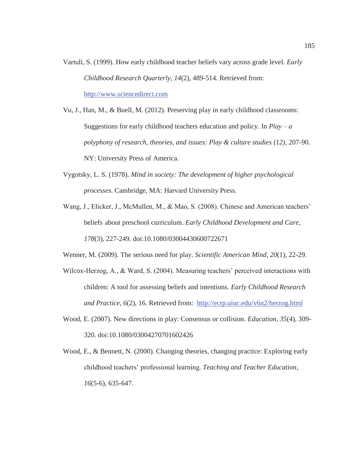- Vartuli, S. (1999). How early childhood teacher beliefs vary across grade level. *Early Childhood Research Quarterly, 14*(2), 489-514. Retrieved from: http://www.sciencedirect.com
- Vu, J., Han, M., & Buell, M. (2012). Preserving play in early childhood classrooms: Suggestions for early childhood teachers education and policy. In  $Play - a$ *polyphony of research, theories, and issues: Play & culture studies (12)*, 207-90. NY: University Press of America.
- Vygotsky, L. S. (1978). *Mind in society: The development of higher psychological processes*. Cambridge, MA: Harvard University Press.
- Wang, J., Elicker, J., McMullen, M., & Mao, S. (2008). Chinese and American teachers' beliefs about preschool curriculum. *Early Childhood Development and Care, 178*(3), 227-249. doi:10.1080/03004430600722671

Wenner, M. (2009). The serious need for play. *Scientific American Mind, 20*(1), 22-29.

- Wilcox-Herzog, A., & Ward, S. (2004). Measuring teachers' perceived interactions with children: A tool for assessing beliefs and intentions. *Early Childhood Research and Practice, 6*(2), 16. Retrieved from: http://ecrp.uiuc.edu/v6n2/herzog.html
- Wood, E. (2007). New directions in play: Consensus or collision. *Education, 35*(4), 309- 320. doi:10.1080/03004270701602426
- Wood, E., & Bennett, N. (2000). Changing theories, changing practice: Exploring early childhood teachers' professional learning. *Teaching and Teacher Education, 16*(5-6), 635-647.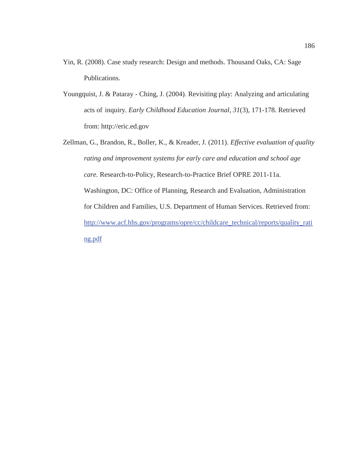- Yin, R. (2008). Case study research: Design and methods. Thousand Oaks, CA: Sage Publications.
- Youngquist, J. & Pataray Ching, J. (2004). Revisiting play: Analyzing and articulating acts of inquiry. *Early Childhood Education Journal, 31*(3), 171-178. Retrieved from: http://eric.ed.gov
- Zellman, G., Brandon, R., Boller, K., & Kreader, J. (2011). *Effective evaluation of quality rating and improvement systems for early care and education and school age care.* Research-to-Policy, Research-to-Practice Brief OPRE 2011-11a. Washington, DC: Office of Planning, Research and Evaluation, Administration for Children and Families, U.S. Department of Human Services. Retrieved from: http://www.acf.hhs.gov/programs/opre/cc/childcare\_technical/reports/quality\_rati ng.pdf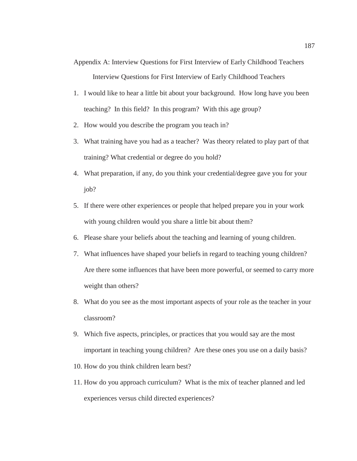Appendix A: Interview Questions for First Interview of Early Childhood Teachers Interview Questions for First Interview of Early Childhood Teachers

- 1. I would like to hear a little bit about your background. How long have you been teaching? In this field? In this program? With this age group?
- 2. How would you describe the program you teach in?
- 3. What training have you had as a teacher? Was theory related to play part of that training? What credential or degree do you hold?
- 4. What preparation, if any, do you think your credential/degree gave you for your job?
- 5. If there were other experiences or people that helped prepare you in your work with young children would you share a little bit about them?
- 6. Please share your beliefs about the teaching and learning of young children.
- 7. What influences have shaped your beliefs in regard to teaching young children? Are there some influences that have been more powerful, or seemed to carry more weight than others?
- 8. What do you see as the most important aspects of your role as the teacher in your classroom?
- 9. Which five aspects, principles, or practices that you would say are the most important in teaching young children? Are these ones you use on a daily basis?
- 10. How do you think children learn best?
- 11. How do you approach curriculum? What is the mix of teacher planned and led experiences versus child directed experiences?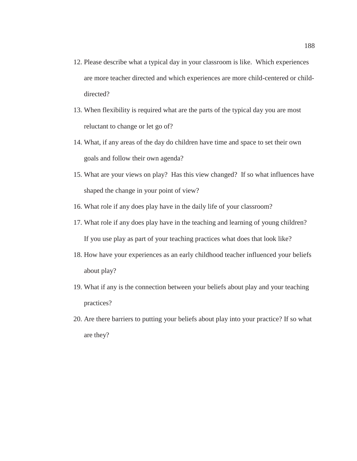- 12. Please describe what a typical day in your classroom is like. Which experiences are more teacher directed and which experiences are more child-centered or childdirected?
- 13. When flexibility is required what are the parts of the typical day you are most reluctant to change or let go of?
- 14. What, if any areas of the day do children have time and space to set their own goals and follow their own agenda?
- 15. What are your views on play? Has this view changed? If so what influences have shaped the change in your point of view?
- 16. What role if any does play have in the daily life of your classroom?
- 17. What role if any does play have in the teaching and learning of young children? If you use play as part of your teaching practices what does that look like?
- 18. How have your experiences as an early childhood teacher influenced your beliefs about play?
- 19. What if any is the connection between your beliefs about play and your teaching practices?
- 20. Are there barriers to putting your beliefs about play into your practice? If so what are they?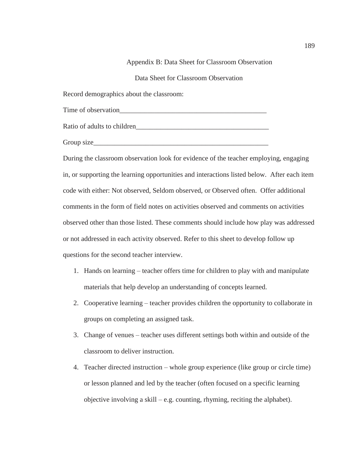## Appendix B: Data Sheet for Classroom Observation

Data Sheet for Classroom Observation

Record demographics about the classroom:

Time of observation\_\_\_\_\_\_\_\_\_\_\_\_\_\_\_\_\_\_\_\_\_\_\_\_\_\_\_\_\_\_\_\_\_\_\_\_\_\_\_\_\_\_

Ratio of adults to children

Group size

During the classroom observation look for evidence of the teacher employing, engaging in, or supporting the learning opportunities and interactions listed below. After each item code with either: Not observed, Seldom observed, or Observed often. Offer additional comments in the form of field notes on activities observed and comments on activities observed other than those listed. These comments should include how play was addressed or not addressed in each activity observed. Refer to this sheet to develop follow up questions for the second teacher interview.

- 1. Hands on learning teacher offers time for children to play with and manipulate materials that help develop an understanding of concepts learned.
- 2. Cooperative learning teacher provides children the opportunity to collaborate in groups on completing an assigned task.
- 3. Change of venues teacher uses different settings both within and outside of the classroom to deliver instruction.
- 4. Teacher directed instruction whole group experience (like group or circle time) or lesson planned and led by the teacher (often focused on a specific learning objective involving a skill – e.g. counting, rhyming, reciting the alphabet).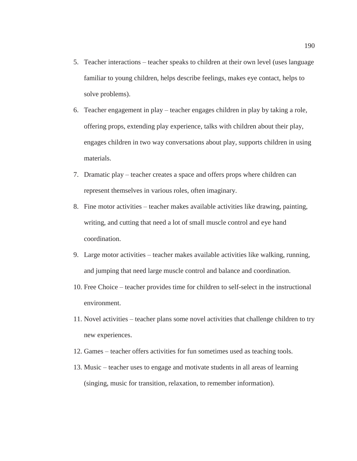- 5. Teacher interactions teacher speaks to children at their own level (uses language familiar to young children, helps describe feelings, makes eye contact, helps to solve problems).
- 6. Teacher engagement in play teacher engages children in play by taking a role, offering props, extending play experience, talks with children about their play, engages children in two way conversations about play, supports children in using materials.
- 7. Dramatic play teacher creates a space and offers props where children can represent themselves in various roles, often imaginary.
- 8. Fine motor activities teacher makes available activities like drawing, painting, writing, and cutting that need a lot of small muscle control and eye hand coordination.
- 9. Large motor activities teacher makes available activities like walking, running, and jumping that need large muscle control and balance and coordination.
- 10. Free Choice teacher provides time for children to self-select in the instructional environment.
- 11. Novel activities teacher plans some novel activities that challenge children to try new experiences.
- 12. Games teacher offers activities for fun sometimes used as teaching tools.
- 13. Music teacher uses to engage and motivate students in all areas of learning (singing, music for transition, relaxation, to remember information).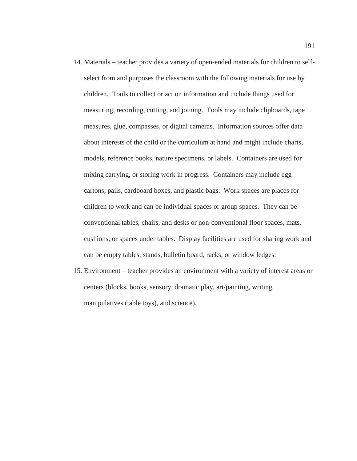- 14. Materials teacher provides a variety of open-ended materials for children to selfselect from and purposes the classroom with the following materials for use by children. Tools to collect or act on information and include things used for measuring, recording, cutting, and joining. Tools may include clipboards, tape measures, glue, compasses, or digital cameras. Information sources offer data about interests of the child or the curriculum at hand and might include charts, models, reference books, nature specimens, or labels. Containers are used for mixing carrying, or storing work in progress. Containers may include egg cartons, pails, cardboard boxes, and plastic bags. Work spaces are places for children to work and can be individual spaces or group spaces. They can be conventional tables, chairs, and desks or non-conventional floor spaces, mats, cushions, or spaces under tables. Display facilities are used for sharing work and can be empty tables, stands, bulletin board, racks, or window ledges.
- 15. Environment teacher provides an environment with a variety of interest areas or centers (blocks, books, sensory, dramatic play, art/painting, writing, manipulatives (table toys), and science).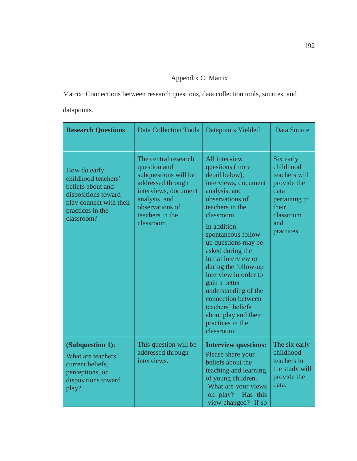# Appendix C: Matrix

Matrix: Connections between research questions, data collection tools, sources, and datapoints.

| <b>Research Questions</b>                                                                                                                    | <b>Data Collection Tools</b>                                                                                                                                                   | <b>Datapoints Yielded</b>                                                                                                                                                                                                                                                                                                                                                                                                                               | <b>Data Source</b>                                                                                                         |
|----------------------------------------------------------------------------------------------------------------------------------------------|--------------------------------------------------------------------------------------------------------------------------------------------------------------------------------|---------------------------------------------------------------------------------------------------------------------------------------------------------------------------------------------------------------------------------------------------------------------------------------------------------------------------------------------------------------------------------------------------------------------------------------------------------|----------------------------------------------------------------------------------------------------------------------------|
| How do early<br>childhood teachers'<br>beliefs about and<br>dispositions toward<br>play connect with their<br>practices in the<br>classroom? | The central research<br>question and<br>subquestions will be<br>addressed through<br>interviews, document<br>analysis, and<br>observations of<br>teachers in the<br>classroom. | All interview<br>questions (more<br>detail below),<br>interviews, document<br>analysis, and<br>observations of<br>teachers in the<br>classroom.<br>In addition<br>spontaneous follow-<br>up questions may be<br>asked during the<br>initial interview or<br>during the follow-up<br>interview in order to<br>gain a better<br>understanding of the<br>connection between<br>teachers' beliefs<br>about play and their<br>practices in the<br>classroom. | Six early<br>childhood<br>teachers will<br>provide the<br>data<br>pertaining to<br>their<br>classroom<br>and<br>practices. |
| (Subquestion 1):<br>What are teachers'<br>current beliefs,<br>perceptions, or<br>dispositions toward<br>play?                                | This question will be<br>addressed through<br>interviews.                                                                                                                      | <b>Interview questions:</b><br>Please share your<br>beliefs about the<br>teaching and learning<br>of young children.<br>What are your views<br>on play? Has this<br>view changed? If so                                                                                                                                                                                                                                                                 | The six early<br>childhood<br>teachers in<br>the study will<br>provide the<br>data.                                        |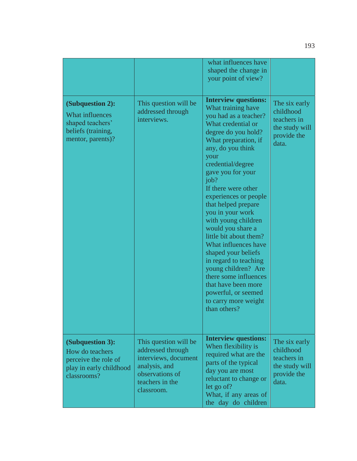|                                                                                                           |                                                                                                                                         | what influences have<br>shaped the change in<br>your point of view?                                                                                                                                                                                                                                                                                                                                                                                                                                                                                                                                           |                                                                                     |
|-----------------------------------------------------------------------------------------------------------|-----------------------------------------------------------------------------------------------------------------------------------------|---------------------------------------------------------------------------------------------------------------------------------------------------------------------------------------------------------------------------------------------------------------------------------------------------------------------------------------------------------------------------------------------------------------------------------------------------------------------------------------------------------------------------------------------------------------------------------------------------------------|-------------------------------------------------------------------------------------|
| (Subquestion 2):<br><b>What influences</b><br>shaped teachers'<br>beliefs (training,<br>mentor, parents)? | This question will be<br>addressed through<br>interviews.                                                                               | <b>Interview questions:</b><br>What training have<br>you had as a teacher?<br>What credential or<br>degree do you hold?<br>What preparation, if<br>any, do you think<br>your<br>credential/degree<br>gave you for your<br>job?<br>If there were other<br>experiences or people<br>that helped prepare<br>you in your work<br>with young children<br>would you share a<br>little bit about them?<br>What influences have<br>shaped your beliefs<br>in regard to teaching<br>young children? Are<br>there some influences<br>that have been more<br>powerful, or seemed<br>to carry more weight<br>than others? | The six early<br>childhood<br>teachers in<br>the study will<br>provide the<br>data. |
| (Subquestion 3):<br>How do teachers<br>perceive the role of<br>play in early childhood<br>classrooms?     | This question will be<br>addressed through<br>interviews, document<br>analysis, and<br>observations of<br>teachers in the<br>classroom. | <b>Interview questions:</b><br>When flexibility is<br>required what are the<br>parts of the typical<br>day you are most<br>reluctant to change or<br>let go of?<br>What, if any areas of<br>the day do children                                                                                                                                                                                                                                                                                                                                                                                               | The six early<br>childhood<br>teachers in<br>the study will<br>provide the<br>data. |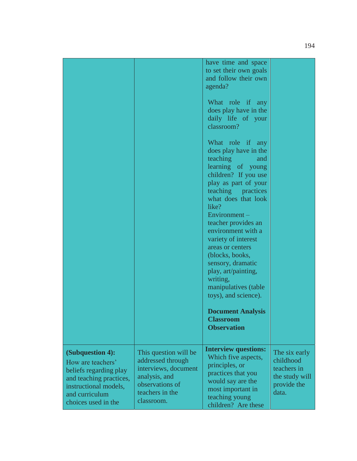|                                                                                                                                                              |                                                                                                                                         | have time and space<br>to set their own goals<br>and follow their own<br>agenda?<br>What role if any<br>does play have in the<br>daily life of your<br>classroom?<br>What role if any<br>does play have in the<br>teaching<br>and<br>learning of young<br>children? If you use<br>play as part of your<br>teaching practices<br>what does that look<br>like?<br>$Environment -$<br>teacher provides an<br>environment with a<br>variety of interest<br>areas or centers<br>(blocks, books,<br>sensory, dramatic<br>play, art/painting,<br>writing,<br>manipulatives (table<br>toys), and science).<br><b>Document Analysis</b><br><b>Classroom</b><br><b>Observation</b> |                                                                                     |
|--------------------------------------------------------------------------------------------------------------------------------------------------------------|-----------------------------------------------------------------------------------------------------------------------------------------|--------------------------------------------------------------------------------------------------------------------------------------------------------------------------------------------------------------------------------------------------------------------------------------------------------------------------------------------------------------------------------------------------------------------------------------------------------------------------------------------------------------------------------------------------------------------------------------------------------------------------------------------------------------------------|-------------------------------------------------------------------------------------|
| (Subquestion 4):<br>How are teachers'<br>beliefs regarding play<br>and teaching practices,<br>instructional models,<br>and curriculum<br>choices used in the | This question will be<br>addressed through<br>interviews, document<br>analysis, and<br>observations of<br>teachers in the<br>classroom. | <b>Interview questions:</b><br>Which five aspects,<br>principles, or<br>practices that you<br>would say are the<br>most important in<br>teaching young<br>children? Are these                                                                                                                                                                                                                                                                                                                                                                                                                                                                                            | The six early<br>childhood<br>teachers in<br>the study will<br>provide the<br>data. |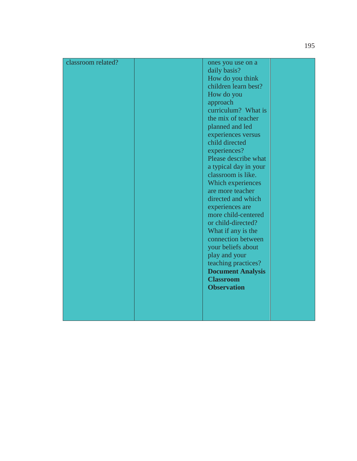| <b>Observation</b> |  | child directed<br>experiences?<br>Please describe what<br>a typical day in your<br>classroom is like.<br>Which experiences<br>are more teacher<br>directed and which<br>experiences are<br>more child-centered<br>or child-directed?<br>What if any is the<br>connection between<br>your beliefs about<br>play and your<br>teaching practices?<br><b>Document Analysis</b><br><b>Classroom</b> |
|--------------------|--|------------------------------------------------------------------------------------------------------------------------------------------------------------------------------------------------------------------------------------------------------------------------------------------------------------------------------------------------------------------------------------------------|
|--------------------|--|------------------------------------------------------------------------------------------------------------------------------------------------------------------------------------------------------------------------------------------------------------------------------------------------------------------------------------------------------------------------------------------------|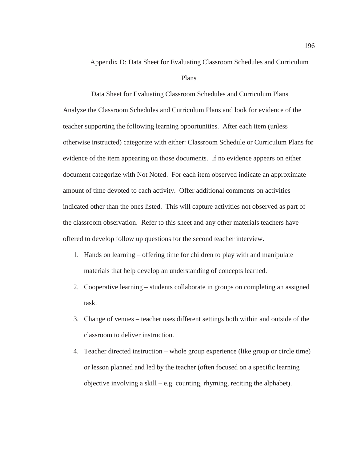#### Appendix D: Data Sheet for Evaluating Classroom Schedules and Curriculum

#### Plans

 Data Sheet for Evaluating Classroom Schedules and Curriculum Plans Analyze the Classroom Schedules and Curriculum Plans and look for evidence of the teacher supporting the following learning opportunities. After each item (unless otherwise instructed) categorize with either: Classroom Schedule or Curriculum Plans for evidence of the item appearing on those documents. If no evidence appears on either document categorize with Not Noted. For each item observed indicate an approximate amount of time devoted to each activity. Offer additional comments on activities indicated other than the ones listed. This will capture activities not observed as part of the classroom observation. Refer to this sheet and any other materials teachers have offered to develop follow up questions for the second teacher interview.

- 1. Hands on learning offering time for children to play with and manipulate materials that help develop an understanding of concepts learned.
- 2. Cooperative learning students collaborate in groups on completing an assigned task.
- 3. Change of venues teacher uses different settings both within and outside of the classroom to deliver instruction.
- 4. Teacher directed instruction whole group experience (like group or circle time) or lesson planned and led by the teacher (often focused on a specific learning objective involving a skill – e.g. counting, rhyming, reciting the alphabet).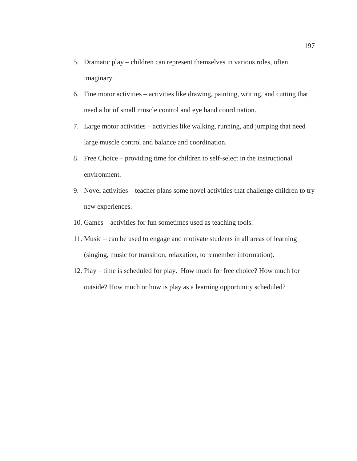- 5. Dramatic play children can represent themselves in various roles, often imaginary.
- 6. Fine motor activities activities like drawing, painting, writing, and cutting that need a lot of small muscle control and eye hand coordination.
- 7. Large motor activities activities like walking, running, and jumping that need large muscle control and balance and coordination.
- 8. Free Choice providing time for children to self-select in the instructional environment.
- 9. Novel activities teacher plans some novel activities that challenge children to try new experiences.
- 10. Games activities for fun sometimes used as teaching tools.
- 11. Music can be used to engage and motivate students in all areas of learning (singing, music for transition, relaxation, to remember information).
- 12. Play time is scheduled for play. How much for free choice? How much for outside? How much or how is play as a learning opportunity scheduled?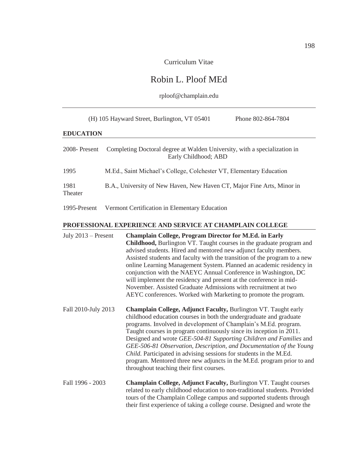Curriculum Vitae

# Robin L. Ploof MEd

## rploof@champlain.edu

|                       | (H) 105 Hayward Street, Burlington, VT 05401                                                                                                                                                                                                                                                                                                                                                                                                                                                                                                                                                                                                       | Phone 802-864-7804                                                                                                                                                                                                  |
|-----------------------|----------------------------------------------------------------------------------------------------------------------------------------------------------------------------------------------------------------------------------------------------------------------------------------------------------------------------------------------------------------------------------------------------------------------------------------------------------------------------------------------------------------------------------------------------------------------------------------------------------------------------------------------------|---------------------------------------------------------------------------------------------------------------------------------------------------------------------------------------------------------------------|
| <b>EDUCATION</b>      |                                                                                                                                                                                                                                                                                                                                                                                                                                                                                                                                                                                                                                                    |                                                                                                                                                                                                                     |
| 2008-Present          | Completing Doctoral degree at Walden University, with a specialization in<br>Early Childhood; ABD                                                                                                                                                                                                                                                                                                                                                                                                                                                                                                                                                  |                                                                                                                                                                                                                     |
| 1995                  | M.Ed., Saint Michael's College, Colchester VT, Elementary Education                                                                                                                                                                                                                                                                                                                                                                                                                                                                                                                                                                                |                                                                                                                                                                                                                     |
| 1981<br>Theater       | B.A., University of New Haven, New Haven CT, Major Fine Arts, Minor in                                                                                                                                                                                                                                                                                                                                                                                                                                                                                                                                                                             |                                                                                                                                                                                                                     |
| 1995-Present          | Vermont Certification in Elementary Education                                                                                                                                                                                                                                                                                                                                                                                                                                                                                                                                                                                                      |                                                                                                                                                                                                                     |
|                       | PROFESSIONAL EXPERIENCE AND SERVICE AT CHAMPLAIN COLLEGE                                                                                                                                                                                                                                                                                                                                                                                                                                                                                                                                                                                           |                                                                                                                                                                                                                     |
| July $2013$ – Present | <b>Champlain College, Program Director for M.Ed. in Early</b><br><b>Childhood, Burlington VT. Taught courses in the graduate program and</b><br>advised students. Hired and mentored new adjunct faculty members.<br>Assisted students and faculty with the transition of the program to a new<br>online Learning Management System. Planned an academic residency in<br>conjunction with the NAEYC Annual Conference in Washington, DC<br>will implement the residency and present at the conference in mid-<br>November. Assisted Graduate Admissions with recruitment at two<br>AEYC conferences. Worked with Marketing to promote the program. |                                                                                                                                                                                                                     |
| Fall 2010-July 2013   | Champlain College, Adjunct Faculty, Burlington VT. Taught early<br>childhood education courses in both the undergraduate and graduate<br>programs. Involved in development of Champlain's M.Ed. program.<br>Taught courses in program continuously since its inception in 2011.<br>Child. Participated in advising sessions for students in the M.Ed.<br>throughout teaching their first courses.                                                                                                                                                                                                                                                  | Designed and wrote GEE-504-81 Supporting Children and Families and<br>GEE-506-81 Observation, Description, and Documentation of the Young<br>program. Mentored three new adjuncts in the M.Ed. program prior to and |
| Fall 1996 - 2003      | Champlain College, Adjunct Faculty, Burlington VT. Taught courses<br>tours of the Champlain College campus and supported students through<br>their first experience of taking a college course. Designed and wrote the                                                                                                                                                                                                                                                                                                                                                                                                                             | related to early childhood education to non-traditional students. Provided                                                                                                                                          |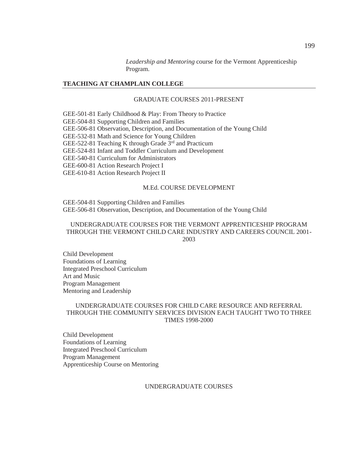*Leadership and Mentoring* course for the Vermont Apprenticeship Program.

### **TEACHING AT CHAMPLAIN COLLEGE**

## GRADUATE COURSES 2011-PRESENT

GEE-501-81 Early Childhood & Play: From Theory to Practice GEE-504-81 Supporting Children and Families GEE-506-81 Observation, Description, and Documentation of the Young Child GEE-532-81 Math and Science for Young Children GEE-522-81 Teaching K through Grade  $3<sup>rd</sup>$  and Practicum GEE-524-81 Infant and Toddler Curriculum and Development GEE-540-81 Curriculum for Administrators GEE-600-81 Action Research Project I GEE-610-81 Action Research Project II

#### M.Ed. COURSE DEVELOPMENT

GEE-504-81 Supporting Children and Families GEE-506-81 Observation, Description, and Documentation of the Young Child

## UNDERGRADUATE COURSES FOR THE VERMONT APPRENTICESHIP PROGRAM THROUGH THE VERMONT CHILD CARE INDUSTRY AND CAREERS COUNCIL 2001- 2003

Child Development Foundations of Learning Integrated Preschool Curriculum Art and Music Program Management Mentoring and Leadership

### UNDERGRADUATE COURSES FOR CHILD CARE RESOURCE AND REFERRAL THROUGH THE COMMUNITY SERVICES DIVISION EACH TAUGHT TWO TO THREE TIMES 1998-2000

Child Development Foundations of Learning Integrated Preschool Curriculum Program Management Apprenticeship Course on Mentoring

#### UNDERGRADUATE COURSES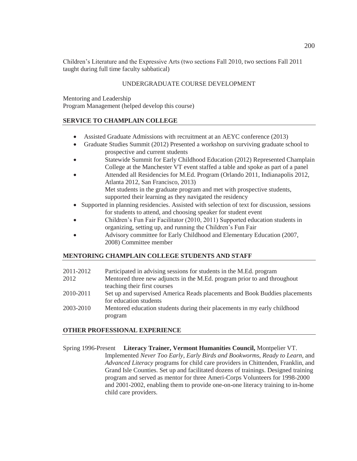Children's Literature and the Expressive Arts (two sections Fall 2010, two sections Fall 2011 taught during full time faculty sabbatical)

## UNDERGRADUATE COURSE DEVELOPMENT

Mentoring and Leadership Program Management (helped develop this course)

## **SERVICE TO CHAMPLAIN COLLEGE**

- Assisted Graduate Admissions with recruitment at an AEYC conference (2013)
- Graduate Studies Summit (2012) Presented a workshop on surviving graduate school to prospective and current students
- Statewide Summit for Early Childhood Education (2012) Represented Champlain College at the Manchester VT event staffed a table and spoke as part of a panel
- x Attended all Residencies for M.Ed. Program (Orlando 2011, Indianapolis 2012, Atlanta 2012, San Francisco, 2013) Met students in the graduate program and met with prospective students, supported their learning as they navigated the residency
- Supported in planning residencies. Assisted with selection of text for discussion, sessions for students to attend, and choosing speaker for student event
- x Children's Fun Fair Facilitator (2010, 2011) Supported education students in organizing, setting up, and running the Children's Fun Fair
- Advisory committee for Early Childhood and Elementary Education (2007, 2008) Committee member

## **MENTORING CHAMPLAIN COLLEGE STUDENTS AND STAFF**

| 2011-2012 | Participated in advising sessions for students in the M.Ed. program        |
|-----------|----------------------------------------------------------------------------|
| 2012      | Mentored three new adjuncts in the M.Ed. program prior to and throughout   |
|           | teaching their first courses                                               |
| 2010-2011 | Set up and supervised America Reads placements and Book Buddies placements |
|           | for education students                                                     |
| 2003-2010 | Mentored education students during their placements in my early childhood  |
|           | program                                                                    |

## **OTHER PROFESSIONAL EXPERIENCE**

Spring 1996-Present **Literacy Trainer, Vermont Humanities Council,** Montpelier VT. Implemented *Never Too Early*, *Early Birds and Bookworms*, *Ready to Learn*, and *Advanced Literacy* programs for child care providers in Chittenden, Franklin, and Grand Isle Counties. Set up and facilitated dozens of trainings. Designed training program and served as mentor for three Ameri-Corps Volunteers for 1998-2000 and 2001-2002, enabling them to provide one-on-one literacy training to in-home child care providers.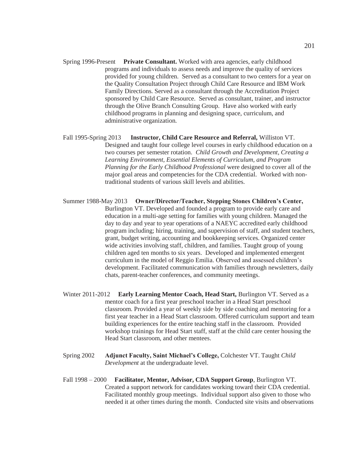- Spring 1996-Present **Private Consultant.** Worked with area agencies, early childhood programs and individuals to assess needs and improve the quality of services provided for young children. Served as a consultant to two centers for a year on the Quality Consultation Project through Child Care Resource and IBM Work Family Directions. Served as a consultant through the Accreditation Project sponsored by Child Care Resource. Served as consultant, trainer, and instructor through the Olive Branch Consulting Group. Have also worked with early childhood programs in planning and designing space, curriculum, and administrative organization.
- Fall 1995-Spring 2013 **Instructor, Child Care Resource and Referral,** Williston VT. Designed and taught four college level courses in early childhood education on a two courses per semester rotation. *Child Growth and Development, Creating a Learning Environment, Essential Elements of Curriculum, and Program Planning for the Early Childhood Professional* were designed to cover all of the major goal areas and competencies for the CDA credential. Worked with nontraditional students of various skill levels and abilities.
- Summer 1988-May 2013 **Owner/Director/Teacher, Stepping Stones Children's Center,** Burlington VT. Developed and founded a program to provide early care and education in a multi-age setting for families with young children. Managed the day to day and year to year operations of a NAEYC accredited early childhood program including; hiring, training, and supervision of staff, and student teachers, grant, budget writing, accounting and bookkeeping services. Organized center wide activities involving staff, children, and families. Taught group of young children aged ten months to six years. Developed and implemented emergent curriculum in the model of Reggio Emilia. Observed and assessed children's development. Facilitated communication with families through newsletters, daily chats, parent-teacher conferences, and community meetings.
- Winter 2011-2012 **Early Learning Mentor Coach, Head Start,** Burlington VT. Served as a mentor coach for a first year preschool teacher in a Head Start preschool classroom. Provided a year of weekly side by side coaching and mentoring for a first year teacher in a Head Start classroom. Offered curriculum support and team building experiences for the entire teaching staff in the classroom. Provided workshop trainings for Head Start staff, staff at the child care center housing the Head Start classroom, and other mentees.
- Spring 2002 **Adjunct Faculty, Saint Michael's College,** Colchester VT. Taught *Child Development* at the undergraduate level.
- Fall 1998 2000 **Facilitator, Mentor, Advisor, CDA Support Group**, Burlington VT. Created a support network for candidates working toward their CDA credential. Facilitated monthly group meetings. Individual support also given to those who needed it at other times during the month. Conducted site visits and observations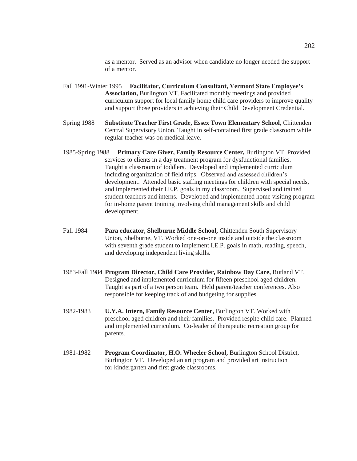as a mentor. Served as an advisor when candidate no longer needed the support of a mentor.

- Fall 1991-Winter 1995 **Facilitator, Curriculum Consultant, Vermont State Employee's Association,** Burlington VT. Facilitated monthly meetings and provided curriculum support for local family home child care providers to improve quality and support those providers in achieving their Child Development Credential.
- Spring 1988 **Substitute Teacher First Grade, Essex Town Elementary School,** Chittenden Central Supervisory Union. Taught in self-contained first grade classroom while regular teacher was on medical leave*.*
- 1985-Spring 1988 **Primary Care Giver, Family Resource Center,** Burlington VT. Provided services to clients in a day treatment program for dysfunctional families. Taught a classroom of toddlers. Developed and implemented curriculum including organization of field trips. Observed and assessed children's development. Attended basic staffing meetings for children with special needs, and implemented their I.E.P. goals in my classroom. Supervised and trained student teachers and interns. Developed and implemented home visiting program for in-home parent training involving child management skills and child development.
- Fall 1984 **Para educator, Shelburne Middle School,** Chittenden South Supervisory Union, Shelburne, VT. Worked one-on-one inside and outside the classroom with seventh grade student to implement I.E.P. goals in math, reading, speech, and developing independent living skills.
- 1983-Fall 1984 **Program Director, Child Care Provider, Rainbow Day Care,** Rutland VT. Designed and implemented curriculum for fifteen preschool aged children. Taught as part of a two person team. Held parent/teacher conferences. Also responsible for keeping track of and budgeting for supplies.
- 1982-1983 **U.Y.A. Intern, Family Resource Center,** Burlington VT. Worked with preschool aged children and their families. Provided respite child care. Planned and implemented curriculum. Co-leader of therapeutic recreation group for parents.
- 1981-1982 **Program Coordinator, H.O. Wheeler School,** Burlington School District, Burlington VT. Developed an art program and provided art instruction for kindergarten and first grade classrooms.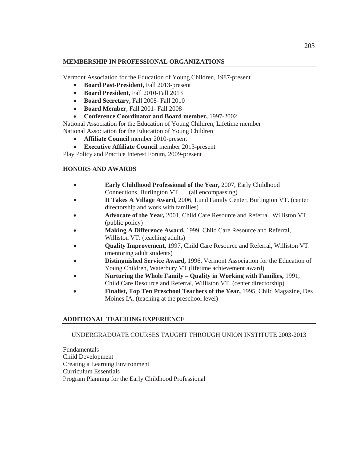## **MEMBERSHIP IN PROFESSIONAL ORGANIZATIONS**

Vermont Association for the Education of Young Children, 1987-present

- x **Board Past-President,** Fall 2013-present
- x **Board President**, Fall 2010-Fall 2013
- x **Board Secretary,** Fall 2008- Fall 2010
- x **Board Member**, Fall 2001- Fall 2008
- x **Conference Coordinator and Board member,** 1997-2002

National Association for the Education of Young Children, Lifetime member National Association for the Education of Young Children

- **Affiliate Council** member 2010-present
- **Executive Affiliate Council** member 2013-present

Play Policy and Practice Interest Forum, 2009-present

## **HONORS AND AWARDS**

- x **Early Childhood Professional of the Year,** 2007, Early Childhood Connections, Burlington VT. (all encompassing)
- x **It Takes A Village Award,** 2006, Lund Family Center, Burlington VT. (center directorship and work with families)
- x **Advocate of the Year,** 2001, Child Care Resource and Referral, Williston VT. (public policy)
- x **Making A Difference Award,** 1999, Child Care Resource and Referral, Williston VT. (teaching adults)
- x **Quality Improvement,** 1997, Child Care Resource and Referral, Williston VT. (mentoring adult students)
- **Distinguished Service Award,** 1996, Vermont Association for the Education of Young Children, Waterbury VT (lifetime achievement award)
- x **Nurturing the Whole Family – Quality in Working with Families,** 1991, Child Care Resource and Referral, Williston VT. (center directorship)
- x **Finalist, Top Ten Preschool Teachers of the Year,** 1995, Child Magazine, Des Moines IA. (teaching at the preschool level)

## **ADDITIONAL TEACHING EXPERIENCE**

## UNDERGRADUATE COURSES TAUGHT THROUGH UNION INSTITUTE 2003-2013

Fundamentals Child Development Creating a Learning Environment Curriculum Essentials Program Planning for the Early Childhood Professional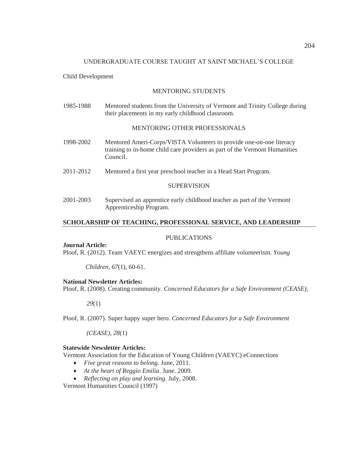### UNDERGRADUATE COURSE TAUGHT AT SAINT MICHAEL'S COLLEGE

### Child Development

### MENTORING STUDENTS

1985-1988 Mentored students from the University of Vermont and Trinity College during their placements in my early childhood classroom.

### MENTORING OTHER PROFESSIONALS

- 1998-2002 Mentored Ameri-Corps/VISTA Volunteers to provide one-on-one literacy training to in-home child care providers as part of the Vermont Humanities Council.
- 2011-2012 Mentored a first year preschool teacher in a Head Start Program.

### **SUPERVISION**

2001-2003 Supervised an apprentice early childhood teacher as part of the Vermont Apprenticeship Program.

### **SCHOLARSHIP OF TEACHING, PROFESSIONAL SERVICE, AND LEADERSHIP**

#### PUBLICATIONS

#### **Journal Article:**

Ploof, R. (2012). Team VAEYC energizes and strengthens affiliate volunteerism. *Young* 

 *Children, 67*(1), 60-61.

### **National Newsletter Articles:**

Ploof, R. (2008). Creating community. *Concerned Educators for a Safe Environment (CEASE),* 

*29*(1)

Ploof, R. (2007). Super happy super hero. *Concerned Educators for a Safe Environment* 

*(CEASE), 28*(1)

# **Statewide Newsletter Articles:**

Vermont Association for the Education of Young Children (VAEYC) eConnections

- *Five great reasons to belong.* June, 2011.
- At the heart of Reggio Emilia. June. 2009.
- x *Reflecting on play and learning*. July, 2008.

Vermont Humanities Council (1997)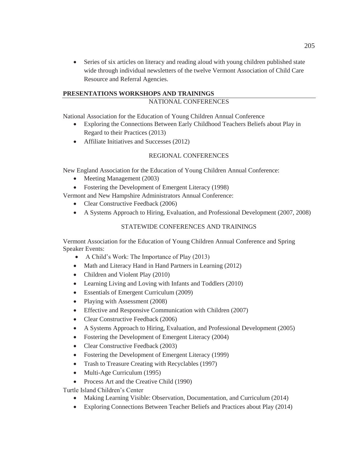• Series of six articles on literacy and reading aloud with young children published state wide through individual newsletters of the twelve Vermont Association of Child Care Resource and Referral Agencies.

# **PRESENTATIONS WORKSHOPS AND TRAININGS**

# NATIONAL CONFERENCES

National Association for the Education of Young Children Annual Conference

- Exploring the Connections Between Early Childhood Teachers Beliefs about Play in Regard to their Practices (2013)
- $\bullet$  Affiliate Initiatives and Successes (2012)

## REGIONAL CONFERENCES

New England Association for the Education of Young Children Annual Conference:

- Meeting Management (2003)
- Fostering the Development of Emergent Literacy (1998)

Vermont and New Hampshire Administrators Annual Conference:

- Clear Constructive Feedback (2006)
- A Systems Approach to Hiring, Evaluation, and Professional Development (2007, 2008)

## STATEWIDE CONFERENCES AND TRAININGS

Vermont Association for the Education of Young Children Annual Conference and Spring Speaker Events:

- A Child's Work: The Importance of Play  $(2013)$
- Math and Literacy Hand in Hand Partners in Learning (2012)
- Children and Violent Play (2010)
- $\bullet$  Learning Living and Loving with Infants and Toddlers (2010)
- Essentials of Emergent Curriculum (2009)
- Playing with Assessment (2008)
- $\bullet$  Effective and Responsive Communication with Children (2007)
- Clear Constructive Feedback (2006)
- A Systems Approach to Hiring, Evaluation, and Professional Development (2005)
- Fostering the Development of Emergent Literacy  $(2004)$
- Clear Constructive Feedback (2003)
- Fostering the Development of Emergent Literacy (1999)
- Trash to Treasure Creating with Recyclables (1997)
- $\bullet$  Multi-Age Curriculum (1995)
- Process Art and the Creative Child (1990)

Turtle Island Children's Center

- Making Learning Visible: Observation, Documentation, and Curriculum (2014)
- Exploring Connections Between Teacher Beliefs and Practices about Play (2014)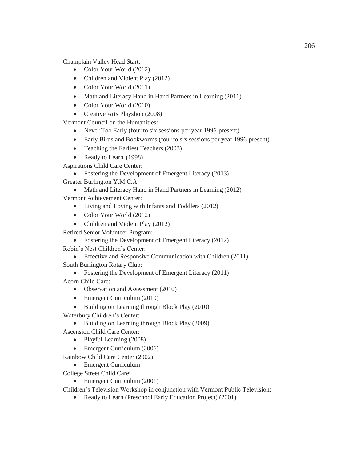Champlain Valley Head Start:

- Color Your World  $(2012)$
- $\bullet$  Children and Violent Play (2012)
- Color Your World (2011)
- Math and Literacy Hand in Hand Partners in Learning (2011)
- Color Your World (2010)
- Creative Arts Playshop  $(2008)$

Vermont Council on the Humanities:

- Never Too Early (four to six sessions per year 1996-present)
- Early Birds and Bookworms (four to six sessions per year 1996-present)
- Teaching the Earliest Teachers  $(2003)$
- Ready to Learn (1998)

Aspirations Child Care Center:

• Fostering the Development of Emergent Literacy  $(2013)$ 

Greater Burlington Y.M.C.A.

• Math and Literacy Hand in Hand Partners in Learning  $(2012)$ 

Vermont Achievement Center:

- Living and Loving with Infants and Toddlers (2012)
- Color Your World (2012)
- Children and Violent Play (2012)

Retired Senior Volunteer Program:

- Fostering the Development of Emergent Literacy (2012)
- Robin's Nest Children's Center:
	- $\bullet$  Effective and Responsive Communication with Children (2011)

South Burlington Rotary Club:

• Fostering the Development of Emergent Literacy  $(2011)$ 

Acorn Child Care:

- Observation and Assessment (2010)
- $\bullet$  Emergent Curriculum (2010)
- Building on Learning through Block Play (2010)
- Waterbury Children's Center:
	- Building on Learning through Block Play (2009)
- Ascension Child Care Center:
	- $\bullet$  Playful Learning (2008)
	- Emergent Curriculum (2006)

Rainbow Child Care Center (2002)

- Emergent Curriculum
- College Street Child Care:
	- Emergent Curriculum (2001)

Children's Television Workshop in conjunction with Vermont Public Television:

• Ready to Learn (Preschool Early Education Project) (2001)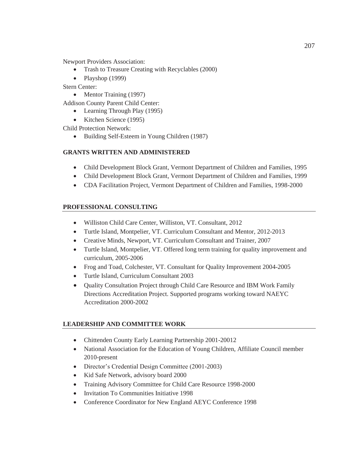Newport Providers Association:

- Trash to Treasure Creating with Recyclables (2000)
- $\bullet$  Playshop (1999)

Stern Center:

• Mentor Training  $(1997)$ 

Addison County Parent Child Center:

- $\bullet$  Learning Through Play (1995)
- $\bullet$  Kitchen Science (1995)

Child Protection Network:

• Building Self-Esteem in Young Children (1987)

# **GRANTS WRITTEN AND ADMINISTERED**

- Child Development Block Grant, Vermont Department of Children and Families, 1995
- Child Development Block Grant, Vermont Department of Children and Families, 1999
- CDA Facilitation Project, Vermont Department of Children and Families, 1998-2000

# **PROFESSIONAL CONSULTING**

- x Williston Child Care Center, Williston, VT. Consultant, 2012
- Turtle Island, Montpelier, VT. Curriculum Consultant and Mentor, 2012-2013
- Creative Minds, Newport, VT. Curriculum Consultant and Trainer, 2007
- Turtle Island, Montpelier, VT. Offered long term training for quality improvement and curriculum, 2005-2006
- Frog and Toad, Colchester, VT. Consultant for Quality Improvement 2004-2005
- Turtle Island, Curriculum Consultant 2003
- Quality Consultation Project through Child Care Resource and IBM Work Family Directions Accreditation Project. Supported programs working toward NAEYC Accreditation 2000-2002

## **LEADERSHIP AND COMMITTEE WORK**

- Chittenden County Early Learning Partnership 2001-20012
- National Association for the Education of Young Children, Affiliate Council member 2010-present
- Director's Credential Design Committee (2001-2003)
- Kid Safe Network, advisory board 2000
- Training Advisory Committee for Child Care Resource 1998-2000
- Invitation To Communities Initiative 1998
- Conference Coordinator for New England AEYC Conference 1998